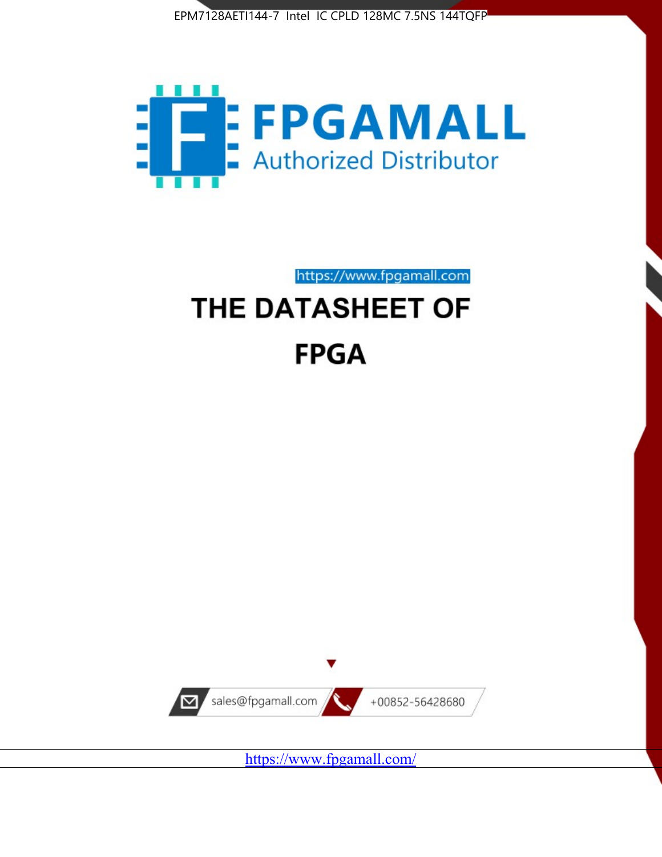



https://www.fpgamall.com

# THE DATASHEET OF **FPGA**



<https://www.fpgamall.com/>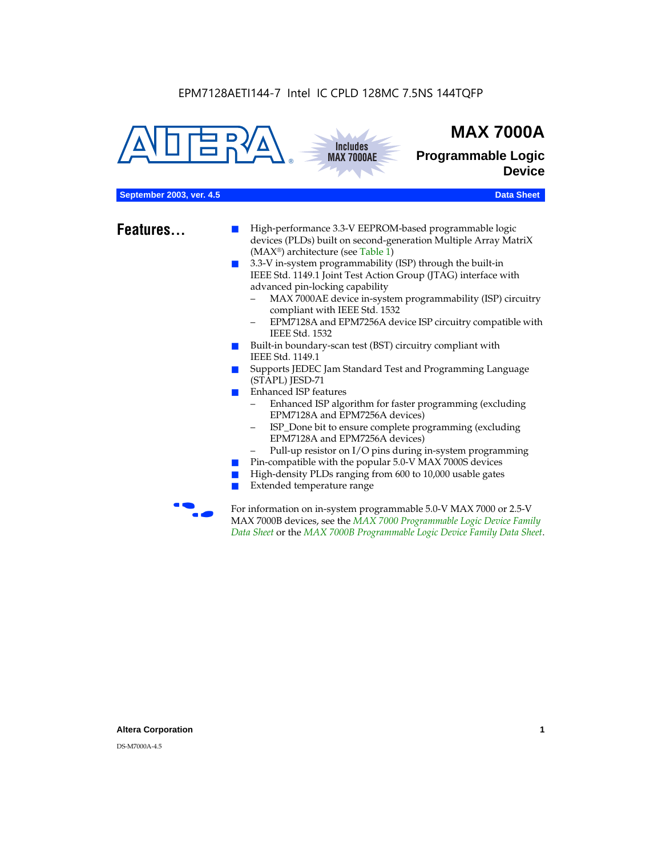



## **MAX 7000A**

**Programmable Logic Device**

#### **September 2003, ver. 4.5 Data Sheet** Construction of the Construction of the Construction of the Construction of the Construction of the Construction of the Construction of the Construction of the Construction of the Cons

- **Features...** High-performance 3.3-V EEPROM-based programmable logic devices (PLDs) built on second-generation Multiple Array MatriX (MAX®) architecture (see Table 1)
	- 3.3-V in-system programmability (ISP) through the built-in IEEE Std. 1149.1 Joint Test Action Group (JTAG) interface with advanced pin-locking capability
		- MAX 7000AE device in-system programmability (ISP) circuitry compliant with IEEE Std. 1532
		- EPM7128A and EPM7256A device ISP circuitry compatible with IEEE Std. 1532
	- Built-in boundary-scan test (BST) circuitry compliant with IEEE Std. 1149.1
	- Supports JEDEC Jam Standard Test and Programming Language (STAPL) JESD-71
	- Enhanced ISP features
		- Enhanced ISP algorithm for faster programming (excluding EPM7128A and EPM7256A devices)
		- ISP\_Done bit to ensure complete programming (excluding EPM7128A and EPM7256A devices)
		- Pull-up resistor on I/O pins during in-system programming
	- Pin-compatible with the popular 5.0-V MAX 7000S devices
	- High-density PLDs ranging from 600 to 10,000 usable gates
	- Extended temperature range

For information on in-system programmable 5.0-V MAX 7000 or 2.5-V MAX 7000B devices, see the *MAX 7000 Programmable Logic Device Family Data Sheet* or the *MAX 7000B Programmable Logic Device Family Data Sheet*.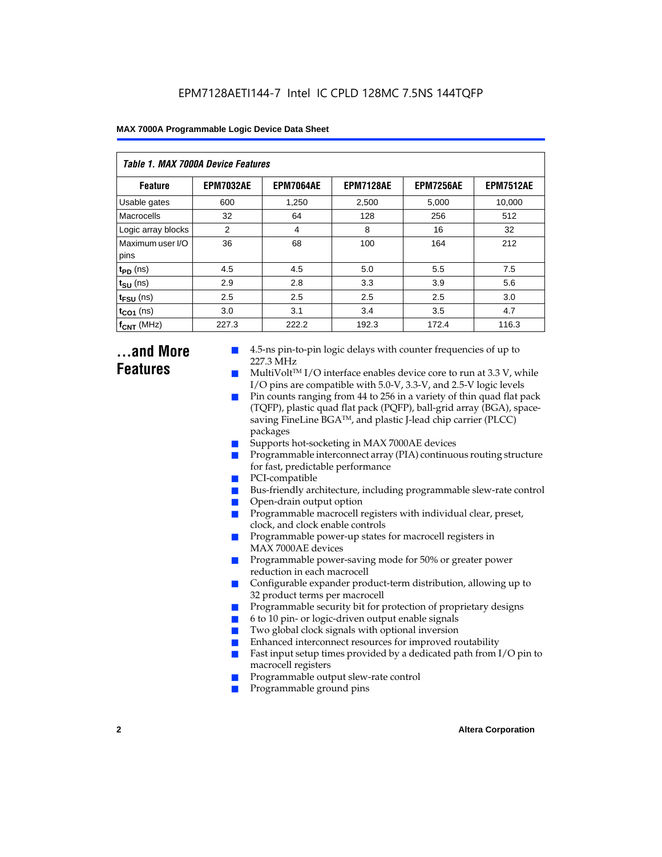| Table 1. MAX 7000A Device Features |                  |                  |                  |                  |                  |  |  |  |
|------------------------------------|------------------|------------------|------------------|------------------|------------------|--|--|--|
| <b>Feature</b>                     | <b>EPM7032AE</b> | <b>EPM7064AE</b> | <b>EPM7128AE</b> | <b>EPM7256AE</b> | <b>EPM7512AE</b> |  |  |  |
| Usable gates                       | 600              | 1,250            | 2,500            | 5,000            | 10,000           |  |  |  |
| Macrocells                         | 32               | 64               | 128              | 256              | 512              |  |  |  |
| Logic array blocks                 | 2                | 4                | 8                | 16               | 32               |  |  |  |
| Maximum user I/O<br>pins           | 36               | 68               | 100              | 164              | 212              |  |  |  |
| $t_{PD}$ (ns)                      | 4.5              | 4.5              | 5.0              | 5.5              | 7.5              |  |  |  |
| $t_{SU}$ (ns)                      | 2.9              | 2.8              | 3.3              | 3.9              | 5.6              |  |  |  |
| $t_{\text{FSU}}$ (ns)              | 2.5              | 2.5              | 2.5              | 2.5              | 3.0              |  |  |  |
| $t_{CO1}$ (ns)                     | 3.0              | 3.1              | 3.4              | 3.5              | 4.7              |  |  |  |
| $f_{CNT}$ (MHz)                    | 227.3            | 222.2            | 192.3            | 172.4            | 116.3            |  |  |  |

### **...and More Features**

- 4.5-ns pin-to-pin logic delays with counter frequencies of up to 227.3 MHz
- $Multivolt<sup>TM</sup> I/O interface enables device core to run at 3.3 V, while$ I/O pins are compatible with 5.0-V, 3.3-V, and 2.5-V logic levels
- Pin counts ranging from 44 to 256 in a variety of thin quad flat pack (TQFP), plastic quad flat pack (PQFP), ball-grid array (BGA), spacesaving FineLine BGATM, and plastic J-lead chip carrier (PLCC) packages
- Supports hot-socketing in MAX 7000AE devices
- Programmable interconnect array (PIA) continuous routing structure for fast, predictable performance
- PCI-compatible
- Bus-friendly architecture, including programmable slew-rate control
- Open-drain output option
- Programmable macrocell registers with individual clear, preset, clock, and clock enable controls
- Programmable power-up states for macrocell registers in MAX 7000AE devices
- Programmable power-saving mode for 50% or greater power reduction in each macrocell
- Configurable expander product-term distribution, allowing up to 32 product terms per macrocell
- Programmable security bit for protection of proprietary designs
- 6 to 10 pin- or logic-driven output enable signals
- Two global clock signals with optional inversion
- Enhanced interconnect resources for improved routability
- Fast input setup times provided by a dedicated path from  $I/O$  pin to macrocell registers
- Programmable output slew-rate control
- Programmable ground pins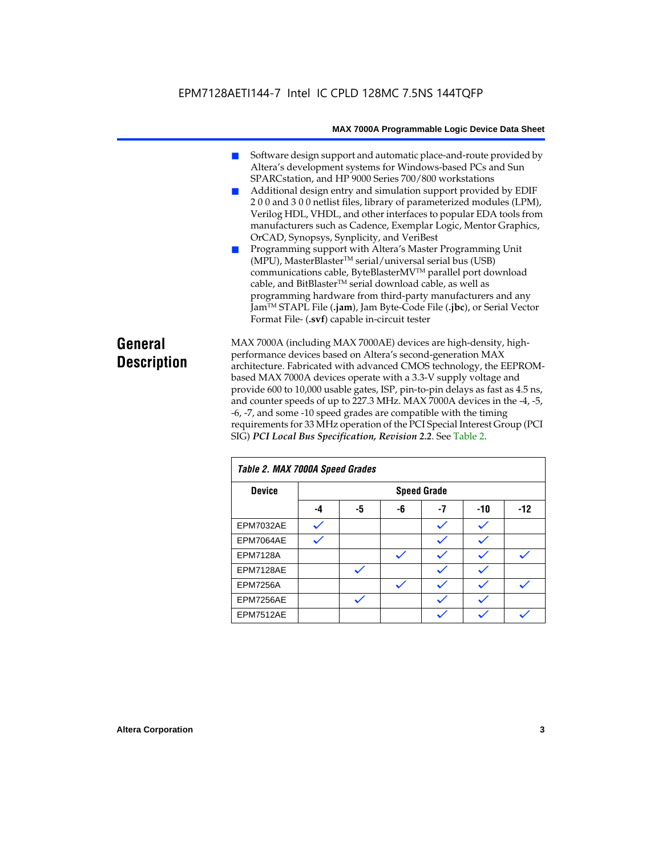- Software design support and automatic place-and-route provided by Altera's development systems for Windows-based PCs and Sun SPARCstation, and HP 9000 Series 700/800 workstations
- Additional design entry and simulation support provided by EDIF 2 0 0 and 3 0 0 netlist files, library of parameterized modules (LPM), Verilog HDL, VHDL, and other interfaces to popular EDA tools from manufacturers such as Cadence, Exemplar Logic, Mentor Graphics, OrCAD, Synopsys, Synplicity, and VeriBest
- Programming support with Altera's Master Programming Unit (MPU), MasterBlasterTM serial/universal serial bus (USB) communications cable, ByteBlasterMVTM parallel port download cable, and BitBlaster™ serial download cable, as well as programming hardware from third-party manufacturers and any JamTM STAPL File (**.jam**), Jam Byte-Code File (**.jbc**), or Serial Vector Format File- (**.svf**) capable in-circuit tester

### **General Description**

MAX 7000A (including MAX 7000AE) devices are high-density, highperformance devices based on Altera's second-generation MAX architecture. Fabricated with advanced CMOS technology, the EEPROMbased MAX 7000A devices operate with a 3.3-V supply voltage and provide 600 to 10,000 usable gates, ISP, pin-to-pin delays as fast as 4.5 ns, and counter speeds of up to 227.3 MHz. MAX 7000A devices in the -4, -5, -6, -7, and some -10 speed grades are compatible with the timing requirements for 33 MHz operation of the PCI Special Interest Group (PCI SIG) *PCI Local Bus Specification, Revision 2.2*. See Table 2.

| Table 2. MAX 7000A Speed Grades |    |                    |    |    |       |       |  |  |
|---------------------------------|----|--------------------|----|----|-------|-------|--|--|
| <b>Device</b>                   |    | <b>Speed Grade</b> |    |    |       |       |  |  |
|                                 | -4 | -5                 | -6 | -7 | $-10$ | $-12$ |  |  |
| EPM7032AE                       |    |                    |    |    |       |       |  |  |
| EPM7064AE                       |    |                    |    |    |       |       |  |  |
| <b>EPM7128A</b>                 |    |                    |    |    |       |       |  |  |
| EPM7128AE                       |    |                    |    |    |       |       |  |  |
| <b>EPM7256A</b>                 |    |                    |    |    |       |       |  |  |
| EPM7256AE                       |    | ✓                  |    |    |       |       |  |  |
| EPM7512AE                       |    |                    |    |    |       |       |  |  |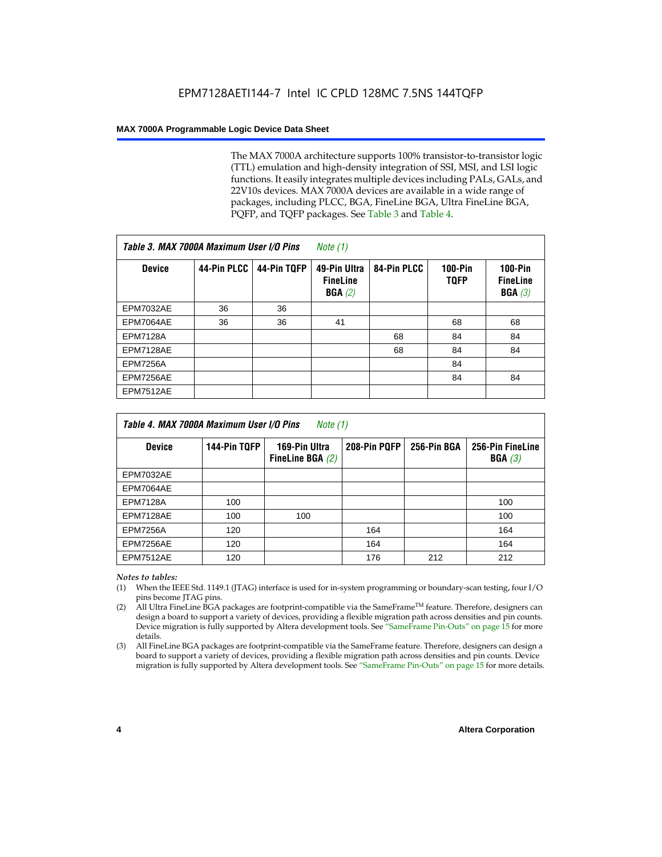The MAX 7000A architecture supports 100% transistor-to-transistor logic (TTL) emulation and high-density integration of SSI, MSI, and LSI logic functions. It easily integrates multiple devices including PALs, GALs, and 22V10s devices. MAX 7000A devices are available in a wide range of packages, including PLCC, BGA, FineLine BGA, Ultra FineLine BGA, PQFP, and TQFP packages. See Table 3 and Table 4.

| Table 3. MAX 7000A Maximum User I/O Pins |             | Note $(1)$  |                                           |             |                               |                                                  |
|------------------------------------------|-------------|-------------|-------------------------------------------|-------------|-------------------------------|--------------------------------------------------|
| <b>Device</b>                            | 44-Pin PLCC | 44-Pin TQFP | 49-Pin Ultra<br><b>FineLine</b><br>BGA(2) | 84-Pin PLCC | <b>100-Pin</b><br><b>TQFP</b> | $100-Pin$<br><b>FineLine</b><br><b>BGA</b> $(3)$ |
| <b>EPM7032AE</b>                         | 36          | 36          |                                           |             |                               |                                                  |
| EPM7064AE                                | 36          | 36          | 41                                        |             | 68                            | 68                                               |
| <b>EPM7128A</b>                          |             |             |                                           | 68          | 84                            | 84                                               |
| EPM7128AE                                |             |             |                                           | 68          | 84                            | 84                                               |
| <b>EPM7256A</b>                          |             |             |                                           |             | 84                            |                                                  |
| EPM7256AE                                |             |             |                                           |             | 84                            | 84                                               |
| <b>EPM7512AE</b>                         |             |             |                                           |             |                               |                                                  |

| Table 4. MAX 7000A Maximum User I/O Pins<br>Note (1) |              |                                     |              |             |                            |  |  |
|------------------------------------------------------|--------------|-------------------------------------|--------------|-------------|----------------------------|--|--|
| <b>Device</b>                                        | 144-Pin TQFP | 169-Pin Ultra<br>FineLine BGA $(2)$ | 208-Pin PQFP | 256-Pin BGA | 256-Pin FineLine<br>BGA(3) |  |  |
| <b>EPM7032AE</b>                                     |              |                                     |              |             |                            |  |  |
| EPM7064AE                                            |              |                                     |              |             |                            |  |  |
| <b>EPM7128A</b>                                      | 100          |                                     |              |             | 100                        |  |  |
| EPM7128AE                                            | 100          | 100                                 |              |             | 100                        |  |  |
| <b>EPM7256A</b>                                      | 120          |                                     | 164          |             | 164                        |  |  |
| EPM7256AE                                            | 120          |                                     | 164          |             | 164                        |  |  |
| EPM7512AE                                            | 120          |                                     | 176          | 212         | 212                        |  |  |

#### *Notes to tables:*

- (1) When the IEEE Std. 1149.1 (JTAG) interface is used for in-system programming or boundary-scan testing, four I/O pins become JTAG pins.
- (2) All Ultra FineLine BGA packages are footprint-compatible via the SameFrame<sup>TM</sup> feature. Therefore, designers can design a board to support a variety of devices, providing a flexible migration path across densities and pin counts. Device migration is fully supported by Altera development tools. See "SameFrame Pin-Outs" on page 15 for more details.
- (3) All FineLine BGA packages are footprint-compatible via the SameFrame feature. Therefore, designers can design a board to support a variety of devices, providing a flexible migration path across densities and pin counts. Device migration is fully supported by Altera development tools. See "SameFrame Pin-Outs" on page 15 for more details.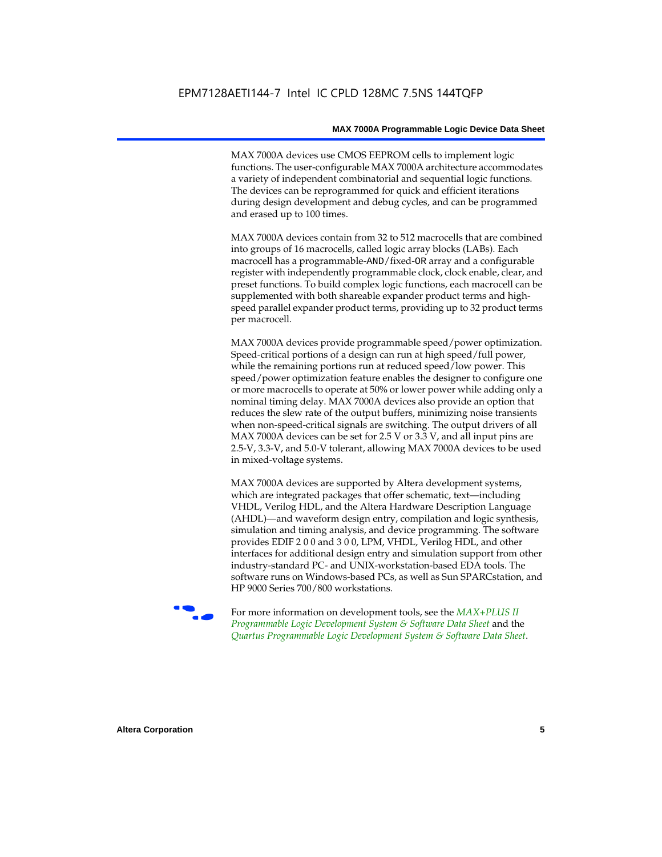MAX 7000A devices use CMOS EEPROM cells to implement logic functions. The user-configurable MAX 7000A architecture accommodates a variety of independent combinatorial and sequential logic functions. The devices can be reprogrammed for quick and efficient iterations during design development and debug cycles, and can be programmed and erased up to 100 times.

MAX 7000A devices contain from 32 to 512 macrocells that are combined into groups of 16 macrocells, called logic array blocks (LABs). Each macrocell has a programmable-AND/fixed-OR array and a configurable register with independently programmable clock, clock enable, clear, and preset functions. To build complex logic functions, each macrocell can be supplemented with both shareable expander product terms and highspeed parallel expander product terms, providing up to 32 product terms per macrocell.

MAX 7000A devices provide programmable speed/power optimization. Speed-critical portions of a design can run at high speed/full power, while the remaining portions run at reduced speed/low power. This speed/power optimization feature enables the designer to configure one or more macrocells to operate at 50% or lower power while adding only a nominal timing delay. MAX 7000A devices also provide an option that reduces the slew rate of the output buffers, minimizing noise transients when non-speed-critical signals are switching. The output drivers of all MAX 7000A devices can be set for 2.5 V or 3.3 V, and all input pins are 2.5-V, 3.3-V, and 5.0-V tolerant, allowing MAX 7000A devices to be used in mixed-voltage systems.

MAX 7000A devices are supported by Altera development systems, which are integrated packages that offer schematic, text—including VHDL, Verilog HDL, and the Altera Hardware Description Language (AHDL)—and waveform design entry, compilation and logic synthesis, simulation and timing analysis, and device programming. The software provides EDIF 2 0 0 and 3 0 0, LPM, VHDL, Verilog HDL, and other interfaces for additional design entry and simulation support from other industry-standard PC- and UNIX-workstation-based EDA tools. The software runs on Windows-based PCs, as well as Sun SPARCstation, and HP 9000 Series 700/800 workstations.

**For more information on development tools, see the** *MAX+PLUS II Programmable Logic Development System & Software Data Sheet* and the *Quartus Programmable Logic Development System & Software Data Sheet*.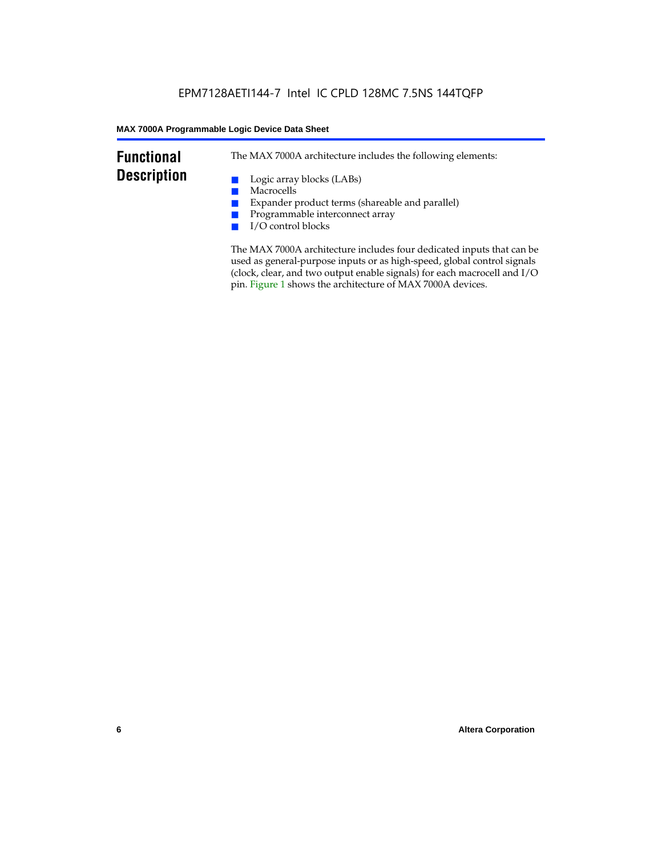### **Functional Description**

The MAX 7000A architecture includes the following elements:

- Logic array blocks (LABs)
- Macrocells
- Expander product terms (shareable and parallel)
- Programmable interconnect array
- I/O control blocks

The MAX 7000A architecture includes four dedicated inputs that can be used as general-purpose inputs or as high-speed, global control signals (clock, clear, and two output enable signals) for each macrocell and I/O pin. Figure 1 shows the architecture of MAX 7000A devices.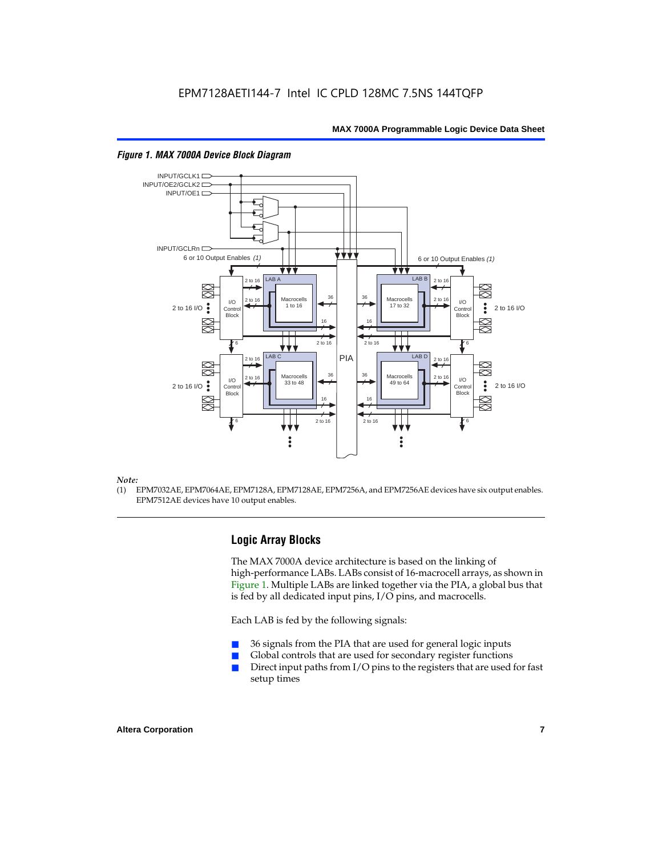

#### *Figure 1. MAX 7000A Device Block Diagram*

#### *Note:*

(1) EPM7032AE, EPM7064AE, EPM7128A, EPM7128AE, EPM7256A, and EPM7256AE devices have six output enables. EPM7512AE devices have 10 output enables.

#### **Logic Array Blocks**

The MAX 7000A device architecture is based on the linking of high-performance LABs. LABs consist of 16-macrocell arrays, as shown in Figure 1. Multiple LABs are linked together via the PIA, a global bus that is fed by all dedicated input pins, I/O pins, and macrocells.

Each LAB is fed by the following signals:

- 36 signals from the PIA that are used for general logic inputs
- Global controls that are used for secondary register functions
- Direct input paths from  $I/O$  pins to the registers that are used for fast setup times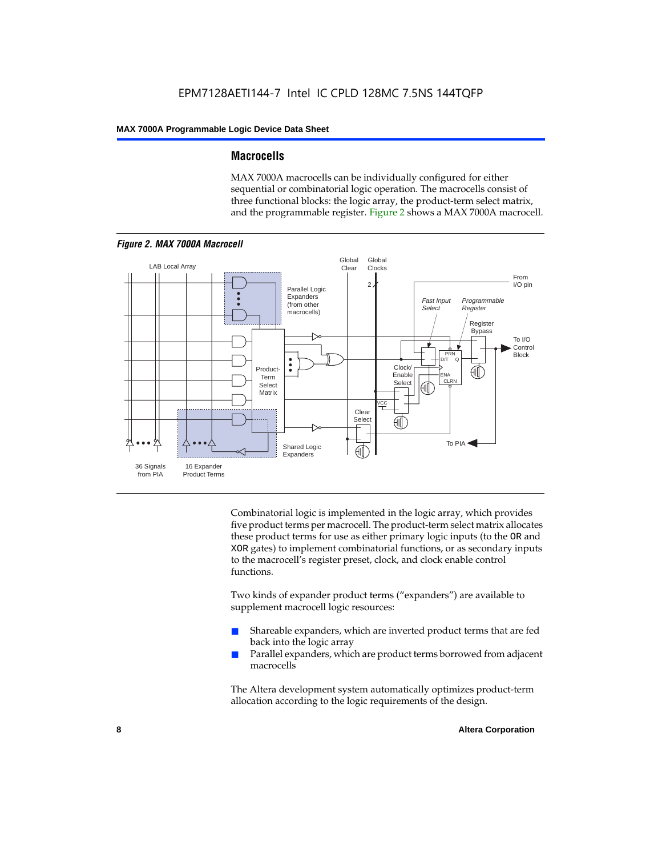#### **Macrocells**

MAX 7000A macrocells can be individually configured for either sequential or combinatorial logic operation. The macrocells consist of three functional blocks: the logic array, the product-term select matrix, and the programmable register. Figure 2 shows a MAX 7000A macrocell.



Combinatorial logic is implemented in the logic array, which provides five product terms per macrocell. The product-term select matrix allocates these product terms for use as either primary logic inputs (to the OR and XOR gates) to implement combinatorial functions, or as secondary inputs to the macrocell's register preset, clock, and clock enable control functions.

Two kinds of expander product terms ("expanders") are available to supplement macrocell logic resources:

- Shareable expanders, which are inverted product terms that are fed back into the logic array
- Parallel expanders, which are product terms borrowed from adjacent macrocells

The Altera development system automatically optimizes product-term allocation according to the logic requirements of the design.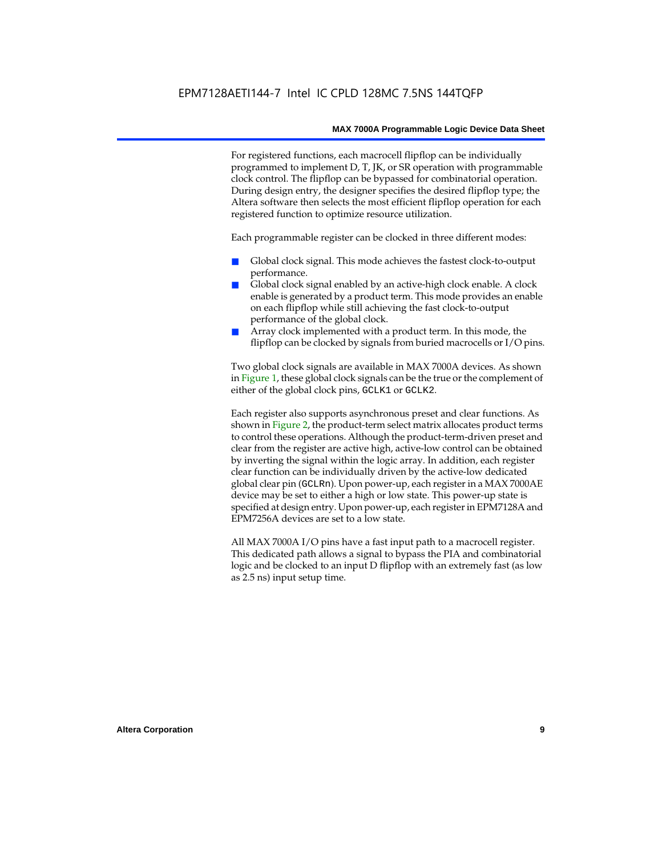For registered functions, each macrocell flipflop can be individually programmed to implement D, T, JK, or SR operation with programmable clock control. The flipflop can be bypassed for combinatorial operation. During design entry, the designer specifies the desired flipflop type; the Altera software then selects the most efficient flipflop operation for each registered function to optimize resource utilization.

Each programmable register can be clocked in three different modes:

- Global clock signal. This mode achieves the fastest clock-to-output performance.
- Global clock signal enabled by an active-high clock enable. A clock enable is generated by a product term. This mode provides an enable on each flipflop while still achieving the fast clock-to-output performance of the global clock.
- Array clock implemented with a product term. In this mode, the flipflop can be clocked by signals from buried macrocells or I/O pins.

Two global clock signals are available in MAX 7000A devices. As shown in Figure 1, these global clock signals can be the true or the complement of either of the global clock pins, GCLK1 or GCLK2.

Each register also supports asynchronous preset and clear functions. As shown in Figure 2, the product-term select matrix allocates product terms to control these operations. Although the product-term-driven preset and clear from the register are active high, active-low control can be obtained by inverting the signal within the logic array. In addition, each register clear function can be individually driven by the active-low dedicated global clear pin (GCLRn). Upon power-up, each register in a MAX 7000AE device may be set to either a high or low state. This power-up state is specified at design entry. Upon power-up, each register in EPM7128A and EPM7256A devices are set to a low state.

All MAX 7000A I/O pins have a fast input path to a macrocell register. This dedicated path allows a signal to bypass the PIA and combinatorial logic and be clocked to an input D flipflop with an extremely fast (as low as 2.5 ns) input setup time.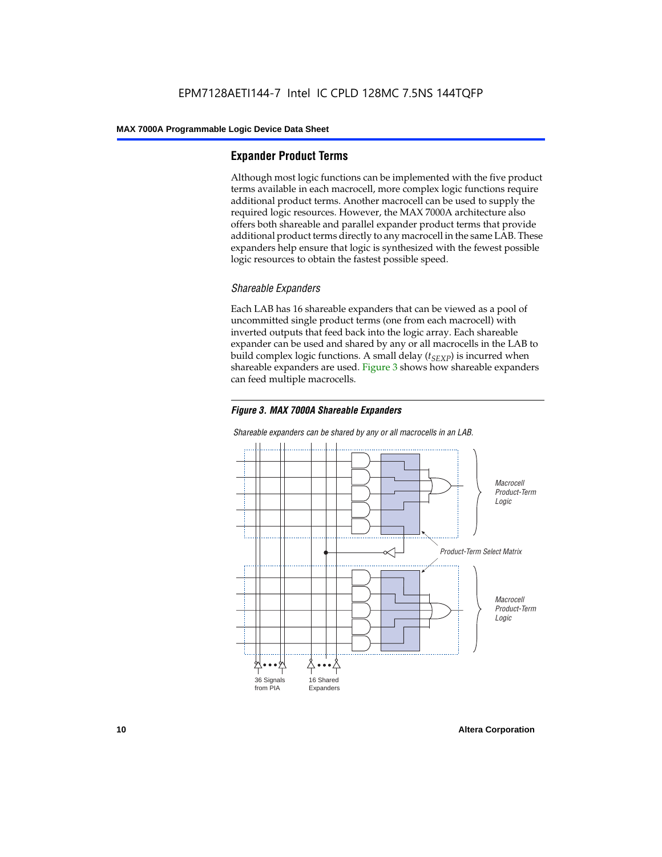#### **Expander Product Terms**

Although most logic functions can be implemented with the five product terms available in each macrocell, more complex logic functions require additional product terms. Another macrocell can be used to supply the required logic resources. However, the MAX 7000A architecture also offers both shareable and parallel expander product terms that provide additional product terms directly to any macrocell in the same LAB. These expanders help ensure that logic is synthesized with the fewest possible logic resources to obtain the fastest possible speed.

#### *Shareable Expanders*

Each LAB has 16 shareable expanders that can be viewed as a pool of uncommitted single product terms (one from each macrocell) with inverted outputs that feed back into the logic array. Each shareable expander can be used and shared by any or all macrocells in the LAB to build complex logic functions. A small delay  $(t_{SFXP})$  is incurred when shareable expanders are used. Figure 3 shows how shareable expanders can feed multiple macrocells.



**Macrocell** Product-Term Logic Product-Term Select Matrix **Macrocell** Product-Term Logic 36 Signals from PIA 16 Shared Expanders

*Shareable expanders can be shared by any or all macrocells in an LAB.*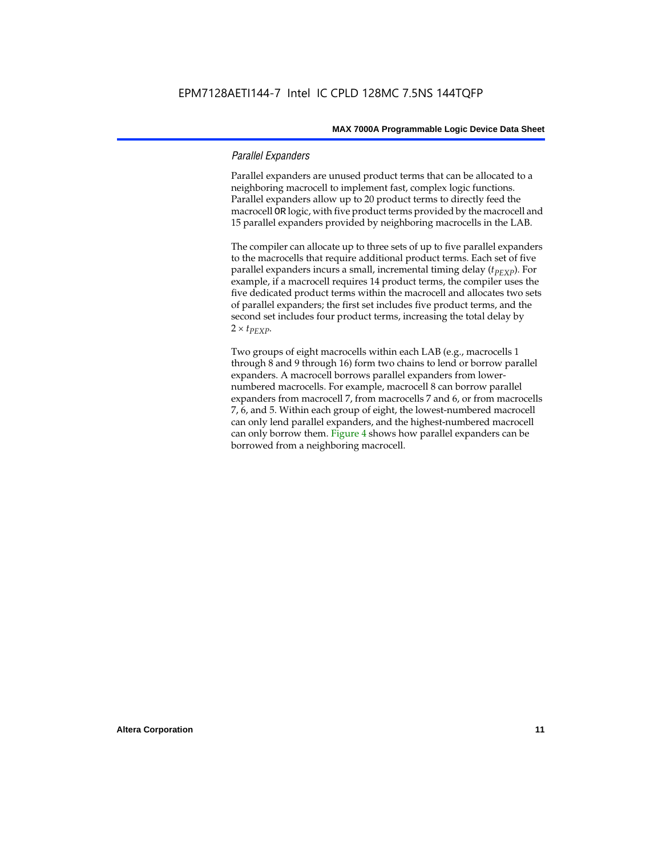#### *Parallel Expanders*

Parallel expanders are unused product terms that can be allocated to a neighboring macrocell to implement fast, complex logic functions. Parallel expanders allow up to 20 product terms to directly feed the macrocell OR logic, with five product terms provided by the macrocell and 15 parallel expanders provided by neighboring macrocells in the LAB.

The compiler can allocate up to three sets of up to five parallel expanders to the macrocells that require additional product terms. Each set of five parallel expanders incurs a small, incremental timing delay (*t<sub>PEXP</sub>*). For example, if a macrocell requires 14 product terms, the compiler uses the five dedicated product terms within the macrocell and allocates two sets of parallel expanders; the first set includes five product terms, and the second set includes four product terms, increasing the total delay by  $2 \times t_{PEXP}$ .

Two groups of eight macrocells within each LAB (e.g., macrocells 1 through 8 and 9 through 16) form two chains to lend or borrow parallel expanders. A macrocell borrows parallel expanders from lowernumbered macrocells. For example, macrocell 8 can borrow parallel expanders from macrocell 7, from macrocells 7 and 6, or from macrocells 7, 6, and 5. Within each group of eight, the lowest-numbered macrocell can only lend parallel expanders, and the highest-numbered macrocell can only borrow them. Figure 4 shows how parallel expanders can be borrowed from a neighboring macrocell.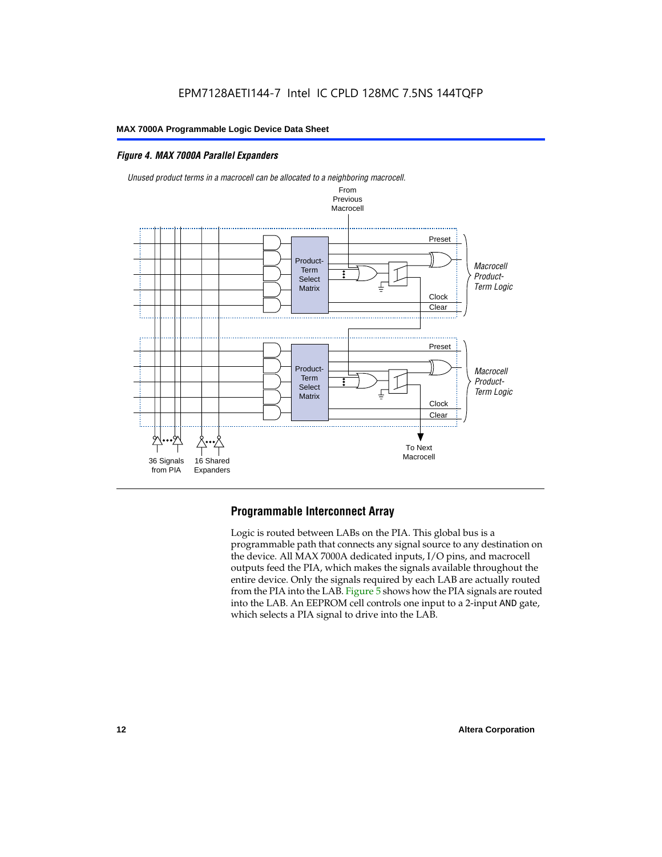#### *Figure 4. MAX 7000A Parallel Expanders*





#### **Programmable Interconnect Array**

Logic is routed between LABs on the PIA. This global bus is a programmable path that connects any signal source to any destination on the device. All MAX 7000A dedicated inputs, I/O pins, and macrocell outputs feed the PIA, which makes the signals available throughout the entire device. Only the signals required by each LAB are actually routed from the PIA into the LAB. Figure 5 shows how the PIA signals are routed into the LAB. An EEPROM cell controls one input to a 2-input AND gate, which selects a PIA signal to drive into the LAB.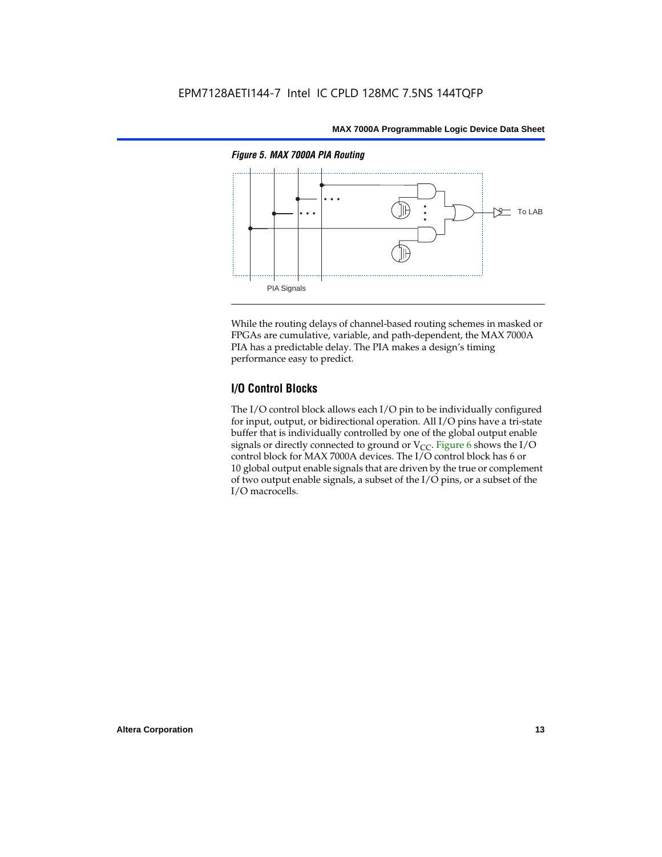

While the routing delays of channel-based routing schemes in masked or FPGAs are cumulative, variable, and path-dependent, the MAX 7000A PIA has a predictable delay. The PIA makes a design's timing performance easy to predict.

#### **I/O Control Blocks**

The I/O control block allows each I/O pin to be individually configured for input, output, or bidirectional operation. All I/O pins have a tri-state buffer that is individually controlled by one of the global output enable signals or directly connected to ground or  $V_{CC}$ . Figure 6 shows the I/O control block for MAX 7000A devices. The I/O control block has 6 or 10 global output enable signals that are driven by the true or complement of two output enable signals, a subset of the I/O pins, or a subset of the I/O macrocells.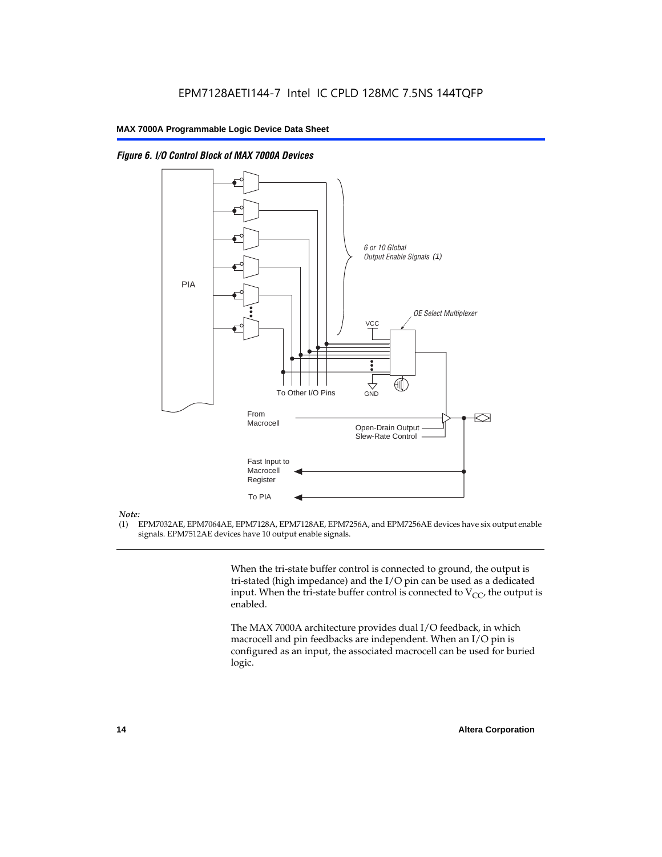



#### *Note:*

(1) EPM7032AE, EPM7064AE, EPM7128A, EPM7128AE, EPM7256A, and EPM7256AE devices have six output enable signals. EPM7512AE devices have 10 output enable signals.

> When the tri-state buffer control is connected to ground, the output is tri-stated (high impedance) and the I/O pin can be used as a dedicated input. When the tri-state buffer control is connected to  $V_{CC}$ , the output is enabled.

The MAX 7000A architecture provides dual I/O feedback, in which macrocell and pin feedbacks are independent. When an I/O pin is configured as an input, the associated macrocell can be used for buried logic.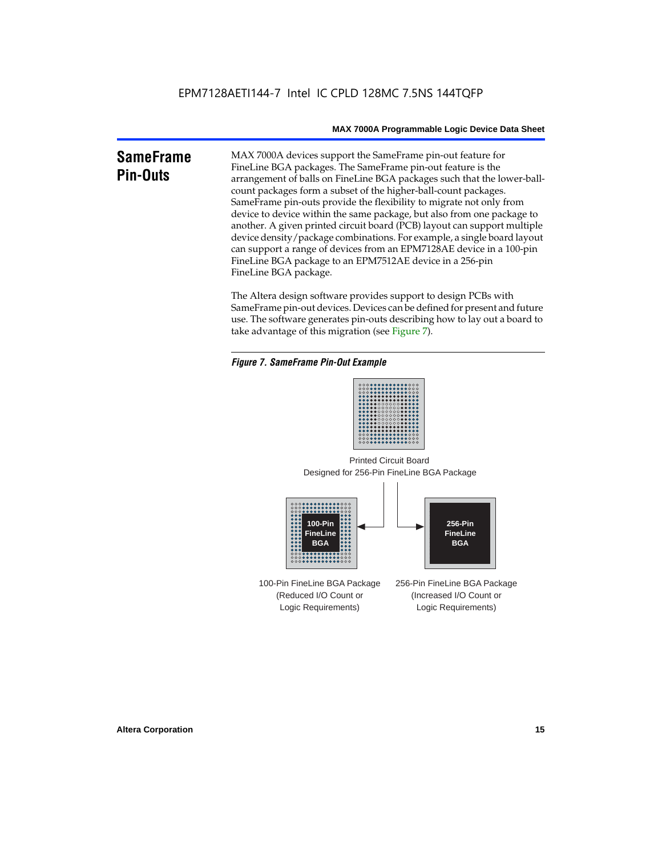### **SameFrame Pin-Outs** MAX 7000A devices support the SameFrame pin-out feature for FineLine BGA packages. The SameFrame pin-out feature is the arrangement of balls on FineLine BGA packages such that the lower-ballcount packages form a subset of the higher-ball-count packages.

SameFrame pin-outs provide the flexibility to migrate not only from device to device within the same package, but also from one package to another. A given printed circuit board (PCB) layout can support multiple device density/package combinations. For example, a single board layout can support a range of devices from an EPM7128AE device in a 100-pin FineLine BGA package to an EPM7512AE device in a 256-pin FineLine BGA package.

The Altera design software provides support to design PCBs with SameFrame pin-out devices. Devices can be defined for present and future use. The software generates pin-outs describing how to lay out a board to take advantage of this migration (see Figure 7).

#### *Figure 7. SameFrame Pin-Out Example*



Designed for 256-Pin FineLine BGA Package Printed Circuit Board



100-Pin FineLine BGA Package (Reduced I/O Count or Logic Requirements) 256-Pin FineLine BGA Package (Increased I/O Count or Logic Requirements)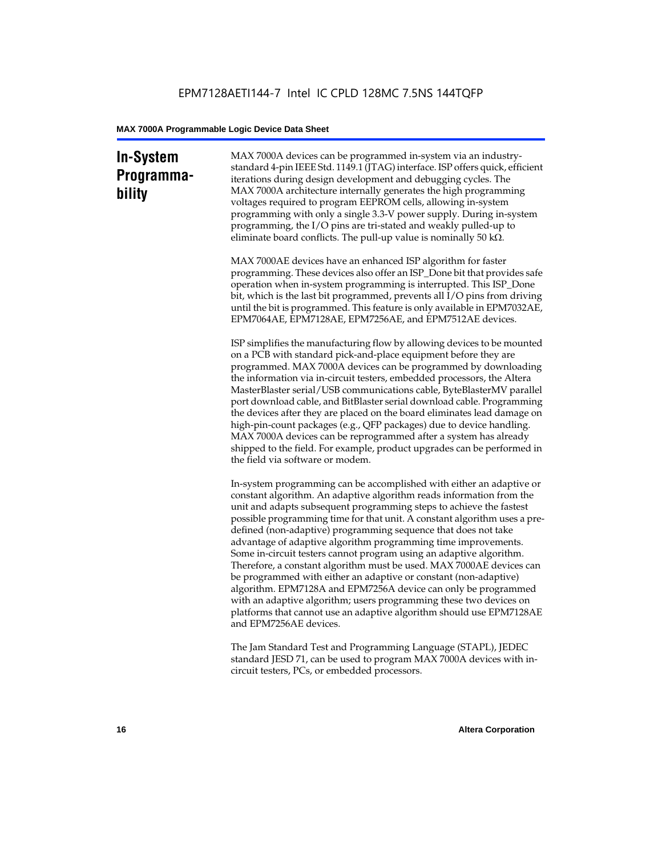### **In-System Programmability**

MAX 7000A devices can be programmed in-system via an industrystandard 4-pin IEEE Std. 1149.1 (JTAG) interface. ISP offers quick, efficient iterations during design development and debugging cycles. The MAX 7000A architecture internally generates the high programming voltages required to program EEPROM cells, allowing in-system programming with only a single 3.3-V power supply. During in-system programming, the I/O pins are tri-stated and weakly pulled-up to eliminate board conflicts. The pull-up value is nominally 50 k $\Omega$ .

MAX 7000AE devices have an enhanced ISP algorithm for faster programming. These devices also offer an ISP\_Done bit that provides safe operation when in-system programming is interrupted. This ISP\_Done bit, which is the last bit programmed, prevents all I/O pins from driving until the bit is programmed. This feature is only available in EPM7032AE, EPM7064AE, EPM7128AE, EPM7256AE, and EPM7512AE devices.

ISP simplifies the manufacturing flow by allowing devices to be mounted on a PCB with standard pick-and-place equipment before they are programmed. MAX 7000A devices can be programmed by downloading the information via in-circuit testers, embedded processors, the Altera MasterBlaster serial/USB communications cable, ByteBlasterMV parallel port download cable, and BitBlaster serial download cable. Programming the devices after they are placed on the board eliminates lead damage on high-pin-count packages (e.g., QFP packages) due to device handling. MAX 7000A devices can be reprogrammed after a system has already shipped to the field. For example, product upgrades can be performed in the field via software or modem.

In-system programming can be accomplished with either an adaptive or constant algorithm. An adaptive algorithm reads information from the unit and adapts subsequent programming steps to achieve the fastest possible programming time for that unit. A constant algorithm uses a predefined (non-adaptive) programming sequence that does not take advantage of adaptive algorithm programming time improvements. Some in-circuit testers cannot program using an adaptive algorithm. Therefore, a constant algorithm must be used. MAX 7000AE devices can be programmed with either an adaptive or constant (non-adaptive) algorithm. EPM7128A and EPM7256A device can only be programmed with an adaptive algorithm; users programming these two devices on platforms that cannot use an adaptive algorithm should use EPM7128AE and EPM7256AE devices.

The Jam Standard Test and Programming Language (STAPL), JEDEC standard JESD 71, can be used to program MAX 7000A devices with incircuit testers, PCs, or embedded processors.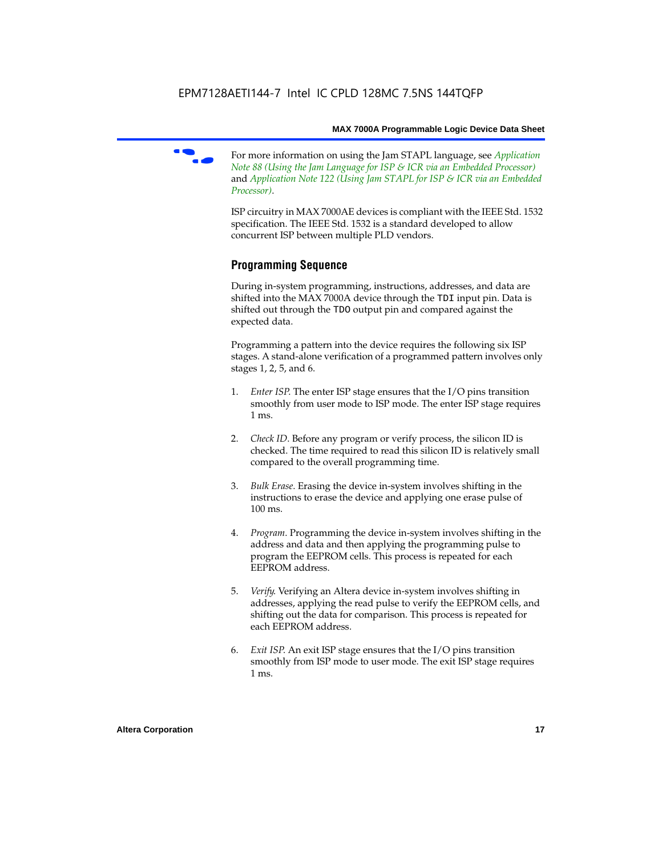

f For more information on using the Jam STAPL language, see *Application Note 88 (Using the Jam Language for ISP & ICR via an Embedded Processor)*  and *Application Note 122 (Using Jam STAPL for ISP & ICR via an Embedded Processor)*.

ISP circuitry in MAX 7000AE devices is compliant with the IEEE Std. 1532 specification. The IEEE Std. 1532 is a standard developed to allow concurrent ISP between multiple PLD vendors.

#### **Programming Sequence**

During in-system programming, instructions, addresses, and data are shifted into the MAX 7000A device through the TDI input pin. Data is shifted out through the TDO output pin and compared against the expected data.

Programming a pattern into the device requires the following six ISP stages. A stand-alone verification of a programmed pattern involves only stages 1, 2, 5, and 6.

- 1. *Enter ISP*. The enter ISP stage ensures that the I/O pins transition smoothly from user mode to ISP mode. The enter ISP stage requires 1 ms.
- 2. *Check ID*. Before any program or verify process, the silicon ID is checked. The time required to read this silicon ID is relatively small compared to the overall programming time.
- 3. *Bulk Erase*. Erasing the device in-system involves shifting in the instructions to erase the device and applying one erase pulse of 100 ms.
- 4. *Program*. Programming the device in-system involves shifting in the address and data and then applying the programming pulse to program the EEPROM cells. This process is repeated for each EEPROM address.
- 5. *Verify*. Verifying an Altera device in-system involves shifting in addresses, applying the read pulse to verify the EEPROM cells, and shifting out the data for comparison. This process is repeated for each EEPROM address.
- 6. *Exit ISP*. An exit ISP stage ensures that the I/O pins transition smoothly from ISP mode to user mode. The exit ISP stage requires 1 ms.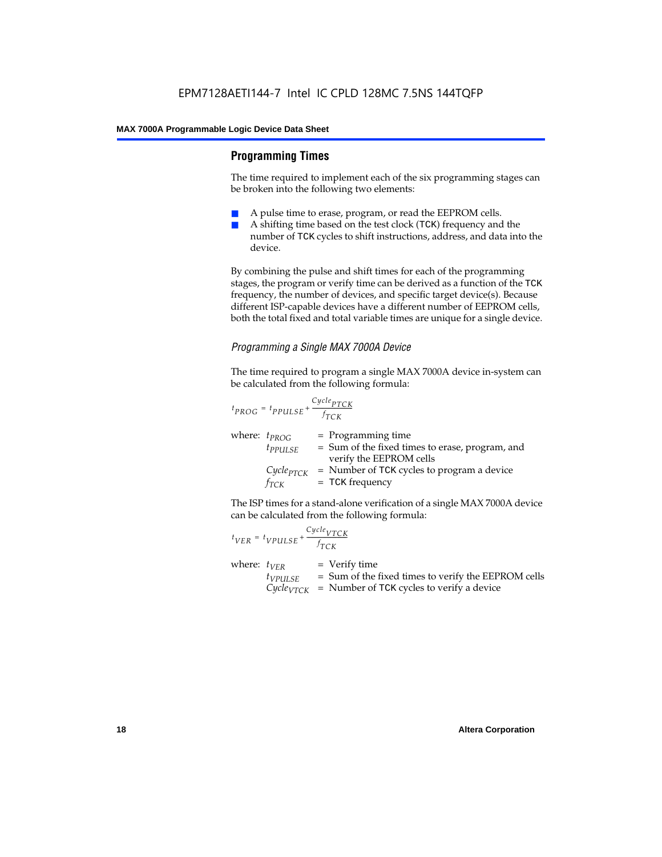#### **Programming Times**

The time required to implement each of the six programming stages can be broken into the following two elements:

- A pulse time to erase, program, or read the EEPROM cells.
- A shifting time based on the test clock (TCK) frequency and the number of TCK cycles to shift instructions, address, and data into the device.

By combining the pulse and shift times for each of the programming stages, the program or verify time can be derived as a function of the TCK frequency, the number of devices, and specific target device(s). Because different ISP-capable devices have a different number of EEPROM cells, both the total fixed and total variable times are unique for a single device.

#### *Programming a Single MAX 7000A Device*

The time required to program a single MAX 7000A device in-system can be calculated from the following formula:

$$
t_{PROG} = t_{PPULSE} + \frac{c_{ycle_{PTCK}}}{f_{TCK}}
$$
  
where:  $t_{PROG}$  = Programming time  
 $t_{PPULSE}$  = Sum of the fixed times to erase, program, and  
verify the EEPROM cells  
 $C_{ycle_{PTCK}}$  = Number of TCK cycles to program a device  
 $f_{TCK}$  = TCK frequency

The ISP times for a stand-alone verification of a single MAX 7000A device can be calculated from the following formula:

| $t_{VER} = t_{VPULSE} + \frac{Cycle_{VTCK}}{f_{TCK}}$ |                                                                                                                                    |
|-------------------------------------------------------|------------------------------------------------------------------------------------------------------------------------------------|
| where: $t_{VFR}$<br>$t_{VPULSE}$                      | $=$ Verify time<br>= Sum of the fixed times to verify the EEPROM cells<br>$Cycle_{VTCK}$ = Number of TCK cycles to verify a device |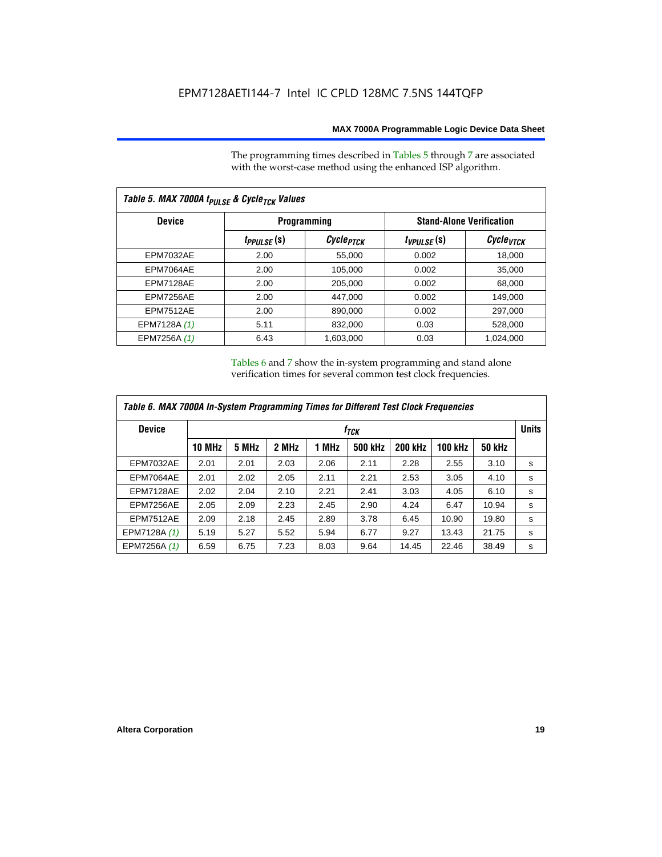The programming times described in Tables 5 through 7 are associated with the worst-case method using the enhanced ISP algorithm.

| Table 5. MAX 7000A t <sub>PULSE</sub> & Cycle <sub>TCK</sub> Values |                 |                       |                 |                                 |  |  |  |  |
|---------------------------------------------------------------------|-----------------|-----------------------|-----------------|---------------------------------|--|--|--|--|
| <b>Device</b>                                                       |                 | <b>Programming</b>    |                 | <b>Stand-Alone Verification</b> |  |  |  |  |
|                                                                     | $t_{PPULSE}(s)$ | Cycle <sub>PTCK</sub> | $t_{VPULSE}(s)$ | Cycle <sub>vTCK</sub>           |  |  |  |  |
| <b>EPM7032AE</b>                                                    | 2.00            | 55,000                | 0.002           | 18,000                          |  |  |  |  |
| EPM7064AE                                                           | 2.00            | 105,000               | 0.002           | 35,000                          |  |  |  |  |
| EPM7128AE                                                           | 2.00            | 205,000               | 0.002           | 68,000                          |  |  |  |  |
| EPM7256AE                                                           | 2.00            | 447,000               | 0.002           | 149.000                         |  |  |  |  |
| <b>EPM7512AE</b>                                                    | 2.00            | 890,000               | 0.002           | 297,000                         |  |  |  |  |
| EPM7128A (1)                                                        | 5.11            | 832,000               | 0.03            | 528,000                         |  |  |  |  |
| EPM7256A (1)                                                        | 6.43            | 1.603.000             | 0.03            | 1,024,000                       |  |  |  |  |

Tables 6 and 7 show the in-system programming and stand alone verification times for several common test clock frequencies.

| Table 6. MAX 7000A In-System Programming Times for Different Test Clock Frequencies |               |                  |       |       |         |                |                |               |   |
|-------------------------------------------------------------------------------------|---------------|------------------|-------|-------|---------|----------------|----------------|---------------|---|
| <b>Device</b>                                                                       |               | f <sub>тск</sub> |       |       |         |                |                |               |   |
|                                                                                     | <b>10 MHz</b> | 5 MHz            | 2 MHz | 1 MHz | 500 kHz | <b>200 kHz</b> | <b>100 kHz</b> | <b>50 kHz</b> |   |
| <b>EPM7032AE</b>                                                                    | 2.01          | 2.01             | 2.03  | 2.06  | 2.11    | 2.28           | 2.55           | 3.10          | s |
| EPM7064AE                                                                           | 2.01          | 2.02             | 2.05  | 2.11  | 2.21    | 2.53           | 3.05           | 4.10          | s |
| EPM7128AE                                                                           | 2.02          | 2.04             | 2.10  | 2.21  | 2.41    | 3.03           | 4.05           | 6.10          | s |
| EPM7256AE                                                                           | 2.05          | 2.09             | 2.23  | 2.45  | 2.90    | 4.24           | 6.47           | 10.94         | s |
| <b>EPM7512AE</b>                                                                    | 2.09          | 2.18             | 2.45  | 2.89  | 3.78    | 6.45           | 10.90          | 19.80         | s |
| EPM7128A (1)                                                                        | 5.19          | 5.27             | 5.52  | 5.94  | 6.77    | 9.27           | 13.43          | 21.75         | s |
| EPM7256A (1)                                                                        | 6.59          | 6.75             | 7.23  | 8.03  | 9.64    | 14.45          | 22.46          | 38.49         | s |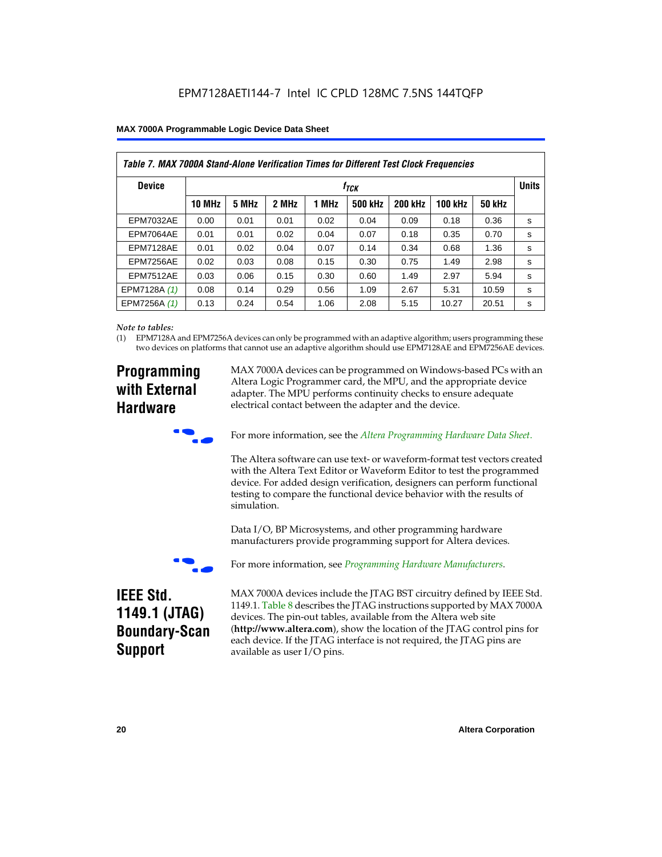| Table 7. MAX 7000A Stand-Alone Verification Times for Different Test Clock Frequencies |               |                               |       |       |                |                |                |               |   |
|----------------------------------------------------------------------------------------|---------------|-------------------------------|-------|-------|----------------|----------------|----------------|---------------|---|
| <b>Device</b>                                                                          |               | <b>Units</b><br>$t_{\rm TCK}$ |       |       |                |                |                |               |   |
|                                                                                        | <b>10 MHz</b> | 5 MHz                         | 2 MHz | 1 MHz | <b>500 kHz</b> | <b>200 kHz</b> | <b>100 kHz</b> | <b>50 kHz</b> |   |
| <b>EPM7032AE</b>                                                                       | 0.00          | 0.01                          | 0.01  | 0.02  | 0.04           | 0.09           | 0.18           | 0.36          | s |
| EPM7064AE                                                                              | 0.01          | 0.01                          | 0.02  | 0.04  | 0.07           | 0.18           | 0.35           | 0.70          | s |
| EPM7128AE                                                                              | 0.01          | 0.02                          | 0.04  | 0.07  | 0.14           | 0.34           | 0.68           | 1.36          | s |
| EPM7256AE                                                                              | 0.02          | 0.03                          | 0.08  | 0.15  | 0.30           | 0.75           | 1.49           | 2.98          | S |
| <b>EPM7512AE</b>                                                                       | 0.03          | 0.06                          | 0.15  | 0.30  | 0.60           | 1.49           | 2.97           | 5.94          | s |
| EPM7128A (1)                                                                           | 0.08          | 0.14                          | 0.29  | 0.56  | 1.09           | 2.67           | 5.31           | 10.59         | s |
| EPM7256A (1)                                                                           | 0.13          | 0.24                          | 0.54  | 1.06  | 2.08           | 5.15           | 10.27          | 20.51         | s |

#### *Note to tables:*

(1) EPM7128A and EPM7256A devices can only be programmed with an adaptive algorithm; users programming these two devices on platforms that cannot use an adaptive algorithm should use EPM7128AE and EPM7256AE devices.

### **Programming with External Hardware**

MAX 7000A devices can be programmed on Windows-based PCs with an Altera Logic Programmer card, the MPU, and the appropriate device adapter. The MPU performs continuity checks to ensure adequate electrical contact between the adapter and the device.



For more information, see the *Altera Programming Hardware Data Sheet*.

The Altera software can use text- or waveform-format test vectors created with the Altera Text Editor or Waveform Editor to test the programmed device. For added design verification, designers can perform functional testing to compare the functional device behavior with the results of simulation.

Data I/O, BP Microsystems, and other programming hardware manufacturers provide programming support for Altera devices.



For more information, see *Programming Hardware Manufacturers*.

### **IEEE Std. 1149.1 (JTAG) Boundary-Scan Support**

MAX 7000A devices include the JTAG BST circuitry defined by IEEE Std. 1149.1. Table 8 describes the JTAG instructions supported by MAX 7000A devices. The pin-out tables, available from the Altera web site (**http://www.altera.com**), show the location of the JTAG control pins for each device. If the JTAG interface is not required, the JTAG pins are available as user I/O pins.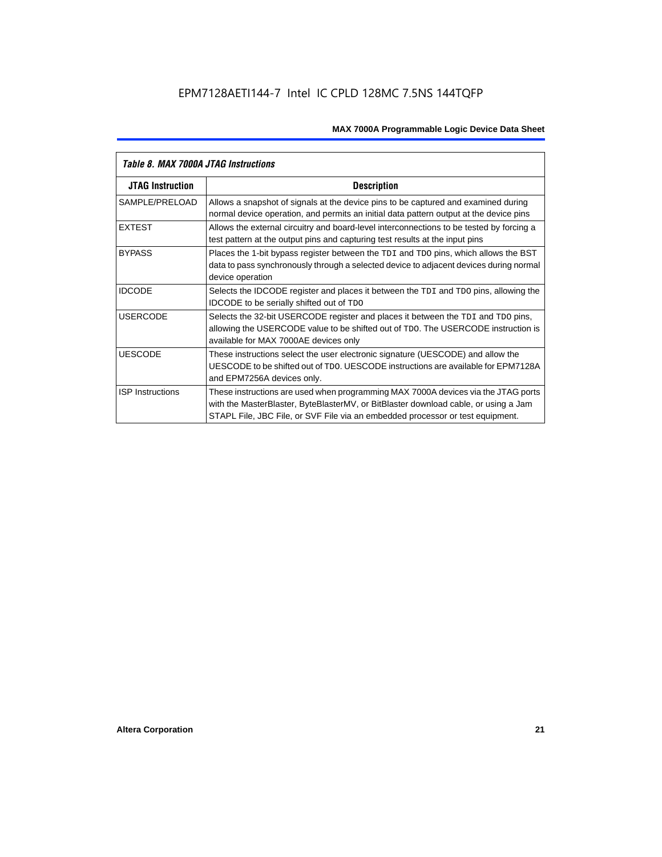| Table 8. MAX 7000A JTAG Instructions |                                                                                                                                                                                                                                                            |  |  |  |  |  |
|--------------------------------------|------------------------------------------------------------------------------------------------------------------------------------------------------------------------------------------------------------------------------------------------------------|--|--|--|--|--|
| <b>JTAG Instruction</b>              | <b>Description</b>                                                                                                                                                                                                                                         |  |  |  |  |  |
| SAMPLE/PRELOAD                       | Allows a snapshot of signals at the device pins to be captured and examined during<br>normal device operation, and permits an initial data pattern output at the device pins                                                                               |  |  |  |  |  |
| <b>EXTEST</b>                        | Allows the external circuitry and board-level interconnections to be tested by forcing a<br>test pattern at the output pins and capturing test results at the input pins                                                                                   |  |  |  |  |  |
| <b>BYPASS</b>                        | Places the 1-bit bypass register between the TDI and TDO pins, which allows the BST<br>data to pass synchronously through a selected device to adjacent devices during normal<br>device operation                                                          |  |  |  |  |  |
| <b>IDCODE</b>                        | Selects the IDCODE register and places it between the TDI and TDO pins, allowing the<br><b>IDCODE</b> to be serially shifted out of TDO                                                                                                                    |  |  |  |  |  |
| <b>USERCODE</b>                      | Selects the 32-bit USERCODE register and places it between the TDI and TDO pins,<br>allowing the USERCODE value to be shifted out of TDO. The USERCODE instruction is<br>available for MAX 7000AE devices only                                             |  |  |  |  |  |
| <b>UESCODE</b>                       | These instructions select the user electronic signature (UESCODE) and allow the<br>UESCODE to be shifted out of TDO, UESCODE instructions are available for EPM7128A<br>and EPM7256A devices only.                                                         |  |  |  |  |  |
| <b>ISP Instructions</b>              | These instructions are used when programming MAX 7000A devices via the JTAG ports<br>with the MasterBlaster, ByteBlasterMV, or BitBlaster download cable, or using a Jam<br>STAPL File, JBC File, or SVF File via an embedded processor or test equipment. |  |  |  |  |  |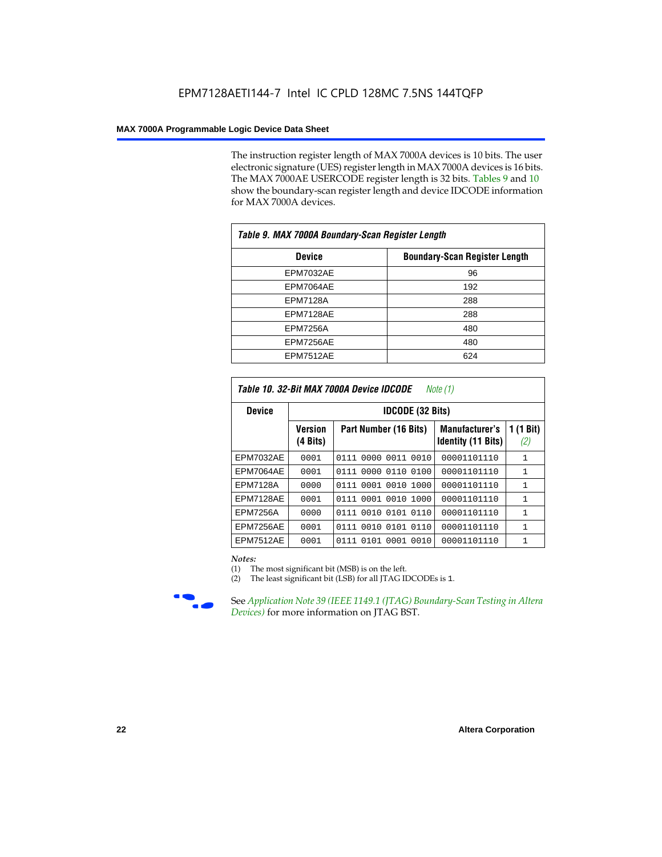The instruction register length of MAX 7000A devices is 10 bits. The user electronic signature (UES) register length in MAX 7000A devices is 16 bits. The MAX 7000AE USERCODE register length is 32 bits. Tables 9 and 10 show the boundary-scan register length and device IDCODE information for MAX 7000A devices.

| Table 9. MAX 7000A Boundary-Scan Register Length |                                      |  |  |  |  |
|--------------------------------------------------|--------------------------------------|--|--|--|--|
| <b>Device</b>                                    | <b>Boundary-Scan Register Length</b> |  |  |  |  |
| <b>EPM7032AE</b>                                 | 96                                   |  |  |  |  |
| EPM7064AE                                        | 192                                  |  |  |  |  |
| <b>EPM7128A</b>                                  | 288                                  |  |  |  |  |
| EPM7128AE                                        | 288                                  |  |  |  |  |
| <b>EPM7256A</b>                                  | 480                                  |  |  |  |  |
| EPM7256AE                                        | 480                                  |  |  |  |  |
| EPM7512AE                                        | 624                                  |  |  |  |  |

| Table 10. 32-Bit MAX 7000A Device IDCODE<br>Note (1) |                            |                              |                                                    |                               |  |  |  |  |  |
|------------------------------------------------------|----------------------------|------------------------------|----------------------------------------------------|-------------------------------|--|--|--|--|--|
| <b>Device</b>                                        |                            | <b>IDCODE (32 Bits)</b>      |                                                    |                               |  |  |  |  |  |
|                                                      | <b>Version</b><br>(4 Bits) | Part Number (16 Bits)        | <b>Manufacturer's</b><br><b>Identity (11 Bits)</b> | $(1 \text{ Bit})$<br>1<br>(2) |  |  |  |  |  |
| <b>EPM7032AE</b>                                     | 0001                       | 0000<br>0111<br>0011<br>0010 | 00001101110                                        | $\mathbf{1}$                  |  |  |  |  |  |
| EPM7064AE                                            | 0001                       | 0000 0110<br>0100<br>0111    | 00001101110                                        | 1                             |  |  |  |  |  |
| <b>EPM7128A</b>                                      | 0000                       | 0111 0001 0010 1000          | 00001101110                                        | $\mathbf{1}$                  |  |  |  |  |  |
| EPM7128AE                                            | 0001                       | 0111 0001 0010 1000          | 00001101110                                        | 1                             |  |  |  |  |  |
| <b>EPM7256A</b>                                      | 0000                       | 0010 0101 0110<br>0111       | 00001101110                                        | $\mathbf{1}$                  |  |  |  |  |  |
| EPM7256AE                                            | 0001                       | 0010 0101<br>0110<br>0111    | 00001101110                                        | $\mathbf{1}$                  |  |  |  |  |  |
| <b>EPM7512AE</b>                                     | 0001                       | 0101 0001 0010<br>0111       | 00001101110                                        | $\mathbf{1}$                  |  |  |  |  |  |

#### *Notes:*

(1) The most significant bit (MSB) is on the left.

(2) The least significant bit (LSB) for all JTAG IDCODEs is 1.



**f See Application Note 39 (IEEE 1149.1 (JTAG) Boundary-Scan Testing in Altera** *Devices)* for more information on JTAG BST.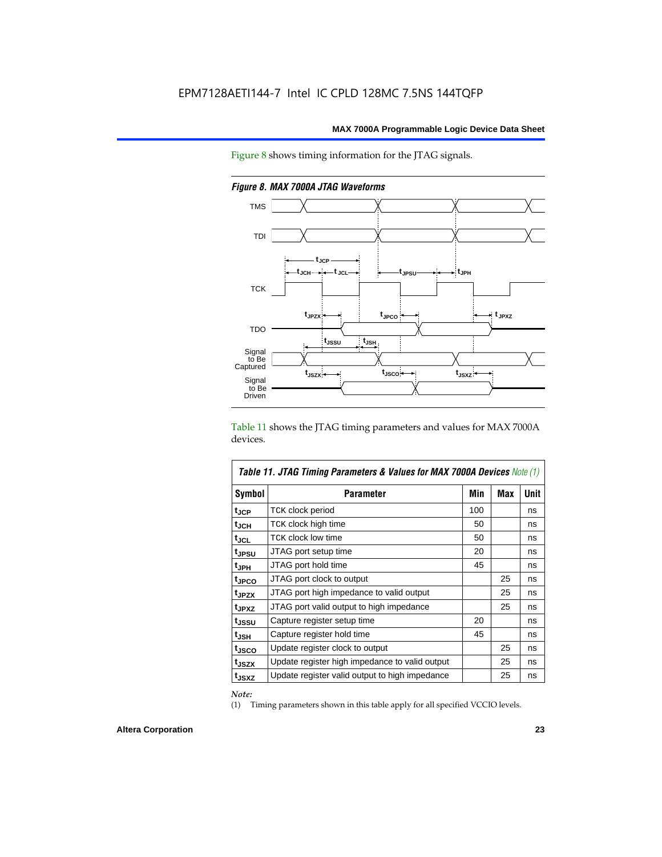Figure 8 shows timing information for the JTAG signals.



*Figure 8. MAX 7000A JTAG Waveforms*

Table 11 shows the JTAG timing parameters and values for MAX 7000A devices.

| Table 11. JTAG Timing Parameters & Values for MAX 7000A Devices Note (1) |                                                |     |            |             |  |  |  |
|--------------------------------------------------------------------------|------------------------------------------------|-----|------------|-------------|--|--|--|
| Symbol                                                                   | <b>Parameter</b>                               | Min | <b>Max</b> | <b>Unit</b> |  |  |  |
| t <sub>JCP</sub>                                                         | TCK clock period                               | 100 |            | ns          |  |  |  |
| $t_{\sf JCH}$                                                            | TCK clock high time                            | 50  |            | ns          |  |  |  |
| tjcl                                                                     | TCK clock low time                             | 50  |            | ns          |  |  |  |
| t <sub>JPSU</sub>                                                        | JTAG port setup time                           | 20  |            | ns          |  |  |  |
| t <sub>JPH</sub>                                                         | JTAG port hold time                            | 45  |            | ns          |  |  |  |
| tjpco                                                                    | JTAG port clock to output                      |     | 25         | ns          |  |  |  |
| t <sub>JPZX</sub>                                                        | JTAG port high impedance to valid output       |     | 25         | ns          |  |  |  |
| t <sub>JPXZ</sub>                                                        | JTAG port valid output to high impedance       |     | 25         | ns          |  |  |  |
| tjssu                                                                    | Capture register setup time                    | 20  |            | ns          |  |  |  |
| $t_{JSH}$                                                                | Capture register hold time                     | 45  |            | ns          |  |  |  |
| t <sub>JSCO</sub>                                                        | Update register clock to output                |     | 25         | ns          |  |  |  |
| t <sub>JSZX</sub>                                                        | Update register high impedance to valid output |     | 25         | ns          |  |  |  |
| t <sub>JSXZ</sub>                                                        | Update register valid output to high impedance |     | 25         | ns          |  |  |  |

*Note:*

(1) Timing parameters shown in this table apply for all specified VCCIO levels.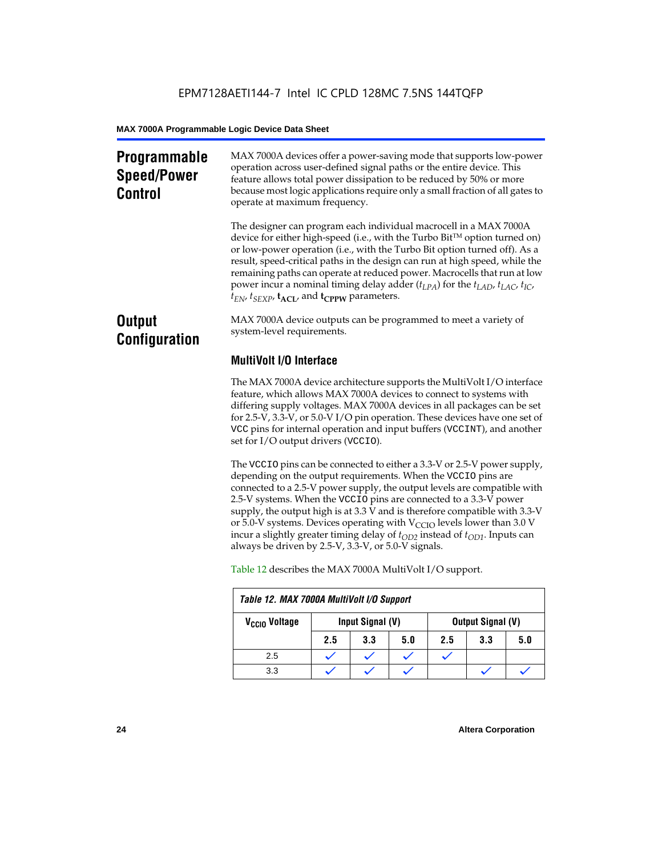### **Programmable Speed/Power Control**

MAX 7000A devices offer a power-saving mode that supports low-power operation across user-defined signal paths or the entire device. This feature allows total power dissipation to be reduced by 50% or more because most logic applications require only a small fraction of all gates to operate at maximum frequency.

The designer can program each individual macrocell in a MAX 7000A device for either high-speed (i.e., with the Turbo  $Bit^{TM}$  option turned on) or low-power operation (i.e., with the Turbo Bit option turned off). As a result, speed-critical paths in the design can run at high speed, while the remaining paths can operate at reduced power. Macrocells that run at low power incur a nominal timing delay adder (*tLPA*) for the *tLAD*, *tLAC*, *tIC*,  $t_{EN}$ ,  $t_{SEXP}$ ,  $t_{ACL}$ , and  $t_{CPPW}$  parameters.

### **Output Configuration**

MAX 7000A device outputs can be programmed to meet a variety of system-level requirements.

### **MultiVolt I/O Interface**

The MAX 7000A device architecture supports the MultiVolt I/O interface feature, which allows MAX 7000A devices to connect to systems with differing supply voltages. MAX 7000A devices in all packages can be set for 2.5-V, 3.3-V, or 5.0-V I/O pin operation. These devices have one set of VCC pins for internal operation and input buffers (VCCINT), and another set for I/O output drivers (VCCIO).

The VCCIO pins can be connected to either a 3.3-V or 2.5-V power supply, depending on the output requirements. When the VCCIO pins are connected to a 2.5-V power supply, the output levels are compatible with 2.5-V systems. When the VCCIO pins are connected to a 3.3-V power supply, the output high is at 3.3 V and is therefore compatible with 3.3-V or 5.0-V systems. Devices operating with  $V_{\text{CCIO}}$  levels lower than 3.0 V incur a slightly greater timing delay of  $t_{OD2}$  instead of  $t_{OD1}$ . Inputs can always be driven by 2.5-V, 3.3-V, or 5.0-V signals.

| Table 12. MAX 7000A MultiVolt I/O Support |     |                  |     |     |                          |     |
|-------------------------------------------|-----|------------------|-----|-----|--------------------------|-----|
| V <sub>CCIO</sub> Voltage                 |     | Input Signal (V) |     |     | <b>Output Signal (V)</b> |     |
|                                           | 2.5 | 3.3              | 5.0 | 2.5 | 3.3                      | 5.0 |
| 2.5                                       |     |                  |     |     |                          |     |
| 3.3                                       |     |                  |     |     |                          |     |

Table 12 describes the MAX 7000A MultiVolt I/O support.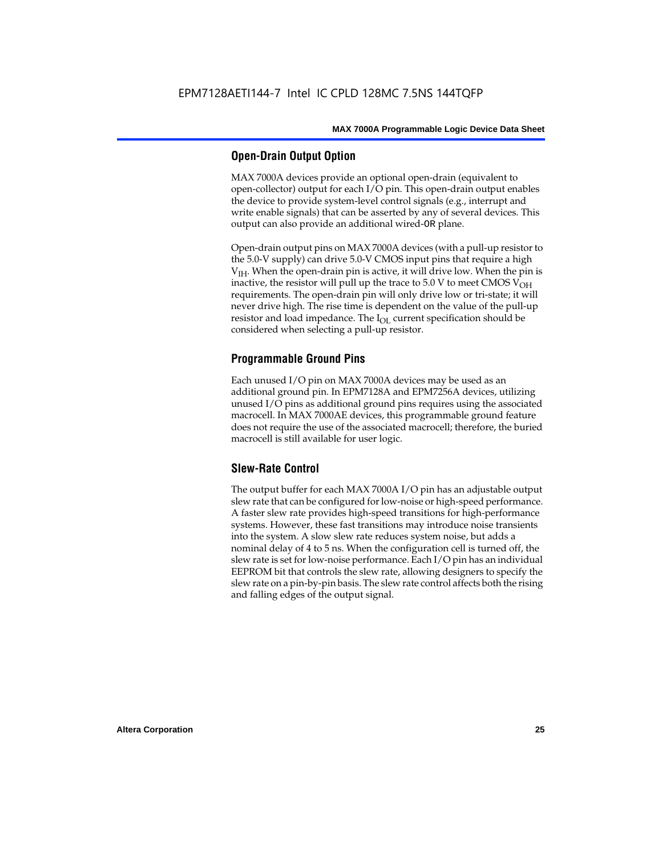#### **Open-Drain Output Option**

MAX 7000A devices provide an optional open-drain (equivalent to open-collector) output for each I/O pin. This open-drain output enables the device to provide system-level control signals (e.g., interrupt and write enable signals) that can be asserted by any of several devices. This output can also provide an additional wired-OR plane.

Open-drain output pins on MAX 7000A devices (with a pull-up resistor to the 5.0-V supply) can drive 5.0-V CMOS input pins that require a high  $V<sub>IH</sub>$ . When the open-drain pin is active, it will drive low. When the pin is inactive, the resistor will pull up the trace to  $5.0$  V to meet CMOS V<sub>OH</sub> requirements. The open-drain pin will only drive low or tri-state; it will never drive high. The rise time is dependent on the value of the pull-up resistor and load impedance. The  $I_{OL}$  current specification should be considered when selecting a pull-up resistor.

#### **Programmable Ground Pins**

Each unused I/O pin on MAX 7000A devices may be used as an additional ground pin. In EPM7128A and EPM7256A devices, utilizing unused I/O pins as additional ground pins requires using the associated macrocell. In MAX 7000AE devices, this programmable ground feature does not require the use of the associated macrocell; therefore, the buried macrocell is still available for user logic.

#### **Slew-Rate Control**

The output buffer for each MAX 7000A I/O pin has an adjustable output slew rate that can be configured for low-noise or high-speed performance. A faster slew rate provides high-speed transitions for high-performance systems. However, these fast transitions may introduce noise transients into the system. A slow slew rate reduces system noise, but adds a nominal delay of 4 to 5 ns. When the configuration cell is turned off, the slew rate is set for low-noise performance. Each I/O pin has an individual EEPROM bit that controls the slew rate, allowing designers to specify the slew rate on a pin-by-pin basis. The slew rate control affects both the rising and falling edges of the output signal.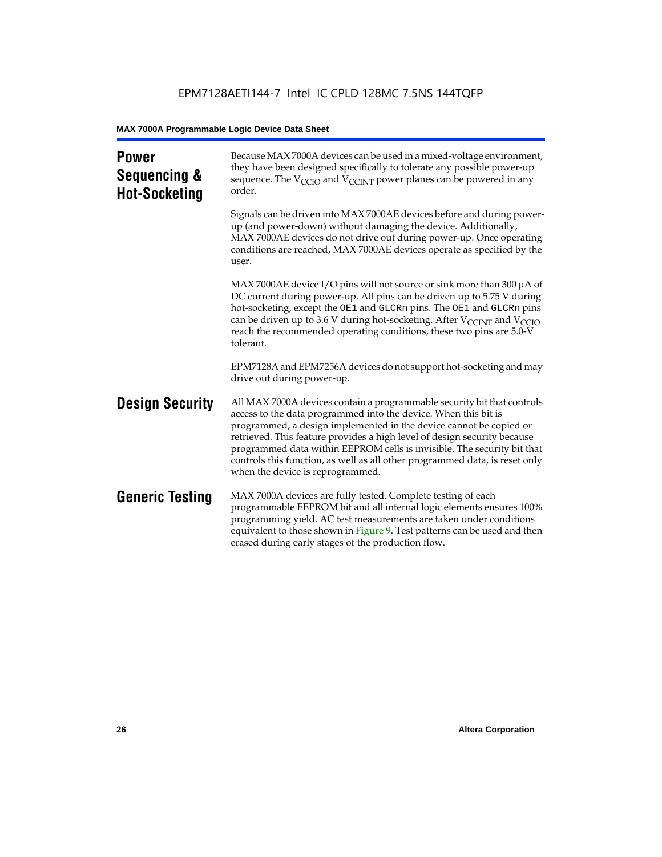| <b>Power</b><br>Sequencing &<br><b>Hot-Socketing</b> | Because MAX 7000A devices can be used in a mixed-voltage environment,<br>they have been designed specifically to tolerate any possible power-up<br>sequence. The $V_{\text{CCIO}}$ and $V_{\text{CCINT}}$ power planes can be powered in any<br>order.                                                                                                                                                                                                                                     |
|------------------------------------------------------|--------------------------------------------------------------------------------------------------------------------------------------------------------------------------------------------------------------------------------------------------------------------------------------------------------------------------------------------------------------------------------------------------------------------------------------------------------------------------------------------|
|                                                      | Signals can be driven into MAX 7000AE devices before and during power-<br>up (and power-down) without damaging the device. Additionally,<br>MAX 7000AE devices do not drive out during power-up. Once operating<br>conditions are reached, MAX 7000AE devices operate as specified by the<br>user.                                                                                                                                                                                         |
|                                                      | MAX 7000AE device I/O pins will not source or sink more than 300 $\mu$ A of<br>DC current during power-up. All pins can be driven up to 5.75 V during<br>hot-socketing, except the OE1 and GLCRn pins. The OE1 and GLCRn pins<br>can be driven up to 3.6 V during hot-socketing. After $V_{\text{CCINT}}$ and $V_{\text{CCIO}}$<br>reach the recommended operating conditions, these two pins are 5.0-V<br>tolerant.                                                                       |
|                                                      | EPM7128A and EPM7256A devices do not support hot-socketing and may<br>drive out during power-up.                                                                                                                                                                                                                                                                                                                                                                                           |
| <b>Design Security</b>                               | All MAX 7000A devices contain a programmable security bit that controls<br>access to the data programmed into the device. When this bit is<br>programmed, a design implemented in the device cannot be copied or<br>retrieved. This feature provides a high level of design security because<br>programmed data within EEPROM cells is invisible. The security bit that<br>controls this function, as well as all other programmed data, is reset only<br>when the device is reprogrammed. |
| <b>Generic Testing</b>                               | MAX 7000A devices are fully tested. Complete testing of each<br>programmable EEPROM bit and all internal logic elements ensures 100%<br>programming yield. AC test measurements are taken under conditions<br>equivalent to those shown in Figure 9. Test patterns can be used and then<br>erased during early stages of the production flow.                                                                                                                                              |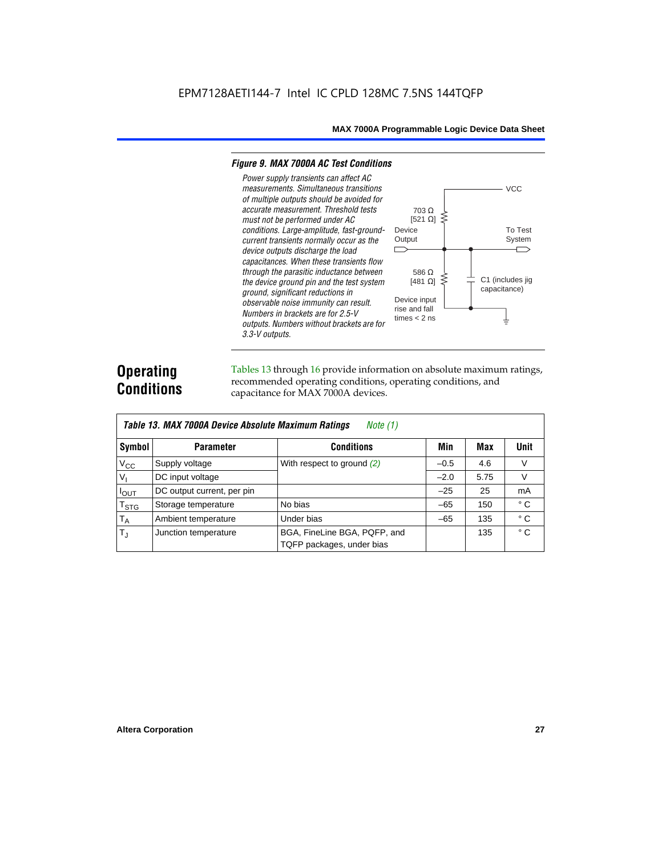#### *Figure 9. MAX 7000A AC Test Conditions*

*3.3-V outputs.*



### **Operating Conditions**

Tables 13 through 16 provide information on absolute maximum ratings, recommended operating conditions, operating conditions, and capacitance for MAX 7000A devices.

|                        | Table 13. MAX 7000A Device Absolute Maximum Ratings<br>Note $(1)$ |                                                           |        |      |              |  |  |  |  |  |  |
|------------------------|-------------------------------------------------------------------|-----------------------------------------------------------|--------|------|--------------|--|--|--|--|--|--|
| Symbol                 | <b>Parameter</b>                                                  | <b>Conditions</b>                                         | Min    | Max  | <b>Unit</b>  |  |  |  |  |  |  |
| $V_{CC}$               | Supply voltage                                                    | With respect to ground $(2)$                              | $-0.5$ | 4.6  | V            |  |  |  |  |  |  |
| $V_{I}$                | DC input voltage                                                  |                                                           | $-2.0$ | 5.75 | $\vee$       |  |  |  |  |  |  |
| $I_{OUT}$              | DC output current, per pin                                        |                                                           | $-25$  | 25   | mA           |  |  |  |  |  |  |
| <b>T<sub>STG</sub></b> | Storage temperature                                               | No bias                                                   | $-65$  | 150  | $^{\circ}$ C |  |  |  |  |  |  |
| $T_A$                  | Ambient temperature                                               | Under bias                                                | $-65$  | 135  | $^{\circ}$ C |  |  |  |  |  |  |
| $T_{\rm J}$            | Junction temperature                                              | BGA, FineLine BGA, PQFP, and<br>TQFP packages, under bias |        | 135  | $^{\circ}$ C |  |  |  |  |  |  |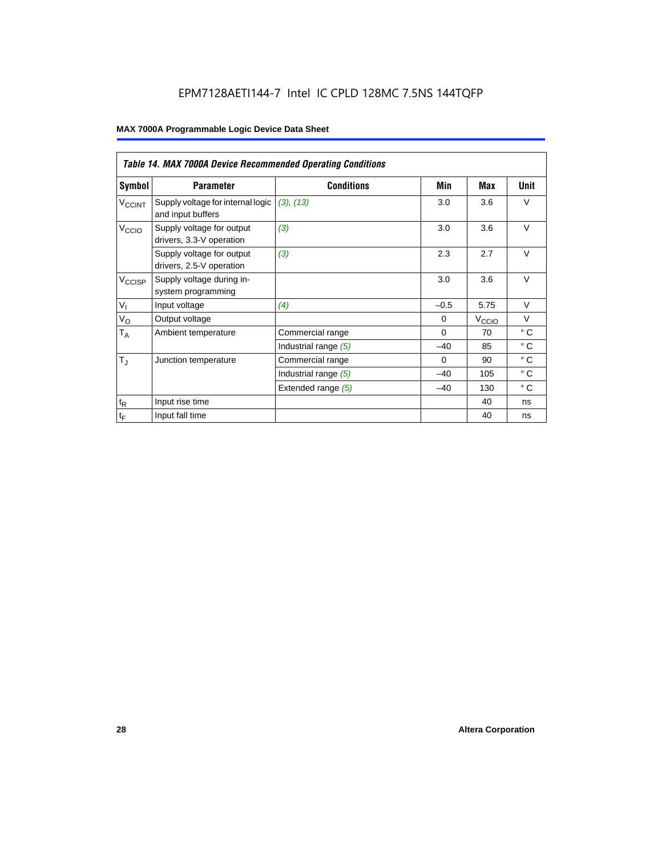### EPM7128AETI144-7 Intel IC CPLD 128MC 7.5NS 144TQFP

|                             | <b>Table 14. MAX 7000A Device Recommended Operating Conditions</b> |                      |          |                   |              |  |  |  |  |  |
|-----------------------------|--------------------------------------------------------------------|----------------------|----------|-------------------|--------------|--|--|--|--|--|
| Symbol                      | <b>Parameter</b>                                                   | <b>Conditions</b>    | Min      | Max               | Unit         |  |  |  |  |  |
| <b>V<sub>CCINT</sub></b>    | Supply voltage for internal logic<br>and input buffers             | (3), (13)            | 3.0      | 3.6               | $\vee$       |  |  |  |  |  |
| V <sub>CCIO</sub>           | Supply voltage for output<br>drivers, 3.3-V operation              | (3)                  | 3.0      | 3.6               | $\vee$       |  |  |  |  |  |
|                             | Supply voltage for output<br>drivers, 2.5-V operation              | (3)                  | 2.3      | 2.7               | $\vee$       |  |  |  |  |  |
| V <sub>CCISP</sub>          | Supply voltage during in-<br>system programming                    |                      | 3.0      | 3.6               | $\vee$       |  |  |  |  |  |
| $V_{I}$                     | Input voltage                                                      | (4)                  | $-0.5$   | 5.75              | $\vee$       |  |  |  |  |  |
| $V_{\rm O}$                 | Output voltage                                                     |                      | $\Omega$ | $V_{\text{CCIQ}}$ | $\vee$       |  |  |  |  |  |
| $T_A$                       | Ambient temperature                                                | Commercial range     | $\Omega$ | 70                | $\circ$ C    |  |  |  |  |  |
|                             |                                                                    | Industrial range (5) | $-40$    | 85                | $^{\circ}$ C |  |  |  |  |  |
| $T_{\rm J}$                 | Junction temperature                                               | Commercial range     | $\Omega$ | 90                | $^{\circ}$ C |  |  |  |  |  |
|                             |                                                                    | Industrial range (5) | $-40$    | 105               | $^{\circ}$ C |  |  |  |  |  |
|                             |                                                                    | Extended range (5)   | $-40$    | 130               | $^{\circ}$ C |  |  |  |  |  |
| $\mathfrak{t}_{\mathsf{R}}$ | Input rise time                                                    |                      |          | 40                | ns           |  |  |  |  |  |
| $\mathfrak{t}_{\mathsf{F}}$ | Input fall time                                                    |                      |          | 40                | ns           |  |  |  |  |  |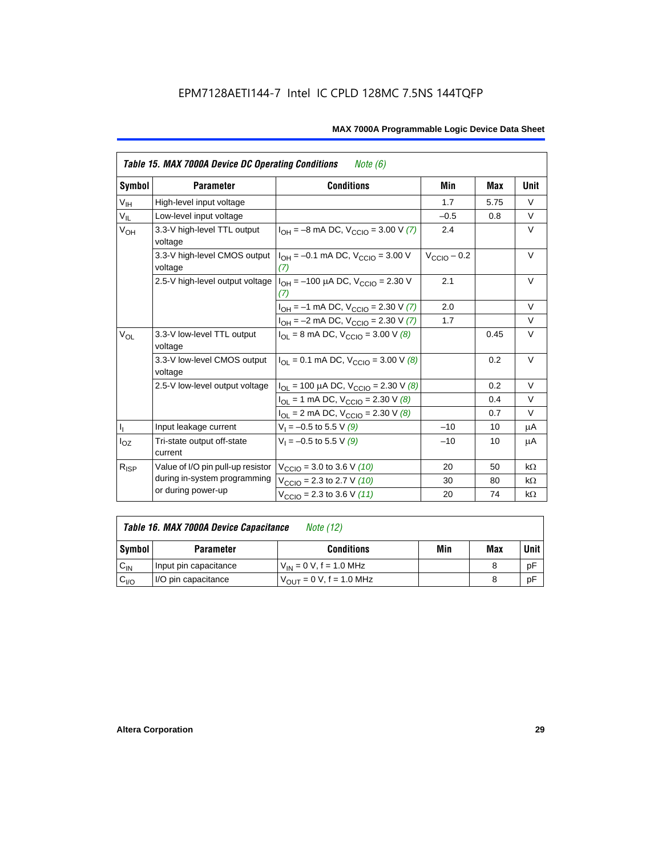|                 | <b>Table 15. MAX 7000A Device DC Operating Conditions</b><br>Note (6) |                                                                                        |                 |      |           |  |  |  |  |  |
|-----------------|-----------------------------------------------------------------------|----------------------------------------------------------------------------------------|-----------------|------|-----------|--|--|--|--|--|
| Symbol          | <b>Parameter</b>                                                      | <b>Conditions</b>                                                                      | Min             | Max  | Unit      |  |  |  |  |  |
| $V_{\text{IH}}$ | High-level input voltage                                              |                                                                                        | 1.7             | 5.75 | $\vee$    |  |  |  |  |  |
| $V_{IL}$        | Low-level input voltage                                               |                                                                                        | $-0.5$          | 0.8  | V         |  |  |  |  |  |
| V <sub>OH</sub> | 3.3-V high-level TTL output<br>voltage                                | $I_{OH} = -8$ mA DC, $V_{CClO} = 3.00$ V (7)                                           | 2.4             |      | $\vee$    |  |  |  |  |  |
|                 | 3.3-V high-level CMOS output<br>voltage                               | $I_{OH} = -0.1$ mA DC, $V_{CClO} = 3.00$ V<br>(7)                                      | $V_{CCD}$ – 0.2 |      | $\vee$    |  |  |  |  |  |
|                 |                                                                       | 2.5-V high-level output voltage $ I_{OH} = -100 \mu A DC$ , $V_{CClO} = 2.30 V$<br>(7) | 2.1             |      | V         |  |  |  |  |  |
|                 |                                                                       | $I_{OH} = -1$ mA DC, $V_{CCIO} = 2.30$ V (7)                                           | 2.0             |      | $\vee$    |  |  |  |  |  |
|                 |                                                                       | $I_{OH} = -2$ mA DC, $V_{CCIO} = 2.30$ V (7)                                           | 1.7             |      | $\vee$    |  |  |  |  |  |
| $V_{OL}$        | 3.3-V low-level TTL output<br>voltage                                 | $I_{OL}$ = 8 mA DC, $V_{CCIO}$ = 3.00 V (8)                                            |                 | 0.45 | $\vee$    |  |  |  |  |  |
|                 | 3.3-V low-level CMOS output<br>voltage                                | $I_{\text{OI}} = 0.1 \text{ mA DC}$ , $V_{\text{CCl}} = 3.00 \text{ V}$ (8)            |                 | 0.2  | V         |  |  |  |  |  |
|                 | 2.5-V low-level output voltage                                        | $I_{OL}$ = 100 µA DC, $V_{CCIO}$ = 2.30 V (8)                                          |                 | 0.2  | $\vee$    |  |  |  |  |  |
|                 |                                                                       | $I_{OL}$ = 1 mA DC, $V_{CCIO}$ = 2.30 V (8)                                            |                 | 0.4  | V         |  |  |  |  |  |
|                 |                                                                       | $I_{OL}$ = 2 mA DC, $V_{CCIO}$ = 2.30 V (8)                                            |                 | 0.7  | V         |  |  |  |  |  |
| $\mathbf{l}_1$  | Input leakage current                                                 | $V_1 = -0.5$ to 5.5 V (9)                                                              | $-10$           | 10   | μA        |  |  |  |  |  |
| $I_{OZ}$        | Tri-state output off-state<br>current                                 | $V_1 = -0.5$ to 5.5 V (9)                                                              | $-10$           | 10   | μA        |  |  |  |  |  |
| $R_{ISP}$       | Value of I/O pin pull-up resistor                                     | $V_{\text{CCIO}}$ = 3.0 to 3.6 V (10)                                                  | 20              | 50   | $k\Omega$ |  |  |  |  |  |
|                 | during in-system programming                                          | $V_{\text{CCIO}}$ = 2.3 to 2.7 V (10)                                                  | 30              | 80   | $k\Omega$ |  |  |  |  |  |
|                 | or during power-up                                                    | $V_{\text{CCIO}} = 2.3$ to 3.6 V (11)                                                  | 20              | 74   | $k\Omega$ |  |  |  |  |  |

| Table 16. MAX 7000A Device Capacitance | Note (12) |
|----------------------------------------|-----------|
|                                        |           |

| Symbol    | <b>Parameter</b>      | <b>Conditions</b>                   | Min | Max | Unit |
|-----------|-----------------------|-------------------------------------|-----|-----|------|
| $C_{IN}$  | Input pin capacitance | $V_{IN} = 0$ V, f = 1.0 MHz         |     |     | рF   |
| $v_{1/0}$ | I/O pin capacitance   | $V_{\text{OUT}} = 0 V, f = 1.0 MHz$ |     |     | рF   |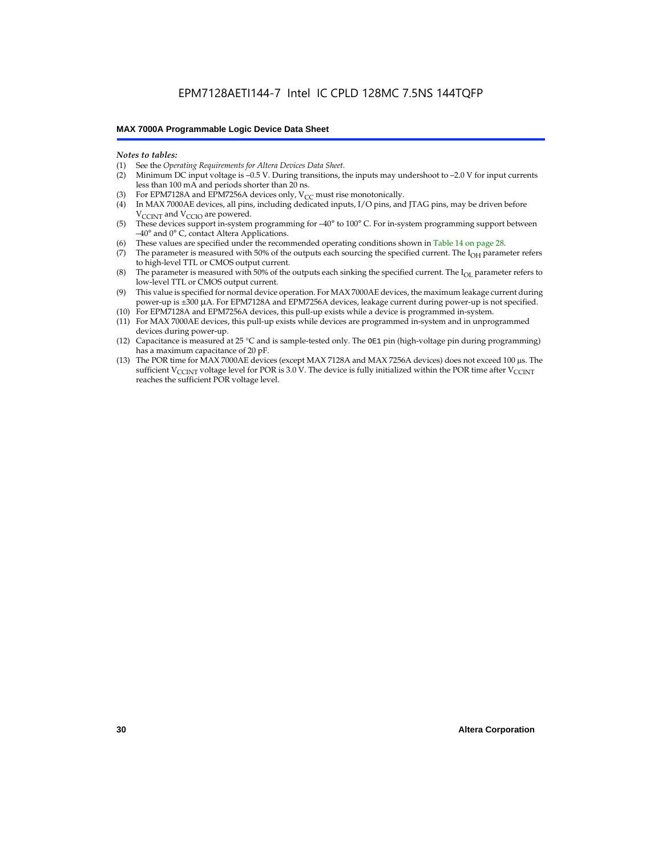#### *Notes to tables:*

- (1) See the *Operating Requirements for Altera Devices Data Sheet.*
- Minimum DC input voltage is –0.5 V. During transitions, the inputs may undershoot to –2.0 V for input currents less than 100 mA and periods shorter than 20 ns.
- (3) For EPM7128A and EPM7256A devices only,  $V_{CC}$  must rise monotonically.
- (4) In MAX 7000AE devices, all pins, including dedicated inputs, I/O pins, and JTAG pins, may be driven before V<sub>CCINT</sub> and V<sub>CCIO</sub> are powered.
- (5) These devices support in-system programming for –40° to 100° C. For in-system programming support between –40° and 0° C, contact Altera Applications.
- (6) These values are specified under the recommended operating conditions shown in Table 14 on page 28.
- (7) The parameter is measured with 50% of the outputs each sourcing the specified current. The  $I_{OH}$  parameter refers to high-level TTL or CMOS output current.
- (8) The parameter is measured with 50% of the outputs each sinking the specified current. The  $I_{OL}$  parameter refers to low-level TTL or CMOS output current.
- (9) This value is specified for normal device operation. For MAX 7000AE devices, the maximum leakage current during power-up is ±300 µA. For EPM7128A and EPM7256A devices, leakage current during power-up is not specified.
- (10) For EPM7128A and EPM7256A devices, this pull-up exists while a device is programmed in-system.
- (11) For MAX 7000AE devices, this pull-up exists while devices are programmed in-system and in unprogrammed devices during power-up.
- (12) Capacitance is measured at 25 °C and is sample-tested only. The OE1 pin (high-voltage pin during programming) has a maximum capacitance of 20 pF.
- (13) The POR time for MAX 7000AE devices (except MAX 7128A and MAX 7256A devices) does not exceed 100 µs. The sufficient V<sub>CCINT</sub> voltage level for POR is 3.0 V. The device is fully initialized within the POR time after V<sub>CCINT</sub> reaches the sufficient POR voltage level.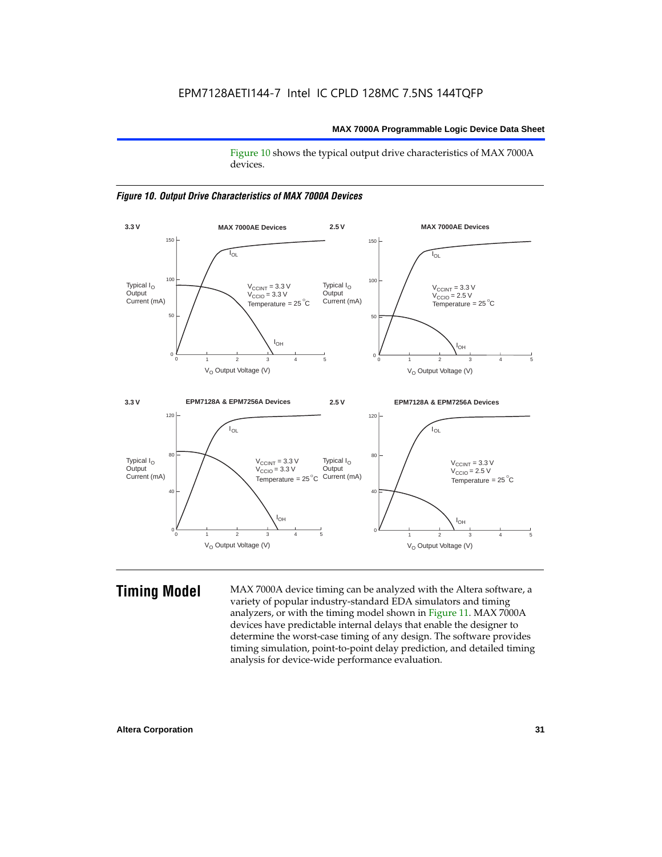Figure 10 shows the typical output drive characteristics of MAX 7000A devices.





**Timing Model** MAX 7000A device timing can be analyzed with the Altera software, a variety of popular industry-standard EDA simulators and timing analyzers, or with the timing model shown in Figure 11. MAX 7000A devices have predictable internal delays that enable the designer to determine the worst-case timing of any design. The software provides timing simulation, point-to-point delay prediction, and detailed timing analysis for device-wide performance evaluation.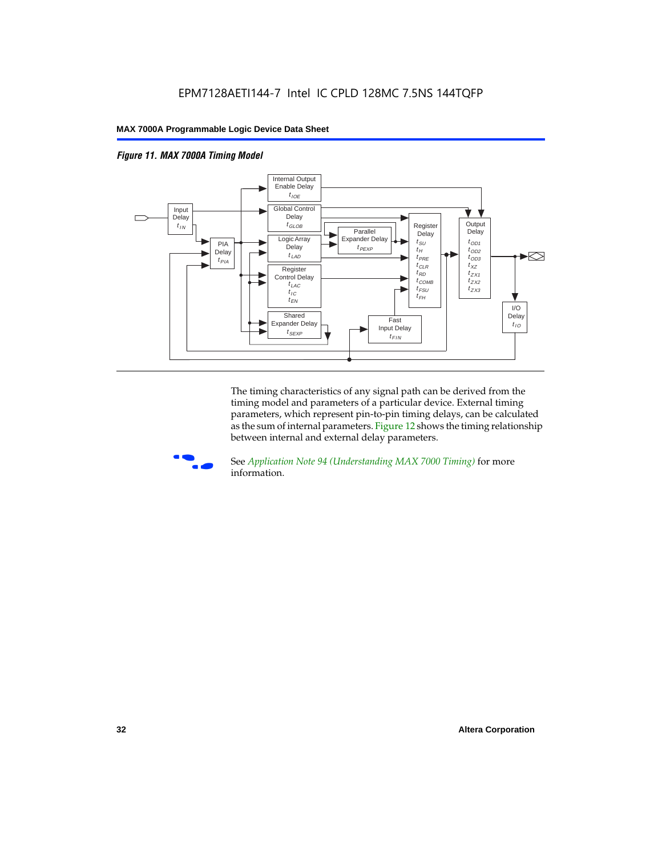



The timing characteristics of any signal path can be derived from the timing model and parameters of a particular device. External timing parameters, which represent pin-to-pin timing delays, can be calculated as the sum of internal parameters. Figure 12 shows the timing relationship between internal and external delay parameters.



f See *Application Note 94 (Understanding MAX 7000 Timing)* for more information.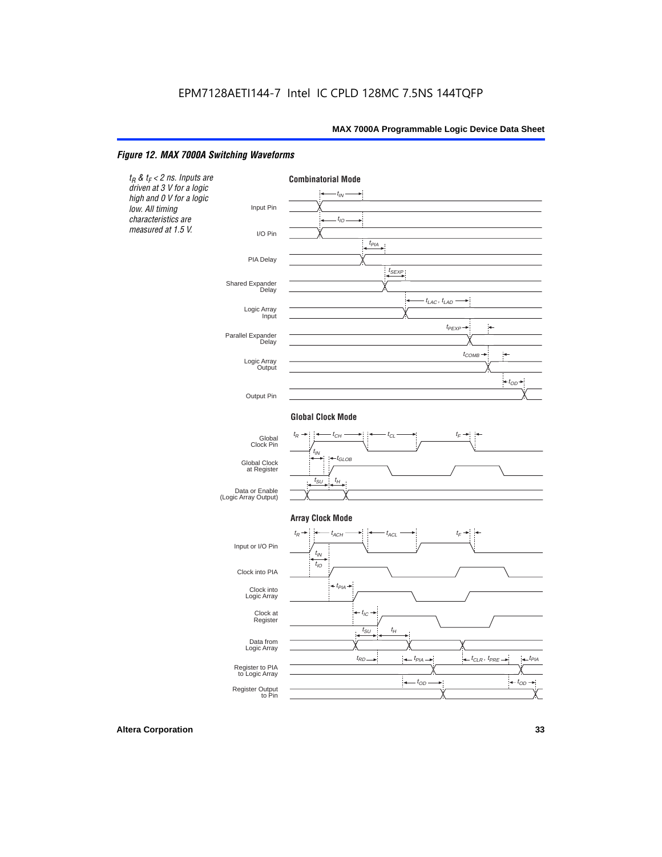#### *Figure 12. MAX 7000A Switching Waveforms*

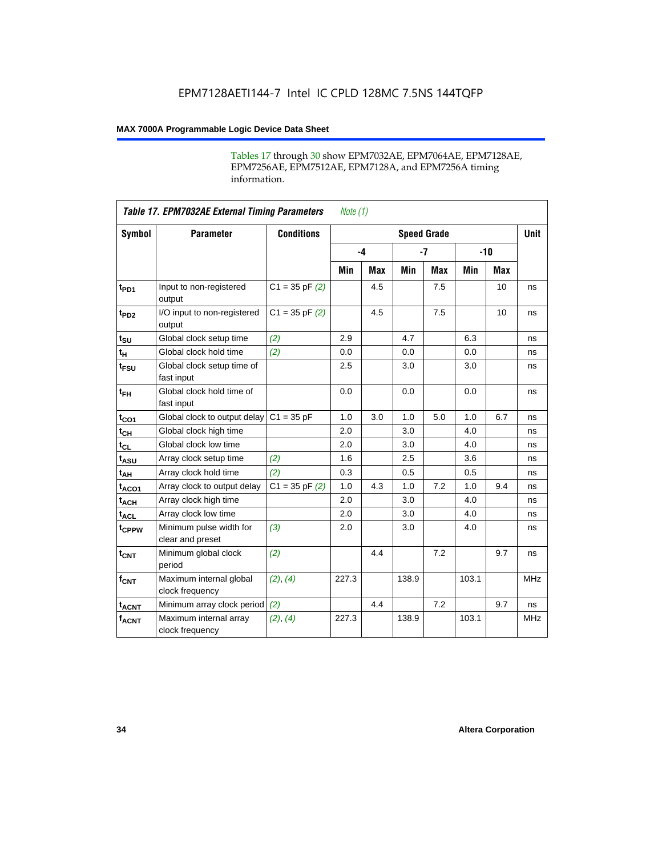Tables 17 through 30 show EPM7032AE, EPM7064AE, EPM7128AE, EPM7256AE, EPM7512AE, EPM7128A, and EPM7256A timing information.

|                         | <b>Table 17. EPM7032AE External Timing Parameters</b><br>Note $(1)$ |                    |       |      |                    |            |       |       |             |  |
|-------------------------|---------------------------------------------------------------------|--------------------|-------|------|--------------------|------------|-------|-------|-------------|--|
| Symbol                  | <b>Parameter</b>                                                    | <b>Conditions</b>  |       |      | <b>Speed Grade</b> |            |       |       | <b>Unit</b> |  |
|                         |                                                                     |                    |       | $-4$ |                    | $-7$       |       | $-10$ |             |  |
|                         |                                                                     |                    | Min   | Max  | Min                | <b>Max</b> | Min   | Max   |             |  |
| t <sub>PD1</sub>        | Input to non-registered<br>output                                   | $C1 = 35$ pF $(2)$ |       | 4.5  |                    | 7.5        |       | 10    | ns          |  |
| $t_{PD2}$               | I/O input to non-registered<br>output                               | $C1 = 35 pF(2)$    |       | 4.5  |                    | 7.5        |       | 10    | ns          |  |
| $t_{\text{SU}}$         | Global clock setup time                                             | (2)                | 2.9   |      | 4.7                |            | 6.3   |       | ns          |  |
| $t_H$                   | Global clock hold time                                              | (2)                | 0.0   |      | 0.0                |            | 0.0   |       | ns          |  |
| t <sub>FSU</sub>        | Global clock setup time of<br>fast input                            |                    | 2.5   |      | 3.0                |            | 3.0   |       | ns          |  |
| $t_{FH}$                | Global clock hold time of<br>fast input                             |                    | 0.0   |      | 0.0                |            | 0.0   |       | ns          |  |
| $t_{CO1}$               | Global clock to output delay                                        | $C1 = 35 pF$       | 1.0   | 3.0  | 1.0                | 5.0        | 1.0   | 6.7   | ns          |  |
| $t_{CH}$                | Global clock high time                                              |                    | 2.0   |      | 3.0                |            | 4.0   |       | ns          |  |
| $t_{CL}$                | Global clock low time                                               |                    | 2.0   |      | 3.0                |            | 4.0   |       | ns          |  |
| t <sub>ASU</sub>        | Array clock setup time                                              | (2)                | 1.6   |      | 2.5                |            | 3.6   |       | ns          |  |
| t <sub>АН</sub>         | Array clock hold time                                               | (2)                | 0.3   |      | 0.5                |            | 0.5   |       | ns          |  |
| t <sub>ACO1</sub>       | Array clock to output delay                                         | $C1 = 35$ pF $(2)$ | 1.0   | 4.3  | 1.0                | 7.2        | 1.0   | 9.4   | ns          |  |
| $t_{ACH}$               | Array clock high time                                               |                    | 2.0   |      | 3.0                |            | 4.0   |       | ns          |  |
| $t_{ACL}$               | Array clock low time                                                |                    | 2.0   |      | 3.0                |            | 4.0   |       | ns          |  |
| tcPPW                   | Minimum pulse width for<br>clear and preset                         | (3)                | 2.0   |      | 3.0                |            | 4.0   |       | ns          |  |
| $t_{CNT}$               | Minimum global clock<br>period                                      | (2)                |       | 4.4  |                    | 7.2        |       | 9.7   | ns          |  |
| $f_{CNT}$               | Maximum internal global<br>clock frequency                          | (2), (4)           | 227.3 |      | 138.9              |            | 103.1 |       | <b>MHz</b>  |  |
| <b>t<sub>ACNT</sub></b> | Minimum array clock period                                          | (2)                |       | 4.4  |                    | 7.2        |       | 9.7   | ns          |  |
| $f_{ACNT}$              | Maximum internal array<br>clock frequency                           | (2), (4)           | 227.3 |      | 138.9              |            | 103.1 |       | <b>MHz</b>  |  |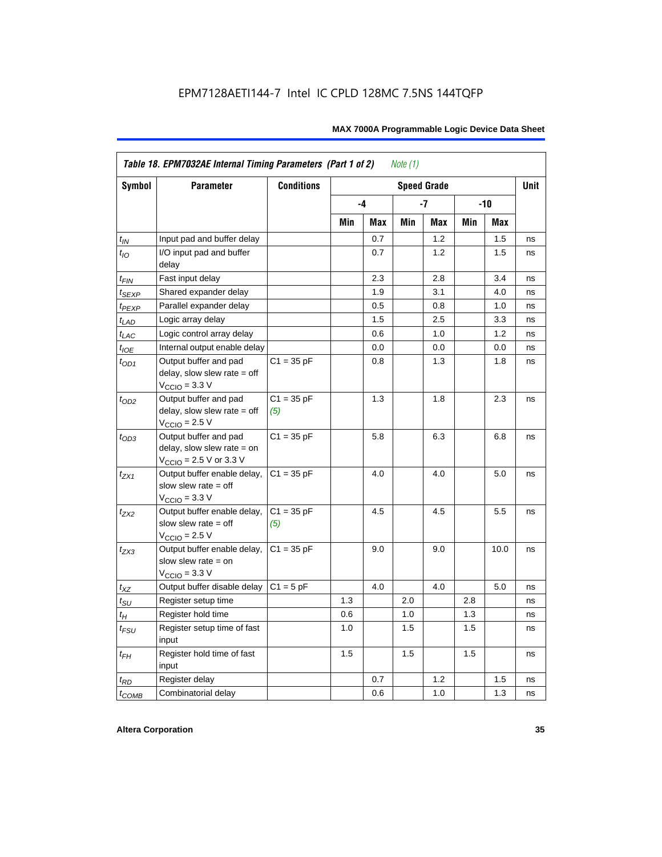|                   | Table 18. EPM7032AE Internal Timing Parameters (Part 1 of 2)<br>Note $(1)$                                   |                     |     |      |     |                    |       |            |      |  |
|-------------------|--------------------------------------------------------------------------------------------------------------|---------------------|-----|------|-----|--------------------|-------|------------|------|--|
| <b>Symbol</b>     | <b>Parameter</b>                                                                                             | <b>Conditions</b>   |     |      |     | <b>Speed Grade</b> |       |            | Unit |  |
|                   |                                                                                                              |                     |     | $-4$ |     | -7                 | $-10$ |            |      |  |
|                   |                                                                                                              |                     | Min | Max  | Min | Max                | Min   | <b>Max</b> |      |  |
| $t_{IN}$          | Input pad and buffer delay                                                                                   |                     |     | 0.7  |     | 1.2                |       | 1.5        | ns   |  |
| $t_{IO}$          | I/O input pad and buffer<br>delay                                                                            |                     |     | 0.7  |     | 1.2                |       | 1.5        | ns   |  |
| $t_{\sf FIN}$     | Fast input delay                                                                                             |                     |     | 2.3  |     | 2.8                |       | 3.4        | ns   |  |
| t <sub>SEXP</sub> | Shared expander delay                                                                                        |                     |     | 1.9  |     | 3.1                |       | 4.0        | ns   |  |
| t <sub>PEXP</sub> | Parallel expander delay                                                                                      |                     |     | 0.5  |     | 0.8                |       | 1.0        | ns   |  |
| $t_{LAD}$         | Logic array delay                                                                                            |                     |     | 1.5  |     | 2.5                |       | 3.3        | ns   |  |
| $t_{LAC}$         | Logic control array delay                                                                                    |                     |     | 0.6  |     | 1.0                |       | 1.2        | ns   |  |
| $t_{IOE}$         | Internal output enable delay                                                                                 |                     |     | 0.0  |     | 0.0                |       | 0.0        | ns   |  |
| $t_{OD1}$         | Output buffer and pad<br>delay, slow slew rate $=$ off<br>$V_{\text{CCIO}} = 3.3 \text{ V}$                  | $C1 = 35 pF$        |     | 0.8  |     | 1.3                |       | 1.8        | ns   |  |
| $t_{OD2}$         | Output buffer and pad<br>delay, slow slew rate $=$ off<br>$VCCIO = 2.5 V$                                    | $C1 = 35 pF$<br>(5) |     | 1.3  |     | 1.8                |       | 2.3        | ns   |  |
| $t_{OD3}$         | Output buffer and pad<br>delay, slow slew rate $=$ on<br>$V_{\text{CCIO}} = 2.5 \text{ V or } 3.3 \text{ V}$ | $C1 = 35 pF$        |     | 5.8  |     | 6.3                |       | 6.8        | ns   |  |
| $t_{ZX1}$         | Output buffer enable delay,<br>slow slew rate $=$ off<br>$V_{\text{CCIO}} = 3.3 \text{ V}$                   | $C1 = 35 pF$        |     | 4.0  |     | 4.0                |       | 5.0        | ns   |  |
| $t_{ZX2}$         | Output buffer enable delay,<br>slow slew rate $=$ off<br>$V_{\text{CCIO}}$ = 2.5 V                           | $C1 = 35 pF$<br>(5) |     | 4.5  |     | 4.5                |       | 5.5        | ns   |  |
| $t_{ZX3}$         | Output buffer enable delay,<br>slow slew rate $=$ on<br>$V_{\text{CCIO}} = 3.3 \text{ V}$                    | $C1 = 35 pF$        |     | 9.0  |     | 9.0                |       | 10.0       | ns   |  |
| $t_{XZ}$          | Output buffer disable delay                                                                                  | $C1 = 5pF$          |     | 4.0  |     | 4.0                |       | 5.0        | ns   |  |
| $t_{\text{SU}}$   | Register setup time                                                                                          |                     | 1.3 |      | 2.0 |                    | 2.8   |            | ns   |  |
| $t_H$             | Register hold time                                                                                           |                     | 0.6 |      | 1.0 |                    | 1.3   |            | ns   |  |
| $t_{FSU}$         | Register setup time of fast<br>input                                                                         |                     | 1.0 |      | 1.5 |                    | 1.5   |            | ns   |  |
| $t_{FH}$          | Register hold time of fast<br>input                                                                          |                     | 1.5 |      | 1.5 |                    | 1.5   |            | ns   |  |
| $t_{RD}$          | Register delay                                                                                               |                     |     | 0.7  |     | 1.2                |       | 1.5        | ns   |  |
| $t_{COMB}$        | Combinatorial delay                                                                                          |                     |     | 0.6  |     | 1.0                |       | 1.3        | ns   |  |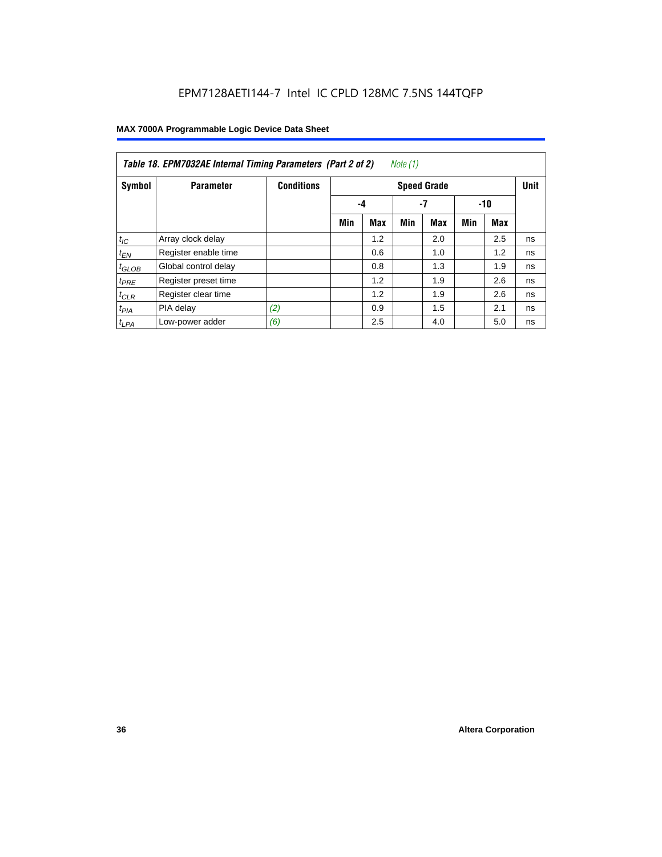| Note (1)<br>Table 18. EPM7032AE Internal Timing Parameters (Part 2 of 2) |                      |                   |                    |            |     |            |     |       |             |
|--------------------------------------------------------------------------|----------------------|-------------------|--------------------|------------|-----|------------|-----|-------|-------------|
| Symbol                                                                   | <b>Parameter</b>     | <b>Conditions</b> | <b>Speed Grade</b> |            |     |            |     |       | <b>Unit</b> |
|                                                                          |                      |                   |                    | -4         |     | -7         |     | $-10$ |             |
|                                                                          |                      |                   | Min                | <b>Max</b> | Min | <b>Max</b> | Min | Max   |             |
| $t_{IC}$                                                                 | Array clock delay    |                   |                    | 1.2        |     | 2.0        |     | 2.5   | ns          |
| $t_{EN}$                                                                 | Register enable time |                   |                    | 0.6        |     | 1.0        |     | 1.2   | ns          |
| $t_{GLOB}$                                                               | Global control delay |                   |                    | 0.8        |     | 1.3        |     | 1.9   | ns          |
| $t_{PRE}$                                                                | Register preset time |                   |                    | 1.2        |     | 1.9        |     | 2.6   | ns          |
| $t_{CLR}$                                                                | Register clear time  |                   |                    | 1.2        |     | 1.9        |     | 2.6   | ns          |
| $t_{PIA}$                                                                | PIA delay            | (2)               |                    | 0.9        |     | 1.5        |     | 2.1   | ns          |
| $t_{LPA}$                                                                | Low-power adder      | (6)               |                    | 2.5        |     | 4.0        |     | 5.0   | ns          |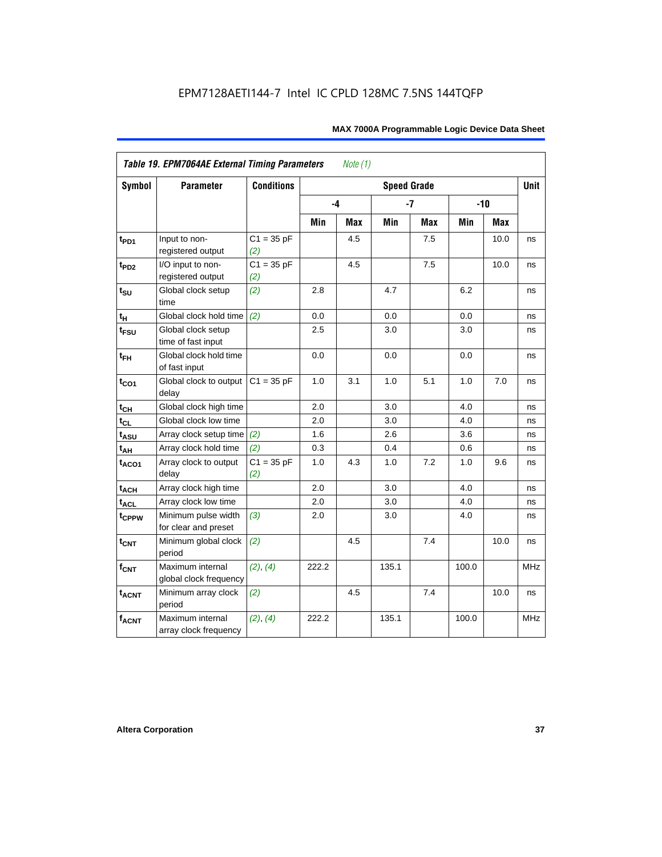| <b>Symbol</b>     | <b>Parameter</b>                            | <b>Conditions</b>   |       |     | <b>Speed Grade</b> |            |       |       | <b>Unit</b> |
|-------------------|---------------------------------------------|---------------------|-------|-----|--------------------|------------|-------|-------|-------------|
|                   |                                             |                     | -4    |     |                    | $-7$       |       | $-10$ |             |
|                   |                                             |                     | Min   | Max | Min                | <b>Max</b> | Min   | Max   |             |
| t <sub>PD1</sub>  | Input to non-<br>registered output          | $C1 = 35 pF$<br>(2) |       | 4.5 |                    | 7.5        |       | 10.0  | ns          |
| t <sub>PD2</sub>  | I/O input to non-<br>registered output      | $C1 = 35 pF$<br>(2) |       | 4.5 |                    | 7.5        |       | 10.0  | ns          |
| $t_{\text{SU}}$   | Global clock setup<br>time                  | (2)                 | 2.8   |     | 4.7                |            | 6.2   |       | ns          |
| tμ                | Global clock hold time                      | (2)                 | 0.0   |     | 0.0                |            | 0.0   |       | ns          |
| $t_{FSU}$         | Global clock setup<br>time of fast input    |                     | 2.5   |     | 3.0                |            | 3.0   |       | ns          |
| $t_{FH}$          | Global clock hold time<br>of fast input     |                     | 0.0   |     | 0.0                |            | 0.0   |       | ns          |
| $t_{CO1}$         | Global clock to output<br>delay             | $C1 = 35 pF$        | 1.0   | 3.1 | 1.0                | 5.1        | 1.0   | 7.0   | ns          |
| $t_{CH}$          | Global clock high time                      |                     | 2.0   |     | 3.0                |            | 4.0   |       | ns          |
| $t_{CL}$          | Global clock low time                       |                     | 2.0   |     | 3.0                |            | 4.0   |       | ns          |
| t <sub>ASU</sub>  | Array clock setup time                      | (2)                 | 1.6   |     | 2.6                |            | 3.6   |       | ns          |
| $t_{AH}$          | Array clock hold time                       | (2)                 | 0.3   |     | 0.4                |            | 0.6   |       | ns          |
| t <sub>ACO1</sub> | Array clock to output<br>delay              | $C1 = 35 pF$<br>(2) | 1.0   | 4.3 | 1.0                | 7.2        | 1.0   | 9.6   | ns          |
| $t_{ACH}$         | Array clock high time                       |                     | 2.0   |     | 3.0                |            | 4.0   |       | ns          |
| t <sub>ACL</sub>  | Array clock low time                        |                     | 2.0   |     | 3.0                |            | 4.0   |       | ns          |
| t <sub>CPPW</sub> | Minimum pulse width<br>for clear and preset | (3)                 | 2.0   |     | 3.0                |            | 4.0   |       | ns          |
| $t_{CNT}$         | Minimum global clock<br>period              | (2)                 |       | 4.5 |                    | 7.4        |       | 10.0  | ns          |
| $f_{CNT}$         | Maximum internal<br>global clock frequency  | (2), (4)            | 222.2 |     | 135.1              |            | 100.0 |       | <b>MHz</b>  |
| $t_{ACNT}$        | Minimum array clock<br>period               | (2)                 |       | 4.5 |                    | 7.4        |       | 10.0  | ns          |
| <b>fACNT</b>      | Maximum internal<br>array clock frequency   | (2), (4)            | 222.2 |     | 135.1              |            | 100.0 |       | MHz         |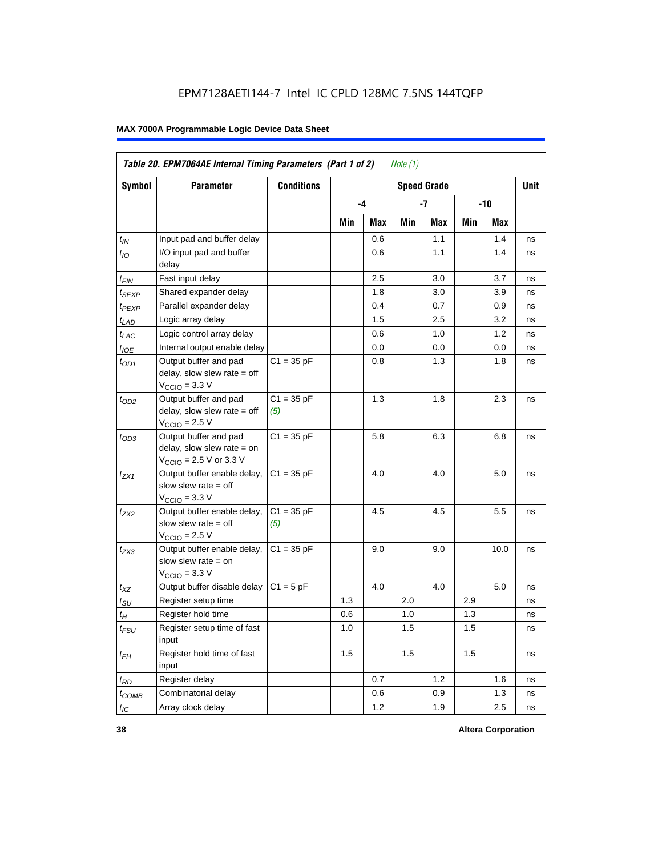|                    | Table 20. EPM7064AE Internal Timing Parameters (Part 1 of 2)<br>Note (1)                                     |                     |     |     |     |                    |     |      |      |  |
|--------------------|--------------------------------------------------------------------------------------------------------------|---------------------|-----|-----|-----|--------------------|-----|------|------|--|
| <b>Symbol</b>      | Parameter                                                                                                    | <b>Conditions</b>   |     |     |     | <b>Speed Grade</b> |     |      | Unit |  |
|                    |                                                                                                              |                     |     | -4  |     | -7                 | -10 |      |      |  |
|                    |                                                                                                              |                     | Min | Max | Min | Max                | Min | Max  |      |  |
| $t_{IN}$           | Input pad and buffer delay                                                                                   |                     |     | 0.6 |     | 1.1                |     | 1.4  | ns   |  |
| $t_{IO}$           | I/O input pad and buffer<br>delay                                                                            |                     |     | 0.6 |     | 1.1                |     | 1.4  | ns   |  |
| $t_{\mathsf{FIN}}$ | Fast input delay                                                                                             |                     |     | 2.5 |     | 3.0                |     | 3.7  | ns   |  |
| $t_{SEXP}$         | Shared expander delay                                                                                        |                     |     | 1.8 |     | 3.0                |     | 3.9  | ns   |  |
| t <sub>PEXP</sub>  | Parallel expander delay                                                                                      |                     |     | 0.4 |     | 0.7                |     | 0.9  | ns   |  |
| $t_{LAD}$          | Logic array delay                                                                                            |                     |     | 1.5 |     | 2.5                |     | 3.2  | ns   |  |
| $t_{LAC}$          | Logic control array delay                                                                                    |                     |     | 0.6 |     | 1.0                |     | 1.2  | ns   |  |
| $t_{IOE}$          | Internal output enable delay                                                                                 |                     |     | 0.0 |     | 0.0                |     | 0.0  | ns   |  |
| $t_{OD1}$          | Output buffer and pad<br>delay, slow slew rate = off<br>$VCCIO = 3.3 V$                                      | $C1 = 35 pF$        |     | 0.8 |     | 1.3                |     | 1.8  | ns   |  |
| $t_{OD2}$          | Output buffer and pad<br>delay, slow slew rate $=$ off<br>$V_{\rm CClO}$ = 2.5 V                             | $C1 = 35 pF$<br>(5) |     | 1.3 |     | 1.8                |     | 2.3  | ns   |  |
| $t_{OD3}$          | Output buffer and pad<br>delay, slow slew rate $=$ on<br>$V_{\text{CCIO}} = 2.5 \text{ V or } 3.3 \text{ V}$ | $C1 = 35 pF$        |     | 5.8 |     | 6.3                |     | 6.8  | ns   |  |
| $t_{ZX1}$          | Output buffer enable delay,<br>slow slew rate = off<br>$V_{\rm CClO}$ = 3.3 V                                | $C1 = 35 pF$        |     | 4.0 |     | 4.0                |     | 5.0  | ns   |  |
| t <sub>ZX2</sub>   | Output buffer enable delay,<br>slow slew rate $=$ off<br>$VCCIO = 2.5 V$                                     | $C1 = 35 pF$<br>(5) |     | 4.5 |     | 4.5                |     | 5.5  | ns   |  |
| $t_{ZX3}$          | Output buffer enable delay,<br>slow slew rate $=$ on<br>$V_{\text{CCIO}} = 3.3 \text{ V}$                    | $C1 = 35 pF$        |     | 9.0 |     | 9.0                |     | 10.0 | ns   |  |
| $t_{XZ}$           | Output buffer disable delay                                                                                  | $C1 = 5pF$          |     | 4.0 |     | 4.0                |     | 5.0  | ns   |  |
| $t_{\text{SU}}$    | Register setup time                                                                                          |                     | 1.3 |     | 2.0 |                    | 2.9 |      | ns   |  |
| $t_H$              | Register hold time                                                                                           |                     | 0.6 |     | 1.0 |                    | 1.3 |      | ns   |  |
| $t_{\mathit{FSU}}$ | Register setup time of fast<br>input                                                                         |                     | 1.0 |     | 1.5 |                    | 1.5 |      | ns   |  |
| $t_{FH}$           | Register hold time of fast<br>input                                                                          |                     | 1.5 |     | 1.5 |                    | 1.5 |      | ns   |  |
| $t_{RD}$           | Register delay                                                                                               |                     |     | 0.7 |     | 1.2                |     | 1.6  | ns   |  |
| $t_{COMB}$         | Combinatorial delay                                                                                          |                     |     | 0.6 |     | 0.9                |     | 1.3  | ns   |  |
| $t_{IC}$           | Array clock delay                                                                                            |                     |     | 1.2 |     | 1.9                |     | 2.5  | ns   |  |

**38 Altera Corporation**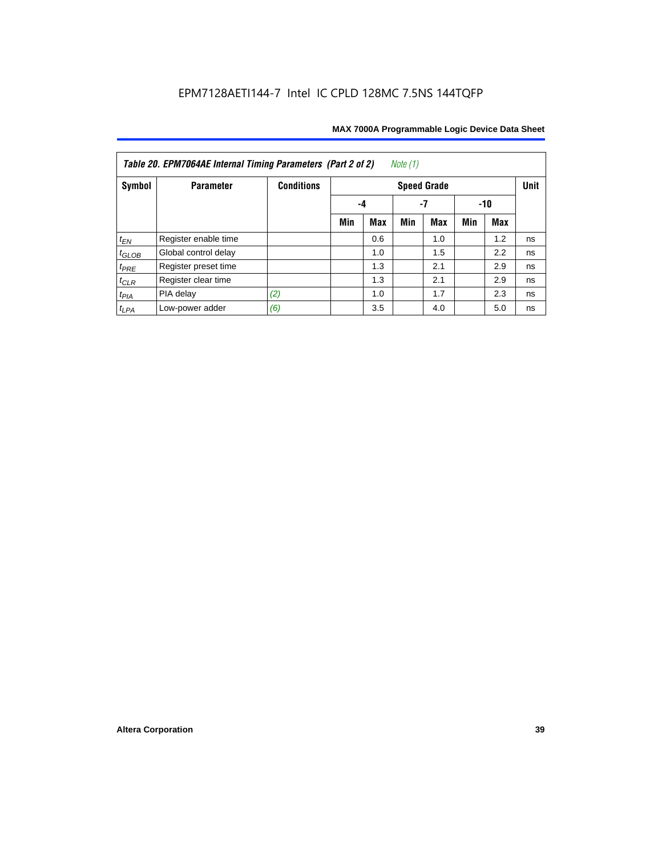| Note $(1)$<br>Table 20. EPM7064AE Internal Timing Parameters (Part 2 of 2) |                      |                   |     |                 |     |                    |     |     |             |  |  |  |
|----------------------------------------------------------------------------|----------------------|-------------------|-----|-----------------|-----|--------------------|-----|-----|-------------|--|--|--|
| Symbol                                                                     | <b>Parameter</b>     | <b>Conditions</b> |     |                 |     | <b>Speed Grade</b> |     |     | <b>Unit</b> |  |  |  |
|                                                                            |                      |                   |     | -7<br>-10<br>-4 |     |                    |     |     |             |  |  |  |
|                                                                            |                      |                   | Min | Max             | Min | <b>Max</b>         | Min | Max |             |  |  |  |
| $t_{EN}$                                                                   | Register enable time |                   |     | 0.6             |     | 1.0                |     | 1.2 | ns          |  |  |  |
| $t_{GLOB}$                                                                 | Global control delay |                   |     | 1.0             |     | 1.5                |     | 2.2 | ns          |  |  |  |
| $t_{PRE}$                                                                  | Register preset time |                   |     | 1.3             |     | 2.1                |     | 2.9 | ns          |  |  |  |
| $t_{CLR}$                                                                  | Register clear time  |                   |     | 1.3             |     | 2.1                |     | 2.9 | ns          |  |  |  |
| $t_{PIA}$                                                                  | PIA delay            | (2)               |     | 1.0             |     | 1.7                |     | 2.3 | ns          |  |  |  |
| $t_{LPA}$                                                                  | Low-power adder      | (6)               |     | 3.5             |     | 4.0                |     | 5.0 | ns          |  |  |  |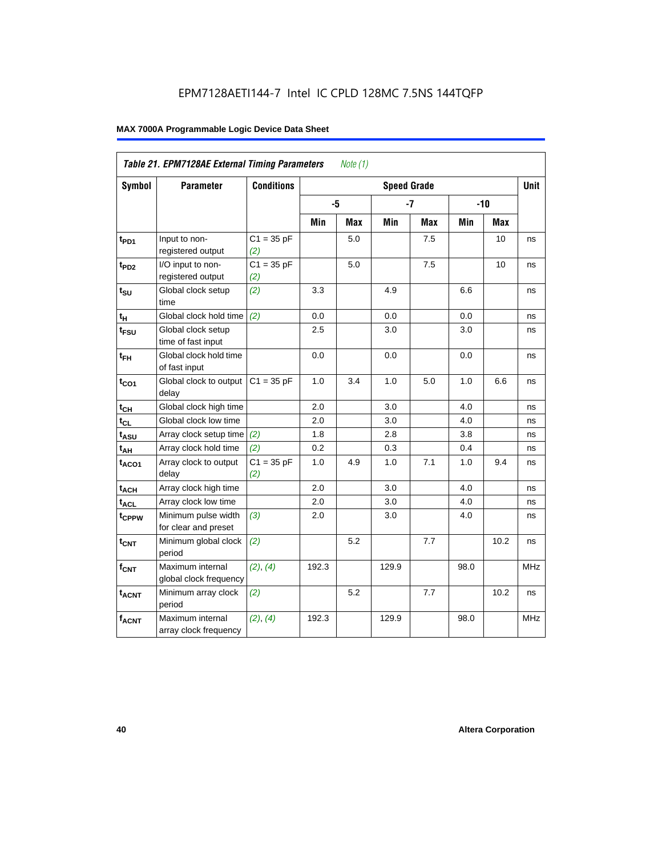|                   | Table 21. EPM7128AE External Timing Parameters |                     |       | Note $(1)$ |                    |            |            |            |            |
|-------------------|------------------------------------------------|---------------------|-------|------------|--------------------|------------|------------|------------|------------|
| Symbol            | <b>Parameter</b>                               | <b>Conditions</b>   |       |            | <b>Speed Grade</b> |            |            |            | Unit       |
|                   |                                                |                     | -5    |            |                    | $-7$       |            | $-10$      |            |
|                   |                                                |                     | Min   | <b>Max</b> | Min                | <b>Max</b> | <b>Min</b> | <b>Max</b> |            |
| t <sub>PD1</sub>  | Input to non-<br>registered output             | $C1 = 35 pF$<br>(2) |       | 5.0        |                    | 7.5        |            | 10         | ns         |
| t <sub>PD2</sub>  | I/O input to non-<br>registered output         | $C1 = 35 pF$<br>(2) |       | 5.0        |                    | 7.5        |            | 10         | ns         |
| $t_{\text{SU}}$   | Global clock setup<br>time                     | (2)                 | 3.3   |            | 4.9                |            | 6.6        |            | ns         |
| $t_H$             | Global clock hold time                         | (2)                 | 0.0   |            | 0.0                |            | 0.0        |            | ns         |
| t <sub>FSU</sub>  | Global clock setup<br>time of fast input       |                     | 2.5   |            | 3.0                |            | 3.0        |            | ns         |
| $t_{FH}$          | Global clock hold time<br>of fast input        |                     | 0.0   |            | 0.0                |            | 0.0        |            | ns         |
| $t_{CO1}$         | Global clock to output<br>delay                | $C1 = 35 pF$        | 1.0   | 3.4        | 1.0                | 5.0        | 1.0        | 6.6        | ns         |
| $t_{CH}$          | Global clock high time                         |                     | 2.0   |            | 3.0                |            | 4.0        |            | ns         |
| $t_{CL}$          | Global clock low time                          |                     | 2.0   |            | 3.0                |            | 4.0        |            | ns         |
| $t_{ASU}$         | Array clock setup time                         | (2)                 | 1.8   |            | 2.8                |            | 3.8        |            | ns         |
| $t_{AH}$          | Array clock hold time                          | (2)                 | 0.2   |            | 0.3                |            | 0.4        |            | ns         |
| $t_{ACO1}$        | Array clock to output<br>delay                 | $C1 = 35 pF$<br>(2) | 1.0   | 4.9        | 1.0                | 7.1        | 1.0        | 9.4        | ns         |
| $t_{ACH}$         | Array clock high time                          |                     | 2.0   |            | 3.0                |            | 4.0        |            | ns         |
| t <sub>ACL</sub>  | Array clock low time                           |                     | 2.0   |            | 3.0                |            | 4.0        |            | ns         |
| t <sub>CPPW</sub> | Minimum pulse width<br>for clear and preset    | (3)                 | 2.0   |            | 3.0                |            | 4.0        |            | ns         |
| $t_{\text{CNT}}$  | Minimum global clock<br>period                 | (2)                 |       | 5.2        |                    | 7.7        |            | 10.2       | ns         |
| $f_{CNT}$         | Maximum internal<br>global clock frequency     | (2), (4)            | 192.3 |            | 129.9              |            | 98.0       |            | <b>MHz</b> |
| $t_{ACNT}$        | Minimum array clock<br>period                  | (2)                 |       | 5.2        |                    | 7.7        |            | 10.2       | ns         |
| <b>fACNT</b>      | Maximum internal<br>array clock frequency      | (2), (4)            | 192.3 |            | 129.9              |            | 98.0       |            | <b>MHz</b> |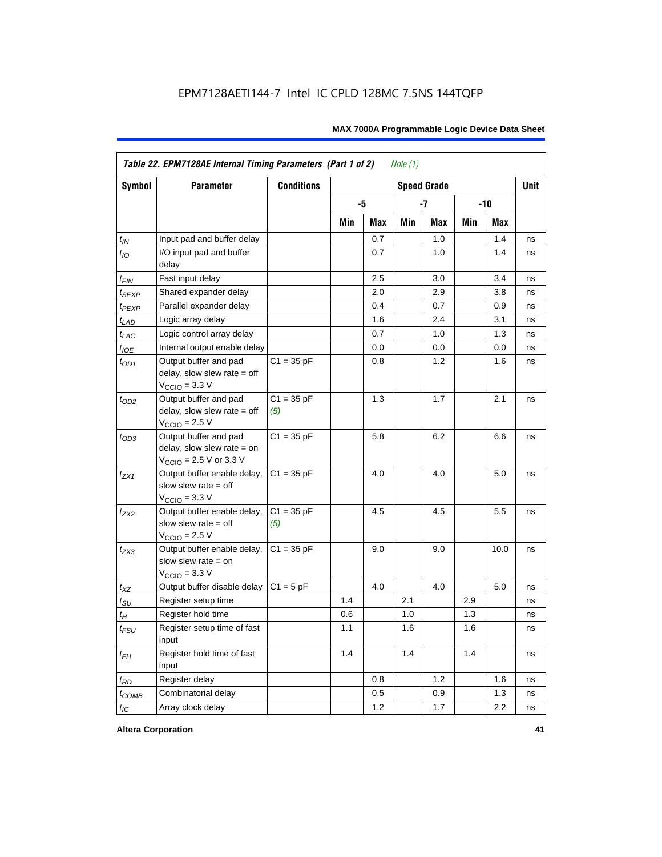|                   | Table 22. EPM7128AE Internal Timing Parameters (Part 1 of 2)                                                 |                     |     |     | Note $(1)$ |                    |     |         |             |
|-------------------|--------------------------------------------------------------------------------------------------------------|---------------------|-----|-----|------------|--------------------|-----|---------|-------------|
| Symbol            | <b>Parameter</b>                                                                                             | <b>Conditions</b>   |     |     |            | <b>Speed Grade</b> |     |         | <b>Unit</b> |
|                   |                                                                                                              |                     |     | -5  |            | -7                 |     | $-10$   |             |
|                   |                                                                                                              |                     | Min | Max | Min        | Max                | Min | Max     |             |
| $t_{IN}$          | Input pad and buffer delay                                                                                   |                     |     | 0.7 |            | 1.0                |     | 1.4     | ns          |
| $t_{IO}$          | I/O input pad and buffer<br>delay                                                                            |                     |     | 0.7 |            | 1.0                |     | 1.4     | ns          |
| $t_{FIN}$         | Fast input delay                                                                                             |                     |     | 2.5 |            | 3.0                |     | 3.4     | ns          |
| t <sub>SEXP</sub> | Shared expander delay                                                                                        |                     |     | 2.0 |            | 2.9                |     | 3.8     | ns          |
| t <sub>PEXP</sub> | Parallel expander delay                                                                                      |                     |     | 0.4 |            | 0.7                |     | 0.9     | ns          |
| $t_{LAD}$         | Logic array delay                                                                                            |                     |     | 1.6 |            | 2.4                |     | 3.1     | ns          |
| $t_{LAC}$         | Logic control array delay                                                                                    |                     |     | 0.7 |            | 1.0                |     | 1.3     | ns          |
| $t_{IOE}$         | Internal output enable delay                                                                                 |                     |     | 0.0 |            | 0.0                |     | 0.0     | ns          |
| $t_{OD1}$         | Output buffer and pad<br>delay, slow slew rate $=$ off<br>$V_{\text{CCIO}} = 3.3 \text{ V}$                  | $C1 = 35 pF$        |     | 0.8 |            | 1.2                |     | 1.6     | ns          |
| $t_{OD2}$         | Output buffer and pad<br>delay, slow slew rate $=$ off<br>$V_{\text{CCIO}}$ = 2.5 V                          | $C1 = 35 pF$<br>(5) |     | 1.3 |            | 1.7                |     | 2.1     | ns          |
| $t_{OD3}$         | Output buffer and pad<br>delay, slow slew rate $=$ on<br>$V_{\text{CCIO}} = 2.5 \text{ V or } 3.3 \text{ V}$ | $C1 = 35 pF$        |     | 5.8 |            | 6.2                |     | 6.6     | ns          |
| $t_{ZX1}$         | Output buffer enable delay,<br>slow slew rate $=$ off<br>$V_{\text{CCIO}} = 3.3 \text{ V}$                   | $C1 = 35 pF$        |     | 4.0 |            | 4.0                |     | 5.0     | ns          |
| $t_{ZX2}$         | Output buffer enable delay,<br>slow slew rate $=$ off<br>$V_{\text{CCIO}}$ = 2.5 V                           | $C1 = 35 pF$<br>(5) |     | 4.5 |            | 4.5                |     | 5.5     | ns          |
| $t_{ZX3}$         | Output buffer enable delay,<br>slow slew rate $=$ on<br>$V_{\text{CCIO}} = 3.3 \text{ V}$                    | $C1 = 35 pF$        |     | 9.0 |            | 9.0                |     | 10.0    | ns          |
| $t_{XZ}$          | Output buffer disable delay                                                                                  | $C1 = 5$ pF         |     | 4.0 |            | 4.0                |     | $5.0\,$ | ns          |
| $t_{\text{SU}}$   | Register setup time                                                                                          |                     | 1.4 |     | 2.1        |                    | 2.9 |         | ns          |
| $t_H$             | Register hold time                                                                                           |                     | 0.6 |     | 1.0        |                    | 1.3 |         | ns          |
| $t_{FSU}$         | Register setup time of fast<br>input                                                                         |                     | 1.1 |     | 1.6        |                    | 1.6 |         | ns          |
| $t_{FH}$          | Register hold time of fast<br>input                                                                          |                     | 1.4 |     | 1.4        |                    | 1.4 |         | ns          |
| $t_{RD}$          | Register delay                                                                                               |                     |     | 0.8 |            | 1.2                |     | 1.6     | ns          |
| $t_{COMB}$        | Combinatorial delay                                                                                          |                     |     | 0.5 |            | 0.9                |     | 1.3     | ns          |
| $t_{IC}$          | Array clock delay                                                                                            |                     |     | 1.2 |            | 1.7                |     | 2.2     | ns          |

**Altera Corporation 41**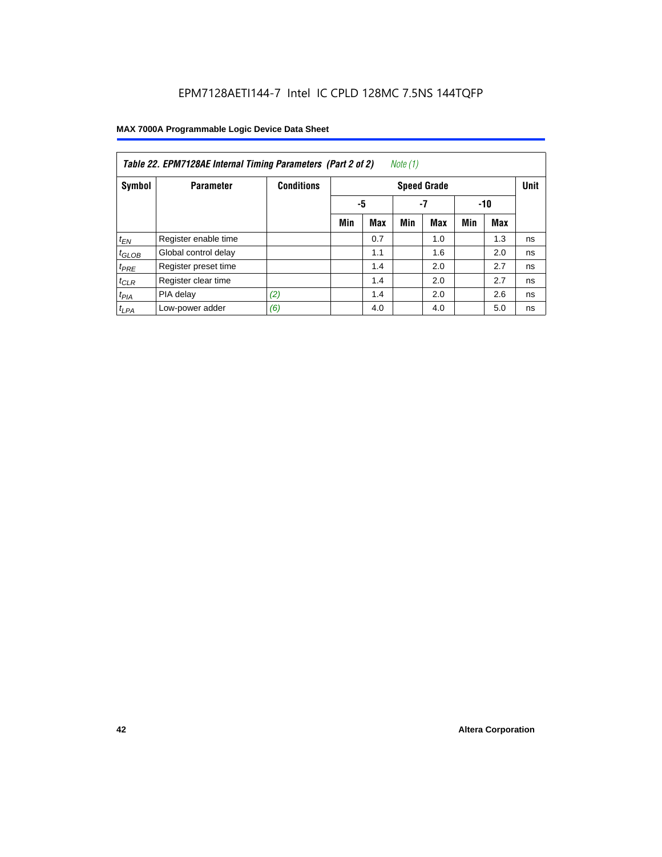| Note (1)<br>Table 22. EPM7128AE Internal Timing Parameters (Part 2 of 2) |                      |                   |     |                   |     |                    |     |            |             |  |  |
|--------------------------------------------------------------------------|----------------------|-------------------|-----|-------------------|-----|--------------------|-----|------------|-------------|--|--|
| Symbol                                                                   | <b>Parameter</b>     | <b>Conditions</b> |     |                   |     | <b>Speed Grade</b> |     |            | <b>Unit</b> |  |  |
|                                                                          |                      |                   |     | -5<br>$-7$<br>-10 |     |                    |     |            |             |  |  |
|                                                                          |                      |                   | Min | <b>Max</b>        | Min | <b>Max</b>         | Min | <b>Max</b> |             |  |  |
| $t_{EN}$                                                                 | Register enable time |                   |     | 0.7               |     | 1.0                |     | 1.3        | ns          |  |  |
| $t_{GLOB}$                                                               | Global control delay |                   |     | 1.1               |     | 1.6                |     | 2.0        | ns          |  |  |
| $t_{PRE}$                                                                | Register preset time |                   |     | 1.4               |     | 2.0                |     | 2.7        | ns          |  |  |
| $t_{CLR}$                                                                | Register clear time  |                   |     | 1.4               |     | 2.0                |     | 2.7        | ns          |  |  |
| t <sub>PIA</sub>                                                         | PIA delay            | (2)               |     | 1.4               |     | 2.0                |     | 2.6        | ns          |  |  |
| $t_{LPA}$                                                                | Low-power adder      | (6)               |     | 4.0               |     | 4.0                |     | 5.0        | ns          |  |  |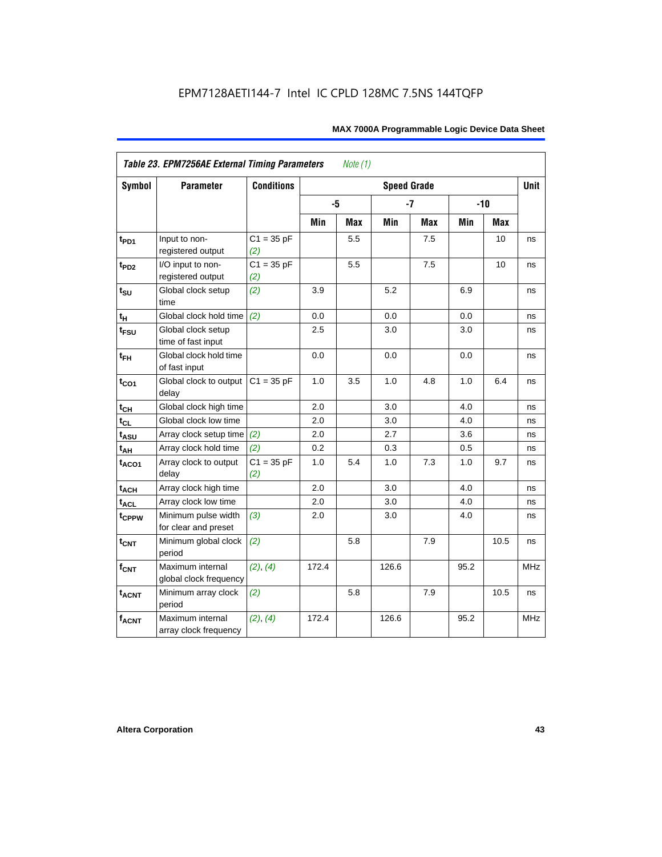| <b>Symbol</b>               | <b>Parameter</b>                            | <b>Conditions</b>   |       |            | <b>Speed Grade</b> |            |      |       | <b>Unit</b> |
|-----------------------------|---------------------------------------------|---------------------|-------|------------|--------------------|------------|------|-------|-------------|
|                             |                                             |                     | -5    |            |                    | $-7$       |      | $-10$ |             |
|                             |                                             |                     | Min   | <b>Max</b> | Min                | <b>Max</b> | Min  | Max   |             |
| $t_{PD1}$                   | Input to non-<br>registered output          | $C1 = 35 pF$<br>(2) |       | 5.5        |                    | 7.5        |      | 10    | ns          |
| t <sub>PD2</sub>            | I/O input to non-<br>registered output      | $C1 = 35 pF$<br>(2) |       | 5.5        |                    | 7.5        |      | 10    | ns          |
| $t_{\scriptstyle\text{SU}}$ | Global clock setup<br>time                  | (2)                 | 3.9   |            | 5.2                |            | 6.9  |       | ns          |
| $t_H$                       | Global clock hold time                      | (2)                 | 0.0   |            | 0.0                |            | 0.0  |       | ns          |
| t <sub>FSU</sub>            | Global clock setup<br>time of fast input    |                     | 2.5   |            | 3.0                |            | 3.0  |       | ns          |
| $t_{FH}$                    | Global clock hold time<br>of fast input     |                     | 0.0   |            | $0.0\,$            |            | 0.0  |       | ns          |
| $t_{CO1}$                   | Global clock to output<br>delay             | $C1 = 35 pF$        | 1.0   | 3.5        | 1.0                | 4.8        | 1.0  | 6.4   | ns          |
| $t_{C\underline{H}}$        | Global clock high time                      |                     | 2.0   |            | 3.0                |            | 4.0  |       | ns          |
| $t_{CL}$                    | Global clock low time                       |                     | 2.0   |            | 3.0                |            | 4.0  |       | ns          |
| $t_{ASU}$                   | Array clock setup time                      | (2)                 | 2.0   |            | 2.7                |            | 3.6  |       | ns          |
| $t_{AH}$                    | Array clock hold time                       | (2)                 | 0.2   |            | 0.3                |            | 0.5  |       | ns          |
| t <sub>ACO1</sub>           | Array clock to output<br>delay              | $C1 = 35 pF$<br>(2) | 1.0   | 5.4        | 1.0                | 7.3        | 1.0  | 9.7   | ns          |
| $t_{ACH}$                   | Array clock high time                       |                     | 2.0   |            | 3.0                |            | 4.0  |       | ns          |
| <b>t<sub>ACL</sub></b>      | Array clock low time                        |                     | 2.0   |            | 3.0                |            | 4.0  |       | ns          |
| t <sub>CPPW</sub>           | Minimum pulse width<br>for clear and preset | (3)                 | 2.0   |            | 3.0                |            | 4.0  |       | ns          |
| $t_{\text{CNT}}$            | Minimum global clock<br>period              | (2)                 |       | 5.8        |                    | 7.9        |      | 10.5  | ns          |
| $f_{CNT}$                   | Maximum internal<br>global clock frequency  | (2), (4)            | 172.4 |            | 126.6              |            | 95.2 |       | <b>MHz</b>  |
| $t_{ACNT}$                  | Minimum array clock<br>period               | (2)                 |       | 5.8        |                    | 7.9        |      | 10.5  | ns          |
| <b>fACNT</b>                | Maximum internal<br>array clock frequency   | (2), (4)            | 172.4 |            | 126.6              |            | 95.2 |       | <b>MHz</b>  |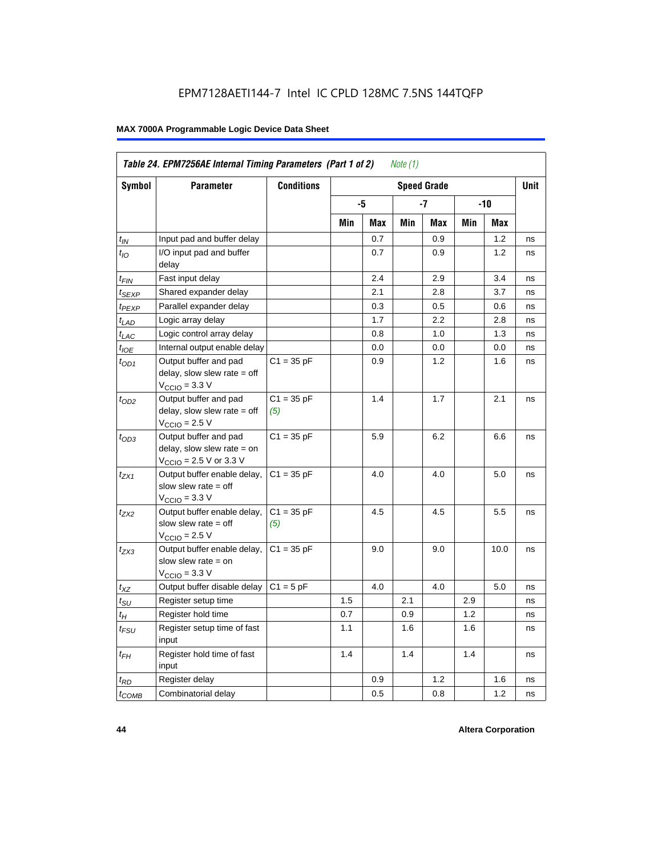| Symbol                      | <b>Parameter</b>                                                                                             | <b>Conditions</b>   |     |     |     | <b>Speed Grade</b> |     |      | <b>Unit</b> |
|-----------------------------|--------------------------------------------------------------------------------------------------------------|---------------------|-----|-----|-----|--------------------|-----|------|-------------|
|                             |                                                                                                              |                     |     | -5  |     | -7                 |     | -10  |             |
|                             |                                                                                                              |                     | Min | Max | Min | Max                | Min | Max  |             |
| $t_{IN}$                    | Input pad and buffer delay                                                                                   |                     |     | 0.7 |     | 0.9                |     | 1.2  | ns          |
| $t_{IO}$                    | I/O input pad and buffer<br>delay                                                                            |                     |     | 0.7 |     | 0.9                |     | 1.2  | ns          |
| t <sub>FIN</sub>            | Fast input delay                                                                                             |                     |     | 2.4 |     | 2.9                |     | 3.4  | ns          |
| $t_{SEXP}$                  | Shared expander delay                                                                                        |                     |     | 2.1 |     | 2.8                |     | 3.7  | ns          |
| t <sub>PEXP</sub>           | Parallel expander delay                                                                                      |                     |     | 0.3 |     | 0.5                |     | 0.6  | ns          |
| $t_{LAD}$                   | Logic array delay                                                                                            |                     |     | 1.7 |     | 2.2                |     | 2.8  | ns          |
| $t_{LAC}$                   | Logic control array delay                                                                                    |                     |     | 0.8 |     | 1.0                |     | 1.3  | ns          |
| $t_{IOE}$                   | Internal output enable delay                                                                                 |                     |     | 0.0 |     | 0.0                |     | 0.0  | ns          |
| $t_{OD1}$                   | Output buffer and pad<br>delay, slow slew rate $=$ off<br>$V_{\text{CCIO}} = 3.3 \text{ V}$                  | $C1 = 35 pF$        |     | 0.9 |     | 1.2                |     | 1.6  | ns          |
| $t_{OD2}$                   | Output buffer and pad<br>delay, slow slew rate $=$ off<br>$V_{\text{CCIO}}$ = 2.5 V                          | $C1 = 35 pF$<br>(5) |     | 1.4 |     | 1.7                |     | 2.1  | ns          |
| $t_{OD3}$                   | Output buffer and pad<br>delay, slow slew rate $=$ on<br>$V_{\text{CCIO}} = 2.5 \text{ V or } 3.3 \text{ V}$ | $C1 = 35 pF$        |     | 5.9 |     | 6.2                |     | 6.6  | ns          |
| t <sub>ZX1</sub>            | Output buffer enable delay,<br>slow slew rate $=$ off<br>$V_{\text{CCIO}} = 3.3 \text{ V}$                   | $C1 = 35 pF$        |     | 4.0 |     | 4.0                |     | 5.0  | ns          |
| t <sub>ZX2</sub>            | Output buffer enable delay,<br>slow slew rate $=$ off<br>$V_{\text{CCIO}} = 2.5 V$                           | $C1 = 35 pF$<br>(5) |     | 4.5 |     | 4.5                |     | 5.5  | ns          |
| $t_{ZX3}$                   | Output buffer enable delay,<br>slow slew rate $=$ on<br>$VCCIO = 3.3 V$                                      | $C1 = 35 pF$        |     | 9.0 |     | 9.0                |     | 10.0 | ns          |
| $t_{XZ}$                    | Output buffer disable delay                                                                                  | $C1 = 5pF$          |     | 4.0 |     | 4.0                |     | 5.0  | ns          |
| $t_{\scriptstyle\text{SU}}$ | Register setup time                                                                                          |                     | 1.5 |     | 2.1 |                    | 2.9 |      | ns          |
| $t_H$                       | Register hold time                                                                                           |                     | 0.7 |     | 0.9 |                    | 1.2 |      | ns          |
| $t_{\it FSU}$               | Register setup time of fast<br>input                                                                         |                     | 1.1 |     | 1.6 |                    | 1.6 |      | ns          |
| $t_{FH}$                    | Register hold time of fast<br>input                                                                          |                     | 1.4 |     | 1.4 |                    | 1.4 |      | ns          |
| $t_{RD}$                    | Register delay                                                                                               |                     |     | 0.9 |     | 1.2                |     | 1.6  | ns          |
| $t_{\text{COMB}}$           | Combinatorial delay                                                                                          |                     |     | 0.5 |     | 0.8                |     | 1.2  | ns          |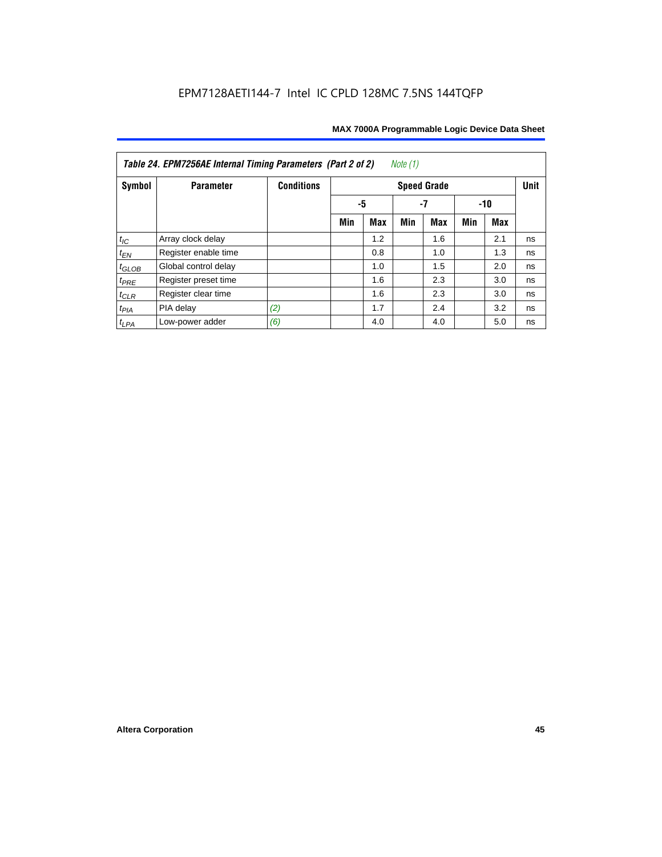| Table 24. EPM7256AE Internal Timing Parameters (Part 2 of 2)<br>Note (1) |                      |                   |     |            |     |                    |     |     |             |  |  |
|--------------------------------------------------------------------------|----------------------|-------------------|-----|------------|-----|--------------------|-----|-----|-------------|--|--|
| Symbol                                                                   | <b>Parameter</b>     | <b>Conditions</b> |     |            |     | <b>Speed Grade</b> |     |     | <b>Unit</b> |  |  |
|                                                                          |                      |                   | -5  |            | -7  |                    | -10 |     |             |  |  |
|                                                                          |                      |                   | Min | <b>Max</b> | Min | <b>Max</b>         | Min | Max |             |  |  |
| $t_{\mathit{IC}}$                                                        | Array clock delay    |                   |     | 1.2        |     | 1.6                |     | 2.1 | ns          |  |  |
| $t_{EN}$                                                                 | Register enable time |                   |     | 0.8        |     | 1.0                |     | 1.3 | ns          |  |  |
| $t_{GLOB}$                                                               | Global control delay |                   |     | 1.0        |     | 1.5                |     | 2.0 | ns          |  |  |
| $t_{PRE}$                                                                | Register preset time |                   |     | 1.6        |     | 2.3                |     | 3.0 | ns          |  |  |
| $t_{CLR}$                                                                | Register clear time  |                   |     | 1.6        |     | 2.3                |     | 3.0 | ns          |  |  |
| $t_{PIA}$                                                                | PIA delay            | (2)               |     | 1.7        |     | 2.4                |     | 3.2 | ns          |  |  |
| $t_{LPA}$                                                                | Low-power adder      | (6)               |     | 4.0        |     | 4.0                |     | 5.0 | ns          |  |  |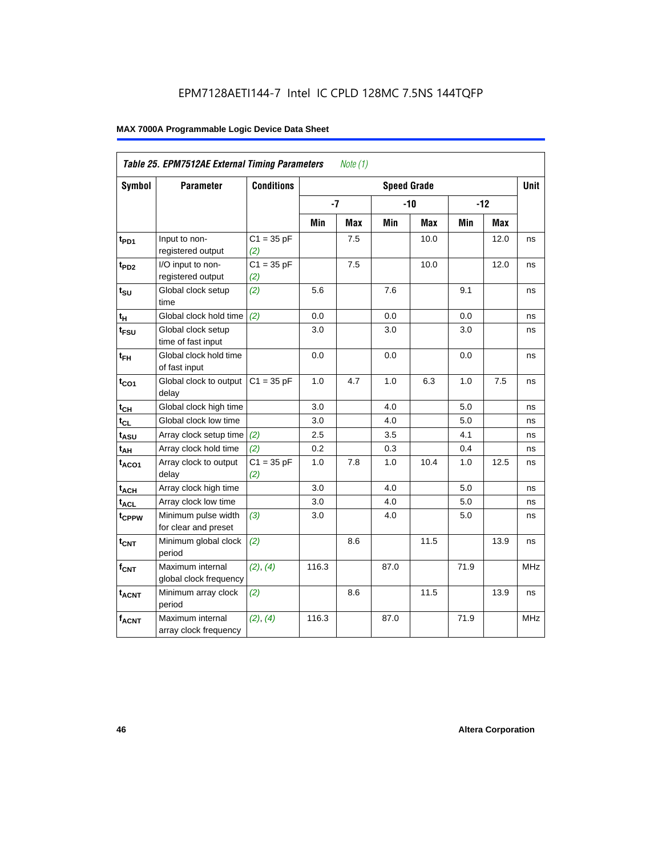|                   | Table 25. EPM7512AE External Timing Parameters |                     |       | Note $(1)$ |                    |       |      |            |             |
|-------------------|------------------------------------------------|---------------------|-------|------------|--------------------|-------|------|------------|-------------|
| Symbol            | <b>Parameter</b>                               | <b>Conditions</b>   |       |            | <b>Speed Grade</b> |       |      |            | <b>Unit</b> |
|                   |                                                |                     | $-7$  |            |                    | $-10$ |      | $-12$      |             |
|                   |                                                |                     | Min   | <b>Max</b> | Min                | Max   | Min  | <b>Max</b> |             |
| t <sub>PD1</sub>  | Input to non-<br>registered output             | $C1 = 35 pF$<br>(2) |       | 7.5        |                    | 10.0  |      | 12.0       | ns          |
| $t_{PD2}$         | I/O input to non-<br>registered output         | $C1 = 35 pF$<br>(2) |       | 7.5        |                    | 10.0  |      | 12.0       | ns          |
| $t_{\text{SU}}$   | Global clock setup<br>time                     | (2)                 | 5.6   |            | 7.6                |       | 9.1  |            | ns          |
| $t_H$             | Global clock hold time                         | (2)                 | 0.0   |            | 0.0                |       | 0.0  |            | ns          |
| t <sub>FSU</sub>  | Global clock setup<br>time of fast input       |                     | 3.0   |            | 3.0                |       | 3.0  |            | ns          |
| $t_{FH}$          | Global clock hold time<br>of fast input        |                     | 0.0   |            | 0.0                |       | 0.0  |            | ns          |
| $t_{CO1}$         | Global clock to output<br>delay                | $C1 = 35 pF$        | 1.0   | 4.7        | 1.0                | 6.3   | 1.0  | 7.5        | ns          |
| $t_{CH}$          | Global clock high time                         |                     | 3.0   |            | 4.0                |       | 5.0  |            | ns          |
| $t_{CL}$          | Global clock low time                          |                     | 3.0   |            | 4.0                |       | 5.0  |            | ns          |
| $t_{ASU}$         | Array clock setup time                         | (2)                 | 2.5   |            | 3.5                |       | 4.1  |            | ns          |
| t <sub>АН</sub>   | Array clock hold time                          | (2)                 | 0.2   |            | 0.3                |       | 0.4  |            | ns          |
| $t_{ACO1}$        | Array clock to output<br>delay                 | $C1 = 35 pF$<br>(2) | 1.0   | 7.8        | 1.0                | 10.4  | 1.0  | 12.5       | ns          |
| $t_{ACH}$         | Array clock high time                          |                     | 3.0   |            | 4.0                |       | 5.0  |            | ns          |
| $t_{ACL}$         | Array clock low time                           |                     | 3.0   |            | 4.0                |       | 5.0  |            | ns          |
| t <sub>CPPW</sub> | Minimum pulse width<br>for clear and preset    | (3)                 | 3.0   |            | 4.0                |       | 5.0  |            | ns          |
| t <sub>CNT</sub>  | Minimum global clock<br>period                 | (2)                 |       | $8.6\,$    |                    | 11.5  |      | 13.9       | ns          |
| $f_{CNT}$         | Maximum internal<br>global clock frequency     | (2), (4)            | 116.3 |            | 87.0               |       | 71.9 |            | MHz         |
| $t_{ACNT}$        | Minimum array clock<br>period                  | (2)                 |       | 8.6        |                    | 11.5  |      | 13.9       | ns          |
| <b>fACNT</b>      | Maximum internal<br>array clock frequency      | (2), (4)            | 116.3 |            | 87.0               |       | 71.9 |            | <b>MHz</b>  |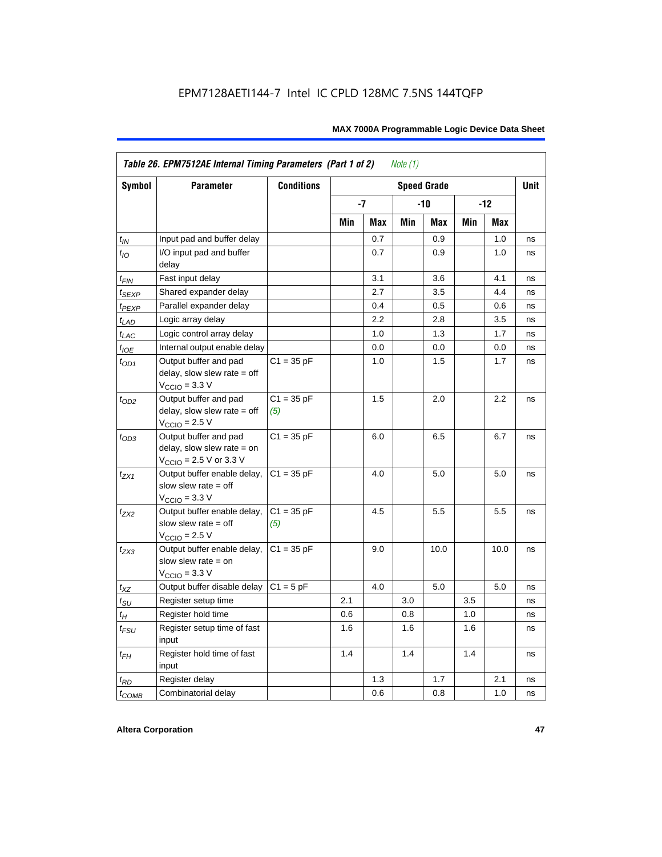|                    | Table 26. EPM7512AE Internal Timing Parameters (Part 1 of 2)                                                 |                     |     |            | Note $(1)$ |                    |     |       |             |
|--------------------|--------------------------------------------------------------------------------------------------------------|---------------------|-----|------------|------------|--------------------|-----|-------|-------------|
| Symbol             | <b>Parameter</b>                                                                                             | <b>Conditions</b>   |     |            |            | <b>Speed Grade</b> |     |       | <b>Unit</b> |
|                    |                                                                                                              |                     |     | -7         |            | -10                |     | $-12$ |             |
|                    |                                                                                                              |                     | Min | <b>Max</b> | Min        | Max                | Min | Max   |             |
| $t_{IN}$           | Input pad and buffer delay                                                                                   |                     |     | 0.7        |            | 0.9                |     | 1.0   | ns          |
| $t_{IO}$           | I/O input pad and buffer<br>delay                                                                            |                     |     | 0.7        |            | 0.9                |     | 1.0   | ns          |
| $t_{\sf FIN}$      | Fast input delay                                                                                             |                     |     | 3.1        |            | 3.6                |     | 4.1   | ns          |
| $t_{SEXP}$         | Shared expander delay                                                                                        |                     |     | 2.7        |            | 3.5                |     | 4.4   | ns          |
| t <sub>PEXP</sub>  | Parallel expander delay                                                                                      |                     |     | 0.4        |            | 0.5                |     | 0.6   | ns          |
| $t_{LAD}$          | Logic array delay                                                                                            |                     |     | 2.2        |            | 2.8                |     | 3.5   | ns          |
| $t_{LAC}$          | Logic control array delay                                                                                    |                     |     | 1.0        |            | 1.3                |     | 1.7   | ns          |
| $t_{IOE}$          | Internal output enable delay                                                                                 |                     |     | 0.0        |            | 0.0                |     | 0.0   | ns          |
| $t_{OD1}$          | Output buffer and pad<br>delay, slow slew rate $=$ off<br>$V_{\text{CCIO}} = 3.3 \text{ V}$                  | $C1 = 35 pF$        |     | 1.0        |            | 1.5                |     | 1.7   | ns          |
| $t_{OD2}$          | Output buffer and pad<br>delay, slow slew rate $=$ off<br>$V_{\text{CCIO}}$ = 2.5 V                          | $C1 = 35 pF$<br>(5) |     | 1.5        |            | 2.0                |     | 2.2   | ns          |
| $t_{OD3}$          | Output buffer and pad<br>delay, slow slew rate $=$ on<br>$V_{\text{CCIO}} = 2.5 \text{ V or } 3.3 \text{ V}$ | $C1 = 35 pF$        |     | 6.0        |            | 6.5                |     | 6.7   | ns          |
| $t_{ZX1}$          | Output buffer enable delay,<br>slow slew rate $=$ off<br>$V_{\text{CCIO}} = 3.3 \text{ V}$                   | $C1 = 35 pF$        |     | 4.0        |            | 5.0                |     | 5.0   | ns          |
| $t_{ZX2}$          | Output buffer enable delay,<br>slow slew rate $=$ off<br>$V_{\text{CCIO}}$ = 2.5 V                           | $C1 = 35 pF$<br>(5) |     | 4.5        |            | 5.5                |     | 5.5   | ns          |
| $t_{ZX3}$          | Output buffer enable delay,<br>slow slew rate $=$ on<br>$V_{\text{CCIO}} = 3.3 \text{ V}$                    | $C1 = 35 pF$        |     | 9.0        |            | 10.0               |     | 10.0  | ns          |
| $t_{\mathsf{XZ}}$  | Output buffer disable delay                                                                                  | $C1 = 5pF$          |     | 4.0        |            | 5.0                |     | 5.0   | ns          |
| $t_{\text{SU}}$    | Register setup time                                                                                          |                     | 2.1 |            | 3.0        |                    | 3.5 |       | ns          |
| $t_H$              | Register hold time                                                                                           |                     | 0.6 |            | 0.8        |                    | 1.0 |       | ns          |
| $t_{\mathit{FSU}}$ | Register setup time of fast<br>input                                                                         |                     | 1.6 |            | 1.6        |                    | 1.6 |       | ns          |
| $t_{FH}$           | Register hold time of fast<br>input                                                                          |                     | 1.4 |            | 1.4        |                    | 1.4 |       | ns          |
| $t_{RD}$           | Register delay                                                                                               |                     |     | 1.3        |            | 1.7                |     | 2.1   | ns          |
| $t_{COMB}$         | Combinatorial delay                                                                                          |                     |     | 0.6        |            | 0.8                |     | 1.0   | ns          |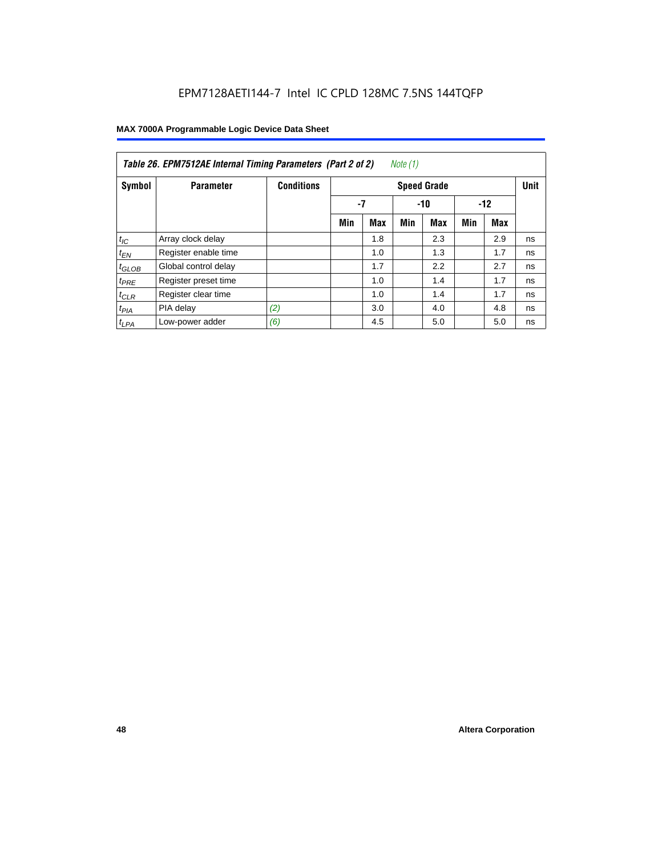| Note (1)<br>Table 26. EPM7512AE Internal Timing Parameters (Part 2 of 2) |                      |                   |                    |            |     |            |       |     |    |  |  |
|--------------------------------------------------------------------------|----------------------|-------------------|--------------------|------------|-----|------------|-------|-----|----|--|--|
| Symbol                                                                   | <b>Parameter</b>     | <b>Conditions</b> | <b>Speed Grade</b> |            |     |            |       |     |    |  |  |
|                                                                          |                      |                   | -7<br>$-10$        |            |     |            | $-12$ |     |    |  |  |
|                                                                          |                      |                   | Min                | <b>Max</b> | Min | <b>Max</b> | Min   | Max |    |  |  |
| $t_{\text{IC}}$                                                          | Array clock delay    |                   |                    | 1.8        |     | 2.3        |       | 2.9 | ns |  |  |
| $t_{EN}$                                                                 | Register enable time |                   |                    | 1.0        |     | 1.3        |       | 1.7 | ns |  |  |
| $t_{GLOB}$                                                               | Global control delay |                   |                    | 1.7        |     | 2.2        |       | 2.7 | ns |  |  |
| $t_{PRE}$                                                                | Register preset time |                   |                    | 1.0        |     | 1.4        |       | 1.7 | ns |  |  |
| $t_{CLR}$                                                                | Register clear time  |                   |                    | 1.0        |     | 1.4        |       | 1.7 | ns |  |  |
| $t_{PIA}$                                                                | PIA delay            | (2)               |                    | 3.0        |     | 4.0        |       | 4.8 | ns |  |  |
| $t_{LPA}$                                                                | Low-power adder      | (6)               |                    | 4.5        |     | 5.0        |       | 5.0 | ns |  |  |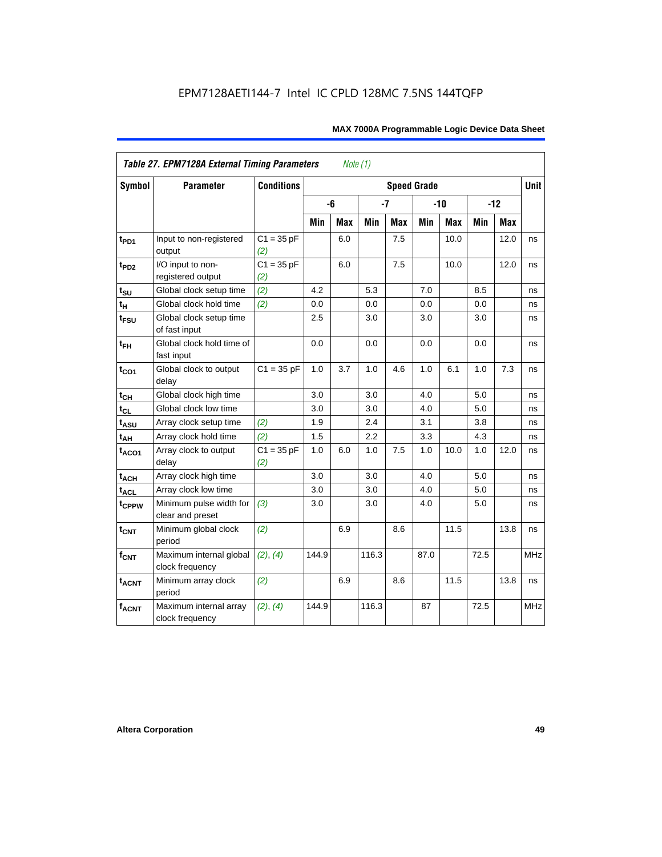|                             | <b>Table 27. EPM7128A External Timing Parameters</b> |                     |       | Note (1)   |       |            |                    |            |      |       |             |
|-----------------------------|------------------------------------------------------|---------------------|-------|------------|-------|------------|--------------------|------------|------|-------|-------------|
| <b>Symbol</b>               | <b>Parameter</b>                                     | <b>Conditions</b>   |       |            |       |            | <b>Speed Grade</b> |            |      |       | <b>Unit</b> |
|                             |                                                      |                     |       | -6         | $-7$  |            |                    | $-10$      |      | $-12$ |             |
|                             |                                                      |                     | Min   | <b>Max</b> | Min   | <b>Max</b> | Min                | <b>Max</b> | Min  | Max   |             |
| t <sub>PD1</sub>            | Input to non-registered<br>output                    | $C1 = 35 pF$<br>(2) |       | 6.0        |       | 7.5        |                    | 10.0       |      | 12.0  | ns          |
| t <sub>PD2</sub>            | I/O input to non-<br>registered output               | $C1 = 35 pF$<br>(2) |       | 6.0        |       | 7.5        |                    | 10.0       |      | 12.0  | ns          |
| $t_{\text{SU}}$             | Global clock setup time                              | (2)                 | 4.2   |            | 5.3   |            | 7.0                |            | 8.5  |       | ns          |
| t <sub>H</sub>              | Global clock hold time                               | (2)                 | 0.0   |            | 0.0   |            | 0.0                |            | 0.0  |       | ns          |
| t <sub>FSU</sub>            | Global clock setup time<br>of fast input             |                     | 2.5   |            | 3.0   |            | 3.0                |            | 3.0  |       | ns          |
| $t_{FH}$                    | Global clock hold time of<br>fast input              |                     | 0.0   |            | 0.0   |            | 0.0                |            | 0.0  |       | ns          |
| $t_{CO1}$                   | Global clock to output<br>delay                      | $C1 = 35 pF$        | 1.0   | 3.7        | 1.0   | 4.6        | 1.0                | 6.1        | 1.0  | 7.3   | ns          |
| $t_{\mathsf{CH}}$           | Global clock high time                               |                     | 3.0   |            | 3.0   |            | 4.0                |            | 5.0  |       | ns          |
| $t_{CL}$                    | Global clock low time                                |                     | 3.0   |            | 3.0   |            | 4.0                |            | 5.0  |       | ns          |
| t <sub>ASU</sub>            | Array clock setup time                               | (2)                 | 1.9   |            | 2.4   |            | 3.1                |            | 3.8  |       | ns          |
| t <sub>АН</sub>             | Array clock hold time                                | (2)                 | 1.5   |            | 2.2   |            | 3.3                |            | 4.3  |       | ns          |
| t <sub>ACO1</sub>           | Array clock to output<br>delay                       | $C1 = 35 pF$<br>(2) | 1.0   | 6.0        | 1.0   | 7.5        | 1.0                | 10.0       | 1.0  | 12.0  | ns          |
| $t_{ACH}$                   | Array clock high time                                |                     | 3.0   |            | 3.0   |            | 4.0                |            | 5.0  |       | ns          |
| $\mathsf{t}_{\mathsf{ACL}}$ | Array clock low time                                 |                     | 3.0   |            | 3.0   |            | 4.0                |            | 5.0  |       | ns          |
| t <sub>CPPW</sub>           | Minimum pulse width for<br>clear and preset          | (3)                 | 3.0   |            | 3.0   |            | 4.0                |            | 5.0  |       | ns          |
| $t_{\text{CNT}}$            | Minimum global clock<br>period                       | (2)                 |       | 6.9        |       | 8.6        |                    | 11.5       |      | 13.8  | ns          |
| $f_{\text{CNT}}$            | Maximum internal global<br>clock frequency           | (2), (4)            | 144.9 |            | 116.3 |            | 87.0               |            | 72.5 |       | <b>MHz</b>  |
| $t_{ACNT}$                  | Minimum array clock<br>period                        | (2)                 |       | 6.9        |       | 8.6        |                    | 11.5       |      | 13.8  | ns          |
| <b>fACNT</b>                | Maximum internal array<br>clock frequency            | (2), (4)            | 144.9 |            | 116.3 |            | 87                 |            | 72.5 |       | <b>MHz</b>  |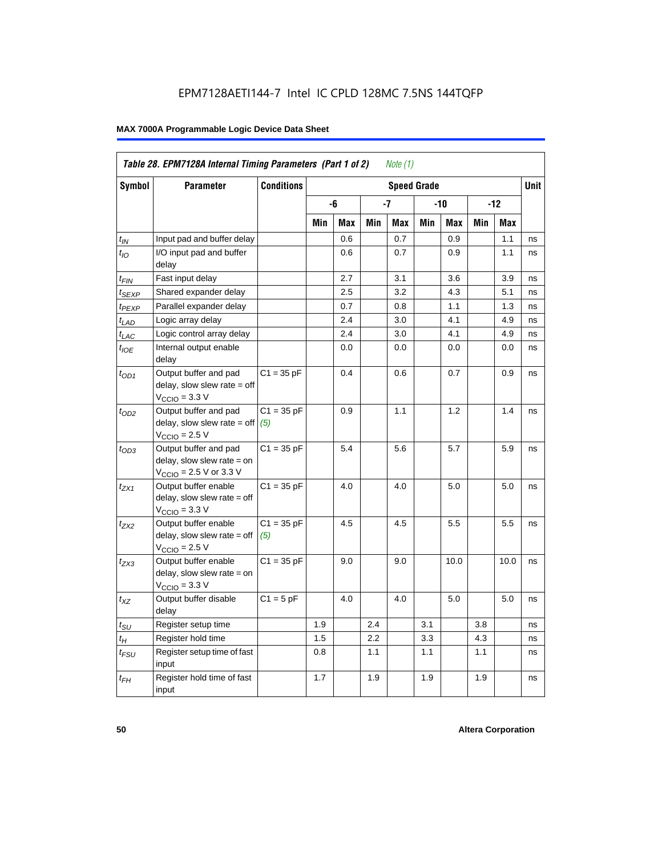|                             | Table 28. EPM7128A Internal Timing Parameters (Part 1 of 2)                                                |                     |     |     |         | Note $(1)$ |                    |      |     |      |             |
|-----------------------------|------------------------------------------------------------------------------------------------------------|---------------------|-----|-----|---------|------------|--------------------|------|-----|------|-------------|
| <b>Symbol</b>               | <b>Parameter</b>                                                                                           | <b>Conditions</b>   |     |     |         |            | <b>Speed Grade</b> |      |     |      | <b>Unit</b> |
|                             |                                                                                                            |                     |     | -6  |         | -7         |                    | -10  |     | -12  |             |
|                             |                                                                                                            |                     | Min | Max | Min     | Max        | Min                | Max  | Min | Max  |             |
| $t_{\mathsf{IN}}$           | Input pad and buffer delay                                                                                 |                     |     | 0.6 |         | 0.7        |                    | 0.9  |     | 1.1  | ns          |
| $t_{IO}$                    | I/O input pad and buffer<br>delay                                                                          |                     |     | 0.6 |         | 0.7        |                    | 0.9  |     | 1.1  | ns          |
| t <sub>FIN</sub>            | Fast input delay                                                                                           |                     |     | 2.7 |         | 3.1        |                    | 3.6  |     | 3.9  | ns          |
| $t_{SEXP}$                  | Shared expander delay                                                                                      |                     |     | 2.5 |         | 3.2        |                    | 4.3  |     | 5.1  | ns          |
| t <sub>PEXP</sub>           | Parallel expander delay                                                                                    |                     |     | 0.7 |         | 0.8        |                    | 1.1  |     | 1.3  | ns          |
| $t_{LAD}$                   | Logic array delay                                                                                          |                     |     | 2.4 |         | 3.0        |                    | 4.1  |     | 4.9  | ns          |
| $t_{LAC}$                   | Logic control array delay                                                                                  |                     |     | 2.4 |         | 3.0        |                    | 4.1  |     | 4.9  | ns          |
| $t_{IOE}$                   | Internal output enable<br>delay                                                                            |                     |     | 0.0 |         | 0.0        |                    | 0.0  |     | 0.0  | ns          |
| $t_{OD1}$                   | Output buffer and pad<br>$delay$ , slow slew rate = off<br>$V_{\text{CCIO}} = 3.3 \text{ V}$               | $C1 = 35 pF$        |     | 0.4 |         | 0.6        |                    | 0.7  |     | 0.9  | ns          |
| $t_{OD2}$                   | Output buffer and pad<br>$delay$ , slow slew rate = off<br>$VCCIO = 2.5 V$                                 | $C1 = 35 pF$<br>(5) |     | 0.9 |         | 1.1        |                    | 1.2  |     | 1.4  | ns          |
| $t_{OD3}$                   | Output buffer and pad<br>delay, slow slew rate = on<br>$V_{\text{CCIO}} = 2.5 \text{ V or } 3.3 \text{ V}$ | $C1 = 35 pF$        |     | 5.4 |         | 5.6        |                    | 5.7  |     | 5.9  | ns          |
| $t_{ZX1}$                   | Output buffer enable<br>$delay$ , slow slew rate = off<br>$V_{\text{CCIO}} = 3.3 \text{ V}$                | $C1 = 35 pF$        |     | 4.0 |         | 4.0        |                    | 5.0  |     | 5.0  | ns          |
| t <sub>ZX2</sub>            | Output buffer enable<br>$delay$ , slow slew rate = off<br>$VCCIO = 2.5 V$                                  | $C1 = 35 pF$<br>(5) |     | 4.5 |         | 4.5        |                    | 5.5  |     | 5.5  | ns          |
| $t_{ZX3}$                   | Output buffer enable<br>delay, slow slew rate = on<br>$VCCIO = 3.3 V$                                      | $C1 = 35 pF$        |     | 9.0 |         | 9.0        |                    | 10.0 |     | 10.0 | ns          |
| $t_{\mathsf{XZ}}$           | Output buffer disable<br>delay                                                                             | $C1 = 5$ pF         |     | 4.0 |         | 4.0        |                    | 5.0  |     | 5.0  | ns          |
| $t_{\scriptstyle\text{SU}}$ | Register setup time                                                                                        |                     | 1.9 |     | 2.4     |            | 3.1                |      | 3.8 |      | ns          |
| $t_H$                       | Register hold time                                                                                         |                     | 1.5 |     | $2.2\,$ |            | 3.3                |      | 4.3 |      | ns          |
| t <sub>FSU</sub>            | Register setup time of fast<br>input                                                                       |                     | 0.8 |     | 1.1     |            | 1.1                |      | 1.1 |      | ns          |
| $t_{FH}$                    | Register hold time of fast<br>input                                                                        |                     | 1.7 |     | 1.9     |            | 1.9                |      | 1.9 |      | ns          |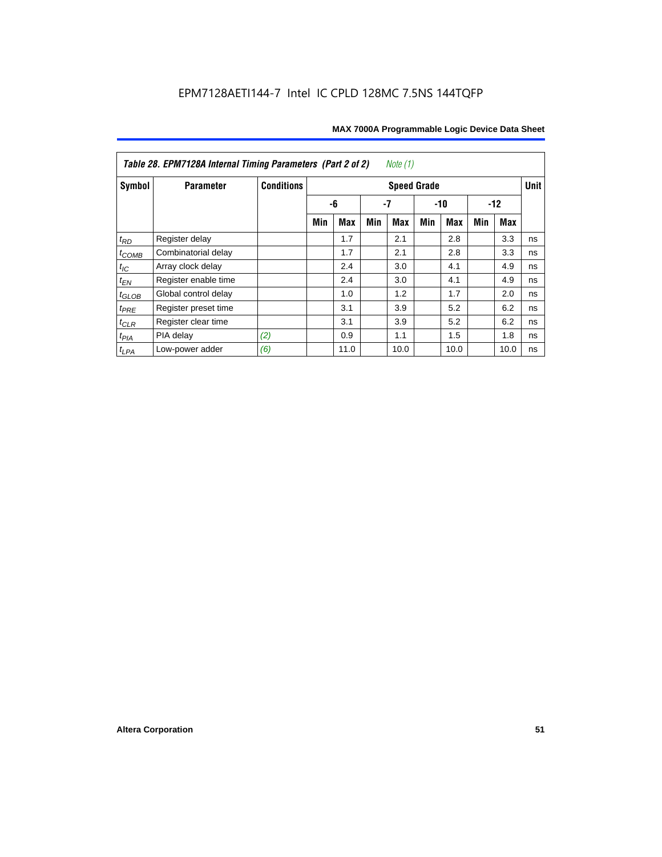| Table 28. EPM7128A Internal Timing Parameters (Part 2 of 2)<br>Note (1) |                      |                   |                    |            |     |            |       |            |       |             |    |
|-------------------------------------------------------------------------|----------------------|-------------------|--------------------|------------|-----|------------|-------|------------|-------|-------------|----|
| Symbol                                                                  | <b>Parameter</b>     | <b>Conditions</b> | <b>Speed Grade</b> |            |     |            |       |            |       | <b>Unit</b> |    |
|                                                                         |                      |                   |                    | -6         | -7  |            | $-10$ |            | $-12$ |             |    |
|                                                                         |                      |                   | Min                | <b>Max</b> | Min | <b>Max</b> | Min   | <b>Max</b> | Min   | Max         |    |
| $t_{RD}$                                                                | Register delay       |                   |                    | 1.7        |     | 2.1        |       | 2.8        |       | 3.3         | ns |
| $t_{COMB}$                                                              | Combinatorial delay  |                   |                    | 1.7        |     | 2.1        |       | 2.8        |       | 3.3         | ns |
| $t_{IC}$                                                                | Array clock delay    |                   |                    | 2.4        |     | 3.0        |       | 4.1        |       | 4.9         | ns |
| $t_{EN}$                                                                | Register enable time |                   |                    | 2.4        |     | 3.0        |       | 4.1        |       | 4.9         | ns |
| $t_{GLOB}$                                                              | Global control delay |                   |                    | 1.0        |     | 1.2        |       | 1.7        |       | 2.0         | ns |
| $t_{PRE}$                                                               | Register preset time |                   |                    | 3.1        |     | 3.9        |       | 5.2        |       | 6.2         | ns |
| $t_{\text{CLR}}$                                                        | Register clear time  |                   |                    | 3.1        |     | 3.9        |       | 5.2        |       | 6.2         | ns |
| $t_{PIA}$                                                               | PIA delay            | (2)               |                    | 0.9        |     | 1.1        |       | 1.5        |       | 1.8         | ns |
| $t_{LPA}$                                                               | Low-power adder      | (6)               |                    | 11.0       |     | 10.0       |       | 10.0       |       | 10.0        | ns |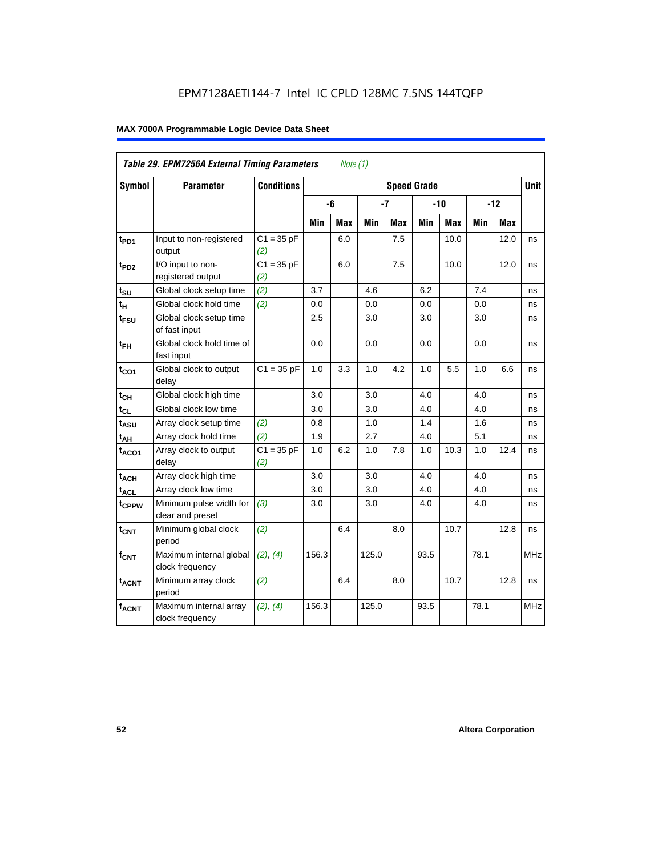| Table 29. EPM7256A External Timing Parameters<br>Note $(1)$ |                                             |                     |       |     |       |            |                    |            |       |      |             |
|-------------------------------------------------------------|---------------------------------------------|---------------------|-------|-----|-------|------------|--------------------|------------|-------|------|-------------|
| Symbol                                                      | <b>Parameter</b>                            | <b>Conditions</b>   |       |     |       |            | <b>Speed Grade</b> |            |       |      | <b>Unit</b> |
|                                                             |                                             |                     |       | -6  | $-7$  |            | $-10$              |            | $-12$ |      |             |
|                                                             |                                             |                     | Min   | Max | Min   | <b>Max</b> | Min                | <b>Max</b> | Min   | Max  |             |
| t <sub>PD1</sub>                                            | Input to non-registered<br>output           | $C1 = 35 pF$<br>(2) |       | 6.0 |       | 7.5        |                    | 10.0       |       | 12.0 | ns          |
| t <sub>PD2</sub>                                            | I/O input to non-<br>registered output      | $C1 = 35 pF$<br>(2) |       | 6.0 |       | 7.5        |                    | 10.0       |       | 12.0 | ns          |
| $t_{\text{SU}}$                                             | Global clock setup time                     | (2)                 | 3.7   |     | 4.6   |            | 6.2                |            | 7.4   |      | ns          |
| $t_H$                                                       | Global clock hold time                      | (2)                 | 0.0   |     | 0.0   |            | 0.0                |            | 0.0   |      | ns          |
| $t_{\text{FSU}}$                                            | Global clock setup time<br>of fast input    |                     | 2.5   |     | 3.0   |            | 3.0                |            | 3.0   |      | ns          |
| $t_{FH}$                                                    | Global clock hold time of<br>fast input     |                     | 0.0   |     | 0.0   |            | 0.0                |            | 0.0   |      | ns          |
| $t_{CO1}$                                                   | Global clock to output<br>delay             | $C1 = 35 pF$        | 1.0   | 3.3 | 1.0   | 4.2        | 1.0                | 5.5        | 1.0   | 6.6  | ns          |
| $t_{CH}$                                                    | Global clock high time                      |                     | 3.0   |     | 3.0   |            | 4.0                |            | 4.0   |      | ns          |
| $t_{CL}$                                                    | Global clock low time                       |                     | 3.0   |     | 3.0   |            | 4.0                |            | 4.0   |      | ns          |
| t <sub>ASU</sub>                                            | Array clock setup time                      | (2)                 | 0.8   |     | 1.0   |            | 1.4                |            | 1.6   |      | ns          |
| $t_{AH}$                                                    | Array clock hold time                       | (2)                 | 1.9   |     | 2.7   |            | 4.0                |            | 5.1   |      | ns          |
| $t_{ACO1}$                                                  | Array clock to output<br>delay              | $C1 = 35 pF$<br>(2) | 1.0   | 6.2 | 1.0   | 7.8        | 1.0                | 10.3       | 1.0   | 12.4 | ns          |
| $t_{ACH}$                                                   | Array clock high time                       |                     | 3.0   |     | 3.0   |            | 4.0                |            | 4.0   |      | ns          |
| $t_{\text{ACL}}$                                            | Array clock low time                        |                     | 3.0   |     | 3.0   |            | 4.0                |            | 4.0   |      | ns          |
| t <sub>CPPW</sub>                                           | Minimum pulse width for<br>clear and preset | (3)                 | 3.0   |     | 3.0   |            | 4.0                |            | 4.0   |      | ns          |
| $t_{\text{CNT}}$                                            | Minimum global clock<br>period              | (2)                 |       | 6.4 |       | 8.0        |                    | 10.7       |       | 12.8 | ns          |
| $f_{CNT}$                                                   | Maximum internal global<br>clock frequency  | (2), (4)            | 156.3 |     | 125.0 |            | 93.5               |            | 78.1  |      | <b>MHz</b>  |
| t <sub>ACNT</sub>                                           | Minimum array clock<br>period               | (2)                 |       | 6.4 |       | 8.0        |                    | 10.7       |       | 12.8 | ns          |
| <b>fACNT</b>                                                | Maximum internal array<br>clock frequency   | (2), (4)            | 156.3 |     | 125.0 |            | 93.5               |            | 78.1  |      | <b>MHz</b>  |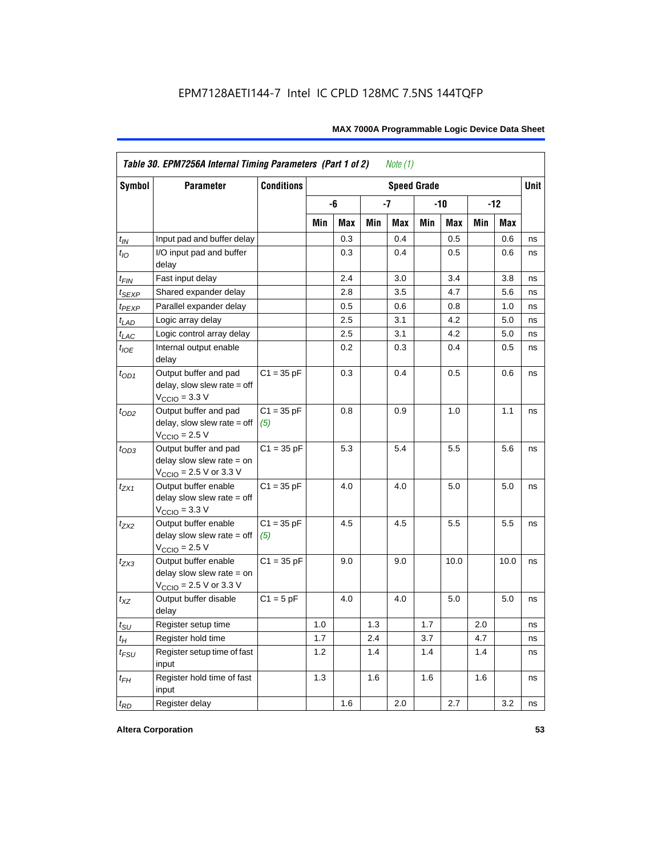| <b>Symbol</b>               | <b>Parameter</b>                                                                             | <b>Conditions</b><br><b>Speed Grade</b> |     |     |     |     |     |       |       |            | <b>Unit</b> |
|-----------------------------|----------------------------------------------------------------------------------------------|-----------------------------------------|-----|-----|-----|-----|-----|-------|-------|------------|-------------|
|                             |                                                                                              |                                         |     | -6  |     | -7  |     | $-10$ | $-12$ |            |             |
|                             |                                                                                              |                                         | Min | Max | Min | Max | Min | Max   | Min   | <b>Max</b> |             |
| $t_{IN}$                    | Input pad and buffer delay                                                                   |                                         |     | 0.3 |     | 0.4 |     | 0.5   |       | 0.6        | ns          |
| $t_{IO}$                    | I/O input pad and buffer<br>delay                                                            |                                         |     | 0.3 |     | 0.4 |     | 0.5   |       | 0.6        | ns          |
| t <sub>FIN</sub>            | Fast input delay                                                                             |                                         |     | 2.4 |     | 3.0 |     | 3.4   |       | 3.8        | ns          |
| t <sub>SEXP</sub>           | Shared expander delay                                                                        |                                         |     | 2.8 |     | 3.5 |     | 4.7   |       | 5.6        | ns          |
| t <sub>PEXP</sub>           | Parallel expander delay                                                                      |                                         |     | 0.5 |     | 0.6 |     | 0.8   |       | 1.0        | ns          |
| $t_{LAD}$                   | Logic array delay                                                                            |                                         |     | 2.5 |     | 3.1 |     | 4.2   |       | 5.0        | ns          |
| $t_{LAC}$                   | Logic control array delay                                                                    |                                         |     | 2.5 |     | 3.1 |     | 4.2   |       | 5.0        | ns          |
| $t_{IOE}$                   | Internal output enable<br>delay                                                              |                                         |     | 0.2 |     | 0.3 |     | 0.4   |       | 0.5        | ns          |
| $t_{OD1}$                   | Output buffer and pad<br>$delay$ , slow slew rate = off<br>$V_{\text{CCIO}} = 3.3 \text{ V}$ | $C1 = 35 pF$                            |     | 0.3 |     | 0.4 |     | 0.5   |       | 0.6        | ns          |
| $t_{OD2}$                   | Output buffer and pad<br>$delay$ , slow slew rate = off<br>$V_{\text{CCIO}} = 2.5 V$         | $C1 = 35 pF$<br>(5)                     |     | 0.8 |     | 0.9 |     | 1.0   |       | 1.1        | ns          |
| $t_{OD3}$                   | Output buffer and pad<br>delay slow slew rate $=$ on<br>$V_{\text{CCIO}}$ = 2.5 V or 3.3 V   | $C1 = 35 pF$                            |     | 5.3 |     | 5.4 |     | 5.5   |       | 5.6        | ns          |
| $t_{ZX1}$                   | Output buffer enable<br>delay slow slew rate $=$ off<br>$VCCIO = 3.3 V$                      | $C1 = 35 pF$                            |     | 4.0 |     | 4.0 |     | 5.0   |       | 5.0        | ns          |
| $t_{ZX2}$                   | Output buffer enable<br>delay slow slew rate $=$ off<br>$VCCIO = 2.5 V$                      | $C1 = 35 pF$<br>(5)                     |     | 4.5 |     | 4.5 |     | 5.5   |       | 5.5        | ns          |
| $t_{ZX3}$                   | Output buffer enable<br>delay slow slew rate $=$ on<br>$V_{\text{CCIO}}$ = 2.5 V or 3.3 V    | $C1 = 35 pF$                            |     | 9.0 |     | 9.0 |     | 10.0  |       | 10.0       | ns          |
| $t_{XZ}$                    | Output buffer disable<br>delay                                                               | $C1 = 5pF$                              |     | 4.0 |     | 4.0 |     | 5.0   |       | 5.0        | ns          |
| $t_{\scriptstyle\text{SU}}$ | Register setup time                                                                          |                                         | 1.0 |     | 1.3 |     | 1.7 |       | 2.0   |            | ns          |
| $t_{H}$                     | Register hold time                                                                           |                                         | 1.7 |     | 2.4 |     | 3.7 |       | 4.7   |            | ns          |
| $t_{FSU}$                   | Register setup time of fast<br>input                                                         |                                         | 1.2 |     | 1.4 |     | 1.4 |       | 1.4   |            | ns          |
| $t_{FH}$                    | Register hold time of fast<br>input                                                          |                                         | 1.3 |     | 1.6 |     | 1.6 |       | 1.6   |            | ns          |
| $t_{RD}$                    | Register delay                                                                               |                                         |     | 1.6 |     | 2.0 |     | 2.7   |       | 3.2        | ns          |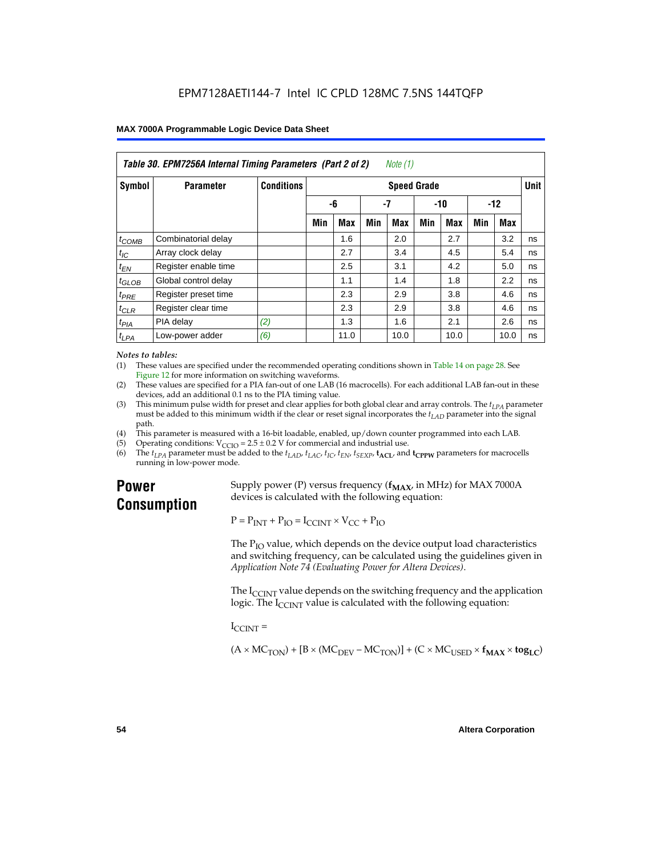| Table 30. EPM7256A Internal Timing Parameters (Part 2 of 2)<br>Note (1) |                      |                   |                    |            |     |      |       |            |       |      |    |
|-------------------------------------------------------------------------|----------------------|-------------------|--------------------|------------|-----|------|-------|------------|-------|------|----|
| Symbol                                                                  | <b>Parameter</b>     | <b>Conditions</b> | <b>Speed Grade</b> |            |     |      |       |            |       |      |    |
|                                                                         |                      |                   | -6                 |            | -7  |      | $-10$ |            | $-12$ |      |    |
|                                                                         |                      |                   | Min                | <b>Max</b> | Min | Max  | Min   | <b>Max</b> | Min   | Max  |    |
| $t_{COMB}$                                                              | Combinatorial delay  |                   |                    | 1.6        |     | 2.0  |       | 2.7        |       | 3.2  | ns |
| $t_{IC}$                                                                | Array clock delay    |                   |                    | 2.7        |     | 3.4  |       | 4.5        |       | 5.4  | ns |
| $t_{EN}$                                                                | Register enable time |                   |                    | 2.5        |     | 3.1  |       | 4.2        |       | 5.0  | ns |
| $t_{GLOB}$                                                              | Global control delay |                   |                    | 1.1        |     | 1.4  |       | 1.8        |       | 2.2  | ns |
| $t_{PRE}$                                                               | Register preset time |                   |                    | 2.3        |     | 2.9  |       | 3.8        |       | 4.6  | ns |
| $t_{CLR}$                                                               | Register clear time  |                   |                    | 2.3        |     | 2.9  |       | 3.8        |       | 4.6  | ns |
| t <sub>PIA</sub>                                                        | PIA delay            | (2)               |                    | 1.3        |     | 1.6  |       | 2.1        |       | 2.6  | ns |
| $t_{LPA}$                                                               | Low-power adder      | (6)               |                    | 11.0       |     | 10.0 |       | 10.0       |       | 10.0 | ns |

#### *Notes to tables:*

(1) These values are specified under the recommended operating conditions shown in Table 14 on page 28. See Figure 12 for more information on switching waveforms.

- (2) These values are specified for a PIA fan-out of one LAB (16 macrocells). For each additional LAB fan-out in these devices, add an additional 0.1 ns to the PIA timing value.
- (3) This minimum pulse width for preset and clear applies for both global clear and array controls. The  $t_{LPA}$  parameter must be added to this minimum width if the clear or reset signal incorporates the  $t_{LAD}$  parameter into the signal path.
- (4) This parameter is measured with a 16-bit loadable, enabled, up/down counter programmed into each LAB.
- (5) Operating conditions:  $V_{\text{CCIO}} = 2.5 \pm 0.2 \text{ V}$  for commercial and industrial use.<br>(6) The  $t_{I/A}$  parameter must be added to the  $t_{I AD}$ ,  $t_{I AC}$ ,  $t_{I C}$ ,  $t_{F N}$ ,  $t_{S F Y P}$ ,  $t_{A C I}$ , and
- The  $t_{LPA}$  parameter must be added to the  $t_{LAD}$ ,  $t_{LAC}$ ,  $t_{IC}$ ,  $t_{EN}$ ,  $t_{SEXP}$ ,  $t_{ACL}$  and  $t_{CPPW}$  parameters for macrocells running in low-power mode.

### **Power Consumption**

Supply power (P) versus frequency  $(f_{MAX}$ , in MHz) for MAX 7000A devices is calculated with the following equation:

 $P = P_{INT} + P_{IO} = I_{CCINT} \times V_{CC} + P_{IO}$ 

The  $P_{IO}$  value, which depends on the device output load characteristics and switching frequency, can be calculated using the guidelines given in *Application Note 74 (Evaluating Power for Altera Devices)*.

The  $I_{\text{CUNT}}$  value depends on the switching frequency and the application logic. The  $I_{\text{CCINT}}$  value is calculated with the following equation:

 $I_{\text{CCMT}} =$ 

 $(A \times MC_{TON}) + [B \times (MC_{DEV} - MC_{TON})] + (C \times MC_{LISED} \times f_{MAX} \times tog_{LC})$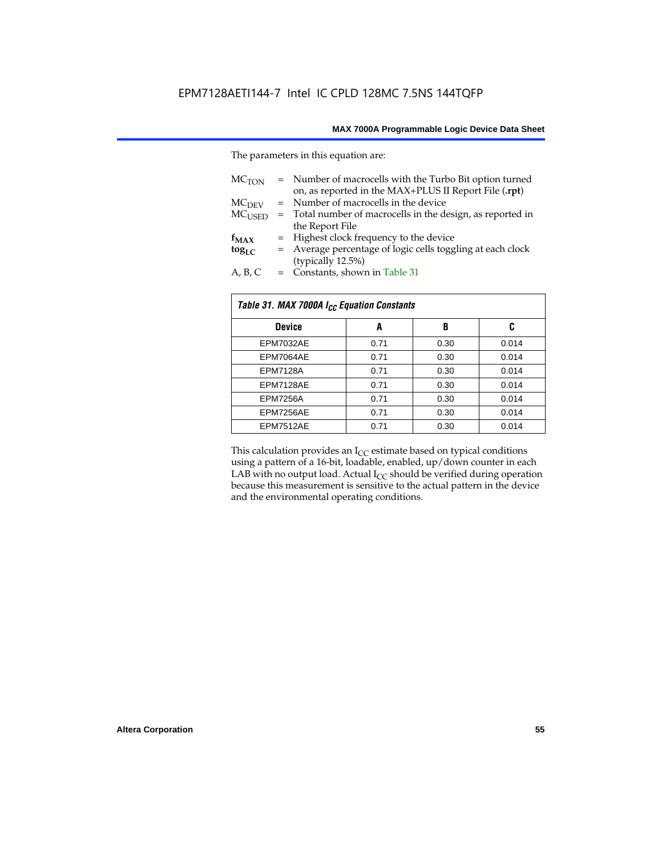The parameters in this equation are:

| MC <sub>TON</sub> | = Number of macrocells with the Turbo Bit option turned<br>on, as reported in the MAX+PLUS II Report File (.rpt) |
|-------------------|------------------------------------------------------------------------------------------------------------------|
| MC <sub>DFV</sub> | = Number of macrocells in the device                                                                             |
| $MC_{LISED}$      | = Total number of macrocells in the design, as reported in                                                       |
|                   | the Report File                                                                                                  |
| $f_{MAX}$         | = Highest clock frequency to the device                                                                          |
| $tog_{LC}$        | = Average percentage of logic cells toggling at each clock                                                       |
|                   | (typically 12.5%)                                                                                                |
| A, B, C           | = Constants, shown in Table 31                                                                                   |

| Table 31. MAX 7000A I <sub>CC</sub> Equation Constants |      |      |       |  |  |
|--------------------------------------------------------|------|------|-------|--|--|
| <b>Device</b>                                          | A    | B    | C     |  |  |
| EPM7032AE                                              | 0.71 | 0.30 | 0.014 |  |  |
| EPM7064AE                                              | 0.71 | 0.30 | 0.014 |  |  |
| <b>EPM7128A</b>                                        | 0.71 | 0.30 | 0.014 |  |  |
| EPM7128AE                                              | 0.71 | 0.30 | 0.014 |  |  |
| <b>EPM7256A</b>                                        | 0.71 | 0.30 | 0.014 |  |  |
| EPM7256AE                                              | 0.71 | 0.30 | 0.014 |  |  |
| EPM7512AE                                              | 0.71 | 0.30 | 0.014 |  |  |

This calculation provides an  $I_{CC}$  estimate based on typical conditions using a pattern of a 16-bit, loadable, enabled, up/down counter in each LAB with no output load. Actual  $I_{CC}$  should be verified during operation because this measurement is sensitive to the actual pattern in the device and the environmental operating conditions.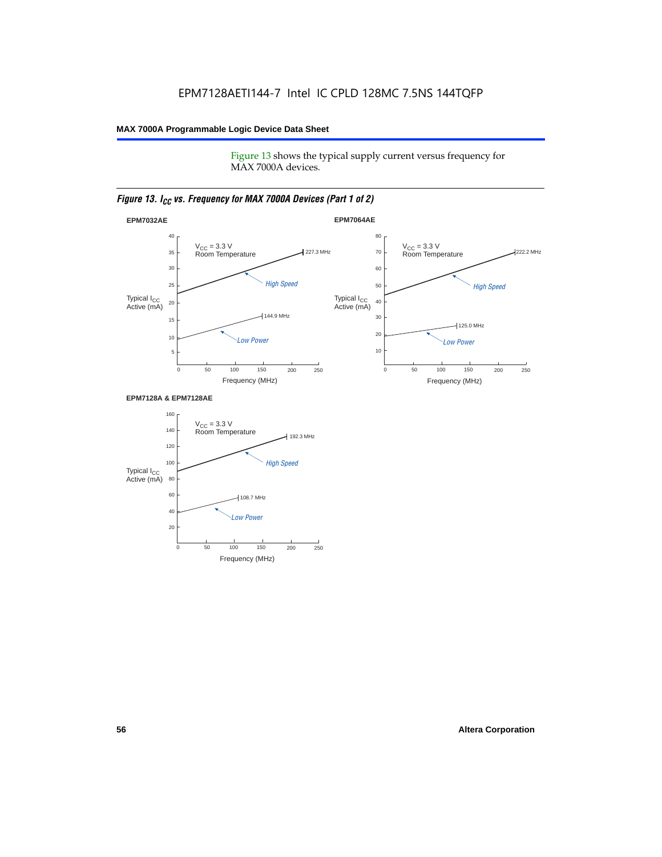Figure 13 shows the typical supply current versus frequency for MAX 7000A devices.

#### *Figure 13. I<sub>CC</sub> vs. Frequency for MAX 7000A Devices (Part 1 of 2)*



#### **EPM7128A & EPM7128AE**

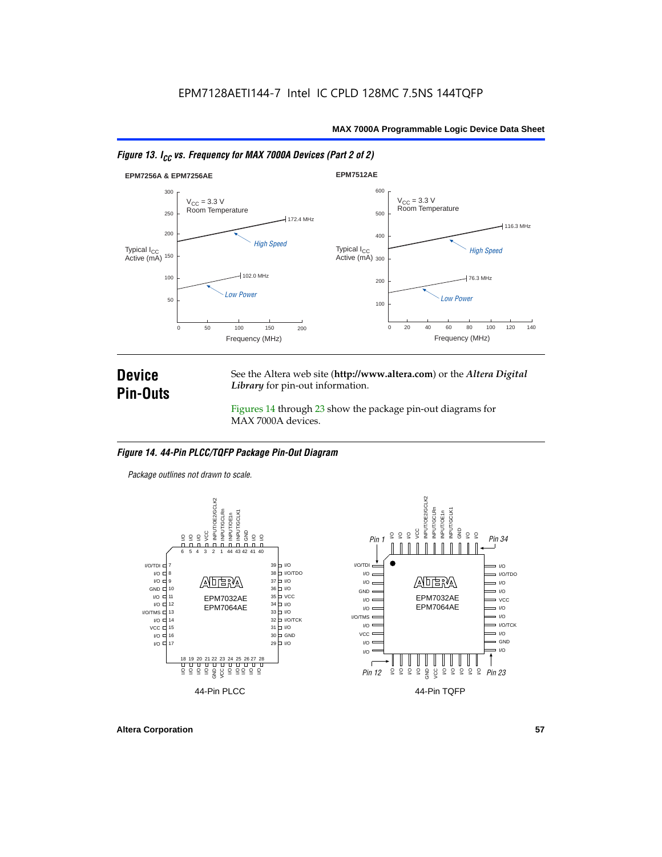



### **Device Pin-Outs**

See the Altera web site (**http://www.altera.com**) or the *Altera Digital Library* for pin-out information.

Figures 14 through 23 show the package pin-out diagrams for MAX 7000A devices.

#### *Figure 14. 44-Pin PLCC/TQFP Package Pin-Out Diagram*

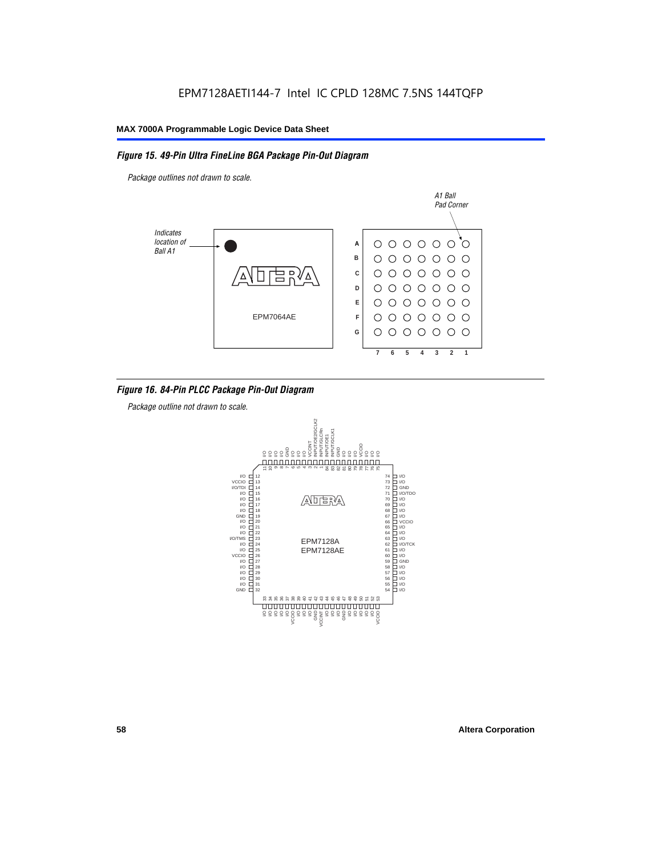#### *Figure 15. 49-Pin Ultra FineLine BGA Package Pin-Out Diagram*

*Package outlines not drawn to scale.*



#### *Figure 16. 84-Pin PLCC Package Pin-Out Diagram*

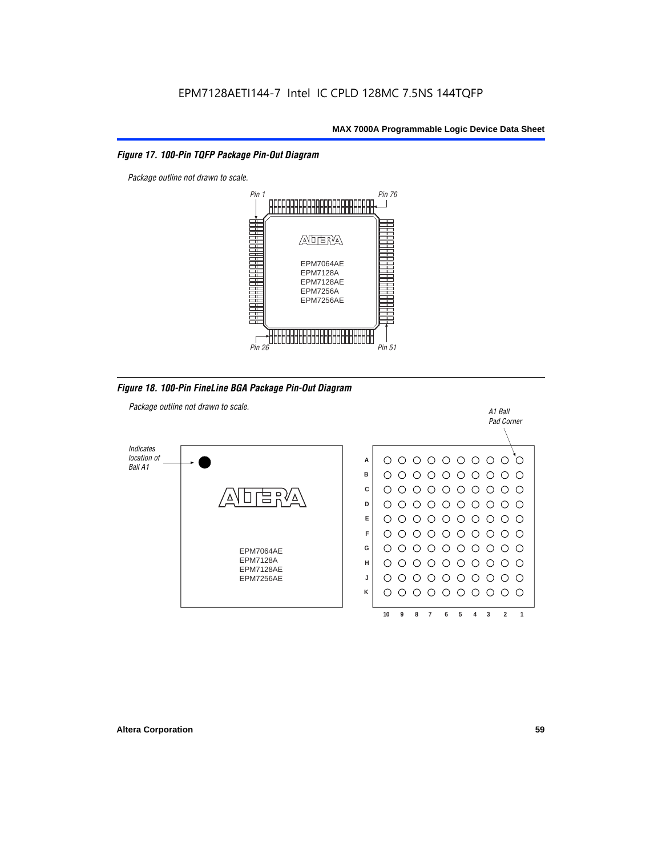#### *Figure 17. 100-Pin TQFP Package Pin-Out Diagram*



*Figure 18. 100-Pin FineLine BGA Package Pin-Out Diagram*

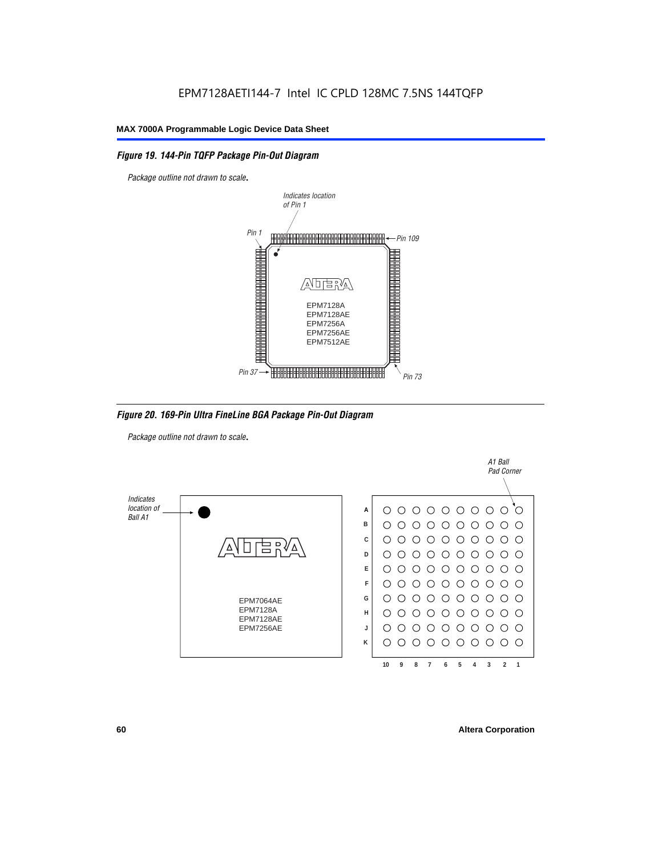#### *Figure 19. 144-Pin TQFP Package Pin-Out Diagram*

*Package outline not drawn to scale*.



*Figure 20. 169-Pin Ultra FineLine BGA Package Pin-Out Diagram*

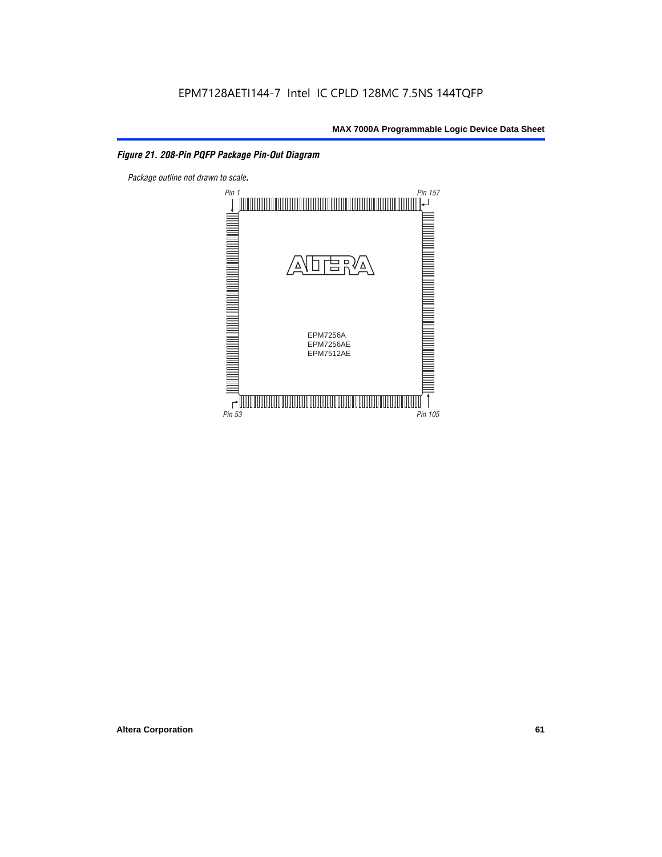#### *Figure 21. 208-Pin PQFP Package Pin-Out Diagram*

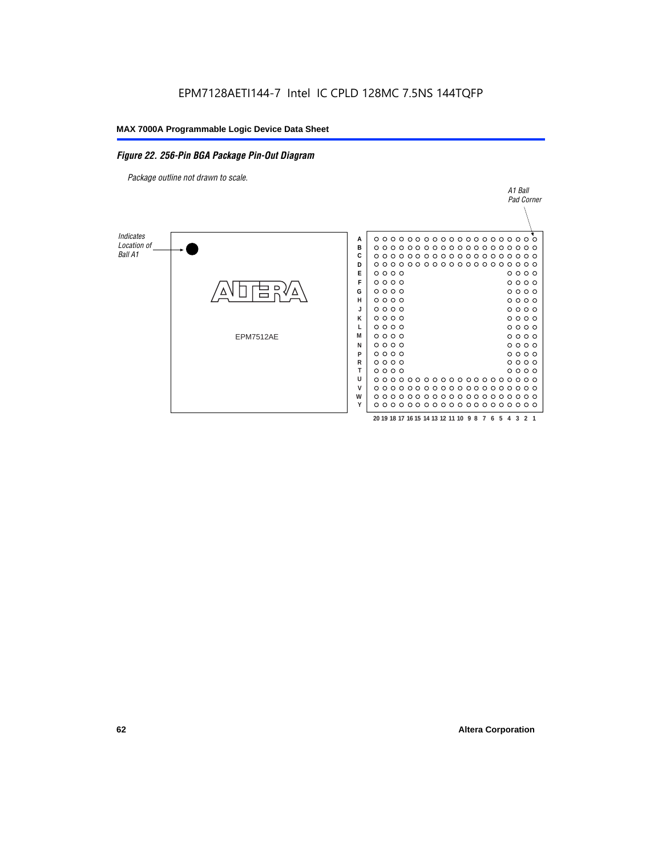#### *Figure 22. 256-Pin BGA Package Pin-Out Diagram*

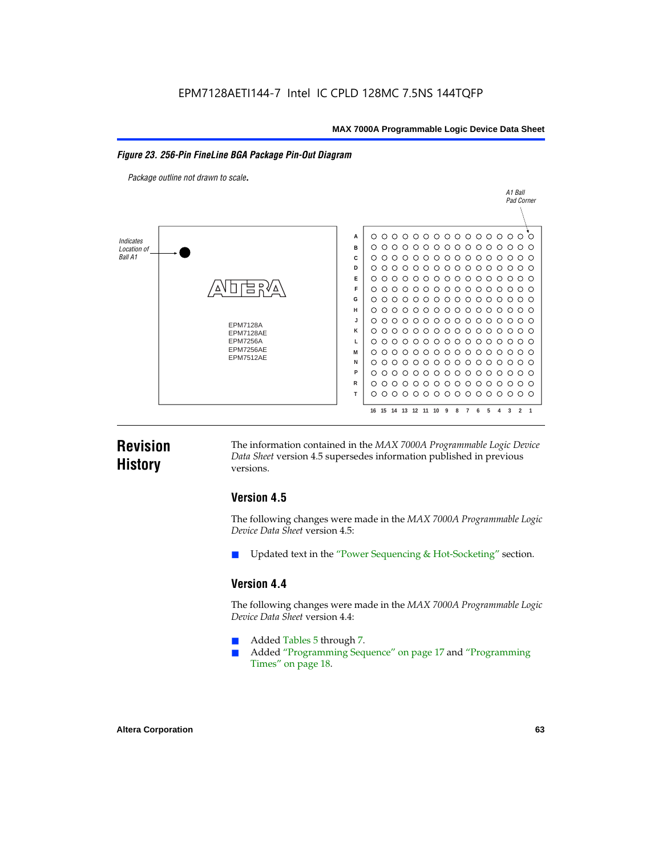#### *Figure 23. 256-Pin FineLine BGA Package Pin-Out Diagram*

*Package outline not drawn to scale*.



### **Revision History**

The information contained in the *MAX 7000A Programmable Logic Device Data Sheet* version 4.5 supersedes information published in previous versions.

#### **Version 4.5**

The following changes were made in the *MAX 7000A Programmable Logic Device Data Sheet* version 4.5:

Updated text in the "Power Sequencing & Hot-Socketing" section.

#### **Version 4.4**

The following changes were made in the *MAX 7000A Programmable Logic Device Data Sheet* version 4.4:

- Added Tables 5 through 7.
	- Added "Programming Sequence" on page 17 and "Programming Times" on page 18.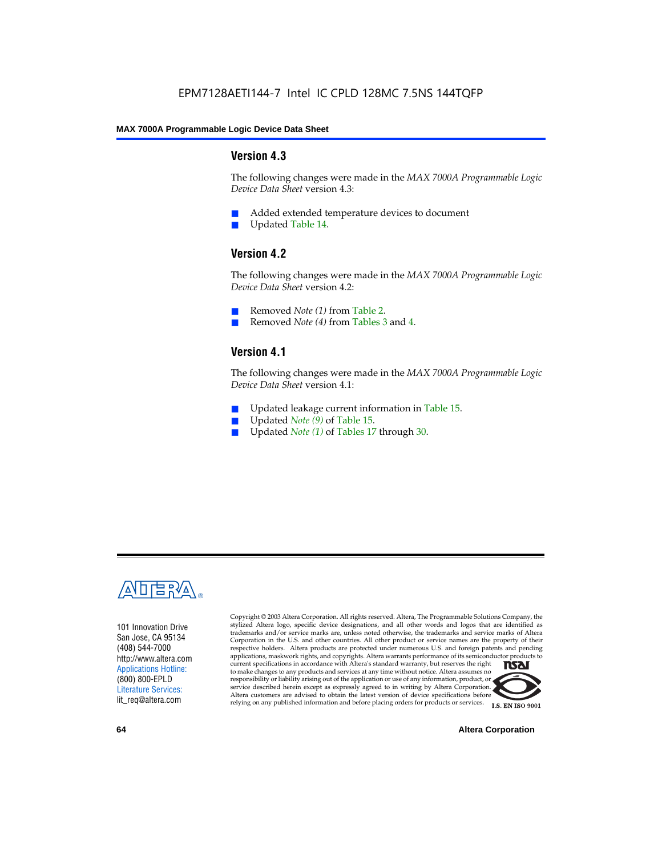#### **Version 4.3**

The following changes were made in the *MAX 7000A Programmable Logic Device Data Sheet* version 4.3:

- Added extended temperature devices to document
- Updated Table 14.

#### **Version 4.2**

The following changes were made in the *MAX 7000A Programmable Logic Device Data Sheet* version 4.2:

- Removed *Note (1)* from Table 2.
- Removed *Note (4)* from Tables 3 and 4.

#### **Version 4.1**

The following changes were made in the *MAX 7000A Programmable Logic Device Data Sheet* version 4.1:

- Updated leakage current information in Table 15.
- Updated *Note (9)* of Table 15.
- Updated *Note* (1) of Tables 17 through 30.



101 Innovation Drive San Jose, CA 95134 (408) 544-7000 http://www.altera.com Applications Hotline: (800) 800-EPLD Literature Services: lit\_req@altera.com

Copyright © 2003 Altera Corporation. All rights reserved. Altera, The Programmable Solutions Company, the stylized Altera logo, specific device designations, and all other words and logos that are identified as trademarks and/or service marks are, unless noted otherwise, the trademarks and service marks of Altera Corporation in the U.S. and other countries. All other product or service names are the property of their respective holders. Altera products are protected under numerous U.S. and foreign patents and pending applications, maskwork rights, and copyrights. Altera warrants performance of its semiconductor products to current specifications in accordance with Altera's standard warranty, but reserves the right **TSAI** to make changes to any products and services at any time without notice. Altera assumes no responsibility or liability arising out of the application or use of any information, product, or service described herein except as expressly agreed to in writing by Altera Corporation. Altera customers are advised to obtain the latest version of device specifications before relying on any published information and before placing orders for products or services.



**64 Altera Corporation**